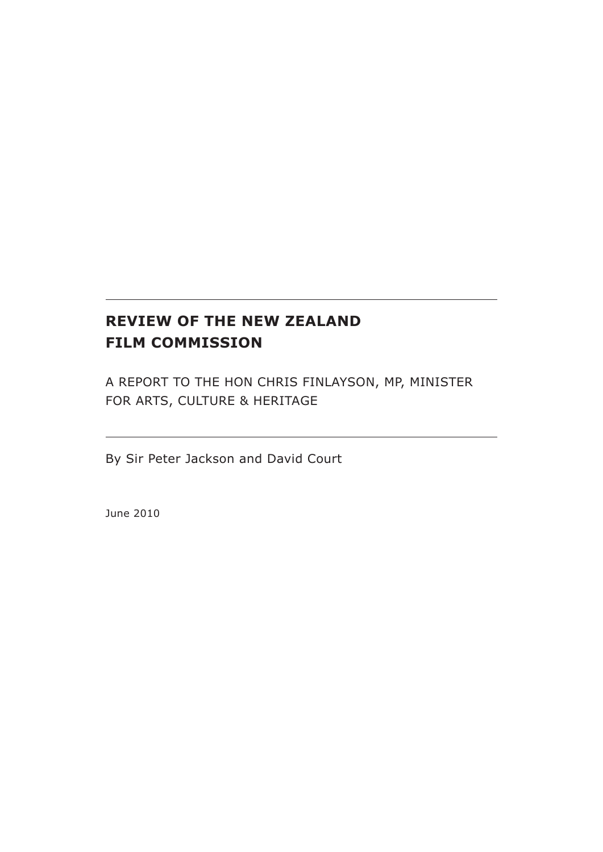# **REVIEW OF THE NEW ZEALAND FILM COMMISSION**

A report to the Hon Chris Finlayson, MP, Minister for Arts, Culture & Heritage

By Sir Peter Jackson and David Court

June 2010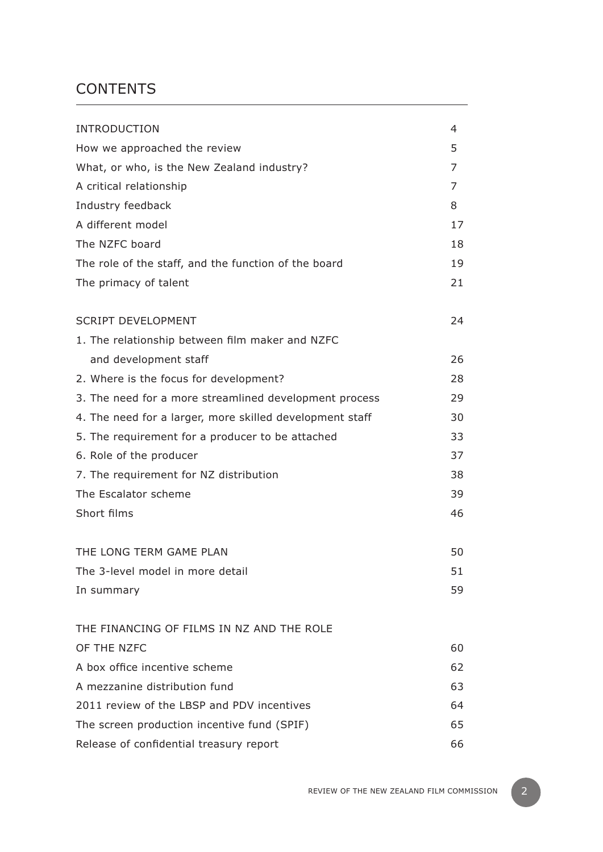# **CONTENTS**

| <b>INTRODUCTION</b>                                      | 4  |
|----------------------------------------------------------|----|
| How we approached the review                             | 5  |
| What, or who, is the New Zealand industry?               | 7  |
| A critical relationship                                  | 7  |
| Industry feedback                                        | 8  |
| A different model                                        | 17 |
| The NZFC board                                           | 18 |
| The role of the staff, and the function of the board     | 19 |
| The primacy of talent                                    | 21 |
| <b>SCRIPT DEVELOPMENT</b>                                | 24 |
| 1. The relationship between film maker and NZFC          |    |
| and development staff                                    | 26 |
| 2. Where is the focus for development?                   | 28 |
| 3. The need for a more streamlined development process   | 29 |
| 4. The need for a larger, more skilled development staff | 30 |
| 5. The requirement for a producer to be attached         | 33 |
| 6. Role of the producer                                  | 37 |
| 7. The requirement for NZ distribution                   | 38 |
| The Escalator scheme                                     | 39 |
| Short films                                              | 46 |
| THE LONG TERM GAME PLAN                                  | 50 |
| The 3-level model in more detail                         | 51 |
| In summary                                               | 59 |
| THE FINANCING OF FILMS IN NZ AND THE ROLE                |    |
| OF THE NZFC                                              | 60 |
| A box office incentive scheme                            | 62 |
| A mezzanine distribution fund                            | 63 |
| 2011 review of the LBSP and PDV incentives               | 64 |
| The screen production incentive fund (SPIF)              | 65 |
| Release of confidential treasury report                  | 66 |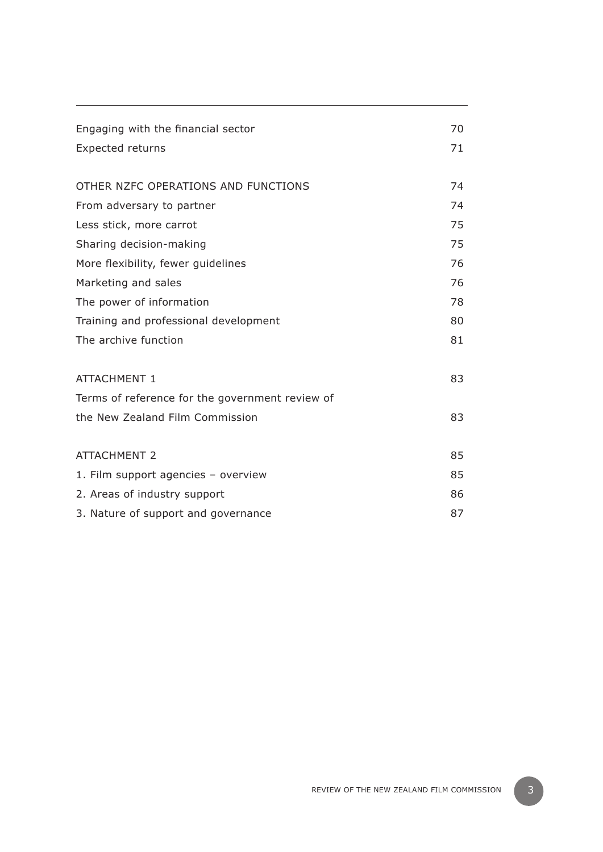| Engaging with the financial sector              | 70 |
|-------------------------------------------------|----|
|                                                 |    |
| <b>Expected returns</b>                         | 71 |
|                                                 |    |
| OTHER NZFC OPERATIONS AND FUNCTIONS             | 74 |
| From adversary to partner                       | 74 |
| Less stick, more carrot                         | 75 |
| Sharing decision-making                         | 75 |
| More flexibility, fewer guidelines              | 76 |
| Marketing and sales                             | 76 |
| The power of information                        | 78 |
| Training and professional development           | 80 |
| The archive function                            | 81 |
| <b>ATTACHMENT 1</b>                             | 83 |
| Terms of reference for the government review of |    |
| the New Zealand Film Commission                 | 83 |
|                                                 |    |
| <b>ATTACHMENT 2</b>                             | 85 |
| 1. Film support agencies - overview             | 85 |
| 2. Areas of industry support                    | 86 |
| 3. Nature of support and governance             | 87 |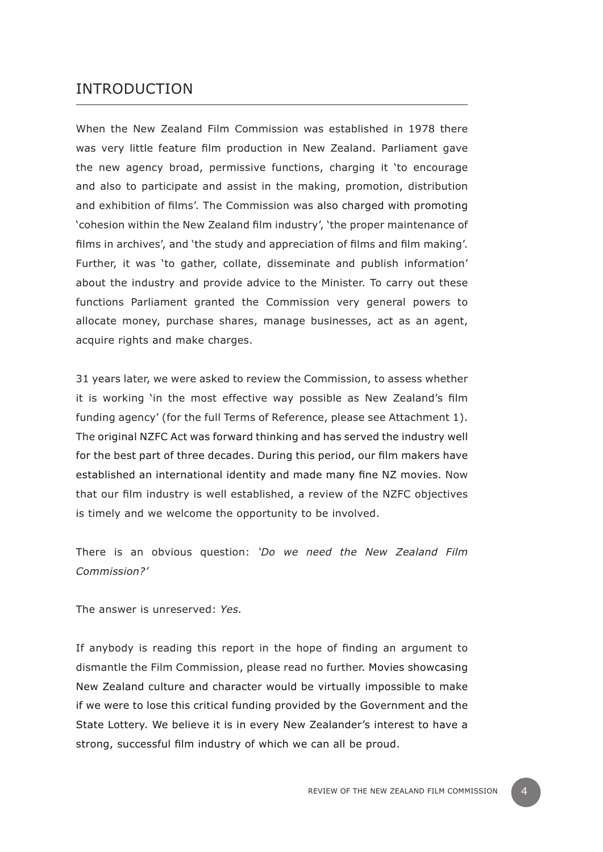# INTRODUCTION

When the New Zealand Film Commission was established in 1978 there was very little feature film production in New Zealand. Parliament gave the new agency broad, permissive functions, charging it 'to encourage and also to participate and assist in the making, promotion, distribution and exhibition of films'. The Commission was also charged with promoting 'cohesion within the New Zealand film industry', 'the proper maintenance of films in archives', and 'the study and appreciation of films and film making'. Further, it was 'to gather, collate, disseminate and publish information' about the industry and provide advice to the Minister. To carry out these functions Parliament granted the Commission very general powers to allocate money, purchase shares, manage businesses, act as an agent, acquire rights and make charges.

31 years later, we were asked to review the Commission, to assess whether it is working 'in the most effective way possible as New Zealand's film funding agency' (for the full Terms of Reference, please see Attachment 1). The original NZFC Act was forward thinking and has served the industry well for the best part of three decades. During this period, our film makers have established an international identity and made many fine NZ movies. Now that our film industry is well established, a review of the NZFC objectives is timely and we welcome the opportunity to be involved.

There is an obvious question: *'Do we need the New Zealand Film Commission?'*

The answer is unreserved: *Yes.* 

If anybody is reading this report in the hope of finding an argument to dismantle the Film Commission, please read no further. Movies showcasing New Zealand culture and character would be virtually impossible to make if we were to lose this critical funding provided by the Government and the State Lottery. We believe it is in every New Zealander's interest to have a strong, successful film industry of which we can all be proud.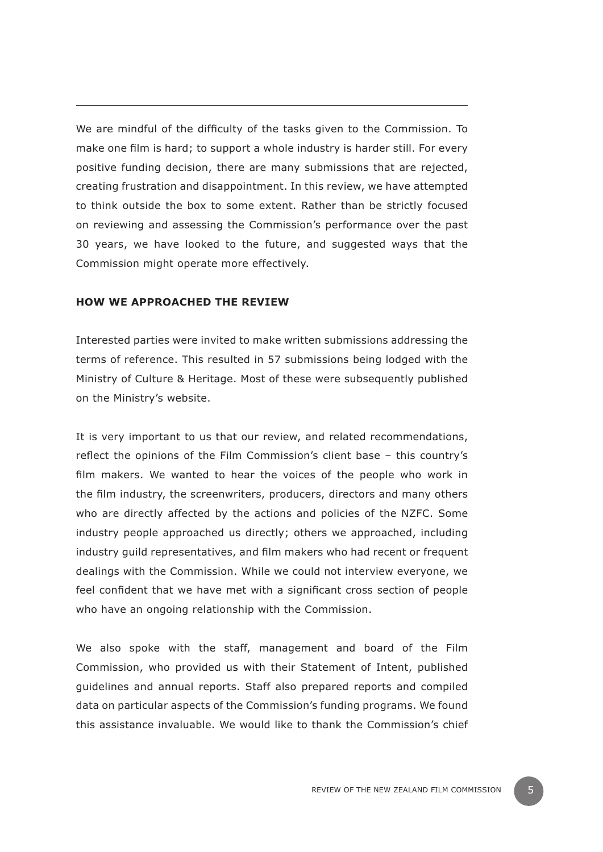We are mindful of the difficulty of the tasks given to the Commission. To make one film is hard; to support a whole industry is harder still. For every positive funding decision, there are many submissions that are rejected, creating frustration and disappointment. In this review, we have attempted to think outside the box to some extent. Rather than be strictly focused on reviewing and assessing the Commission's performance over the past 30 years, we have looked to the future, and suggested ways that the Commission might operate more effectively.

#### **How we approached the review**

Interested parties were invited to make written submissions addressing the terms of reference. This resulted in 57 submissions being lodged with the Ministry of Culture & Heritage. Most of these were subsequently published on the Ministry's website.

It is very important to us that our review, and related recommendations, reflect the opinions of the Film Commission's client base – this country's film makers. We wanted to hear the voices of the people who work in the film industry, the screenwriters, producers, directors and many others who are directly affected by the actions and policies of the NZFC. Some industry people approached us directly; others we approached, including industry guild representatives, and film makers who had recent or frequent dealings with the Commission. While we could not interview everyone, we feel confident that we have met with a significant cross section of people who have an ongoing relationship with the Commission.

We also spoke with the staff, management and board of the Film Commission, who provided us with their Statement of Intent, published guidelines and annual reports. Staff also prepared reports and compiled data on particular aspects of the Commission's funding programs. We found this assistance invaluable. We would like to thank the Commission's chief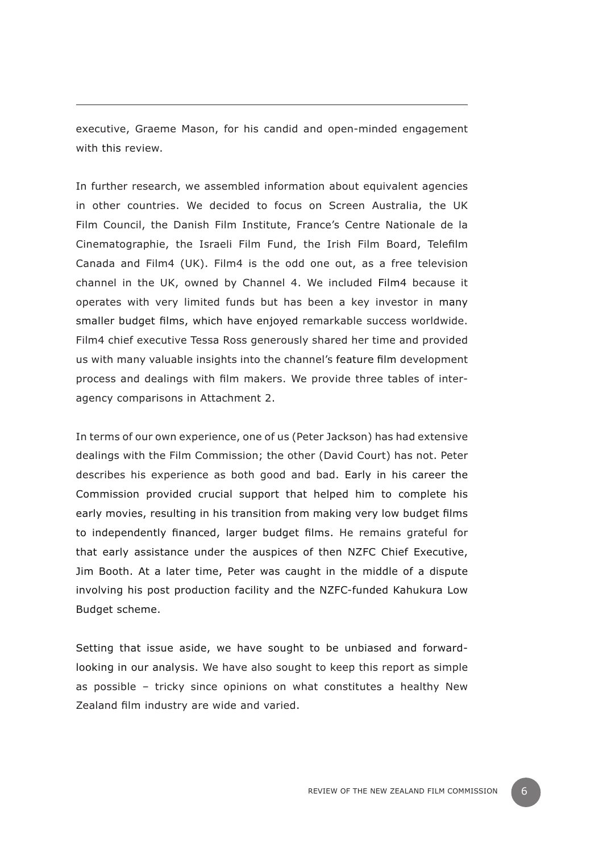executive, Graeme Mason, for his candid and open-minded engagement with this review.

In further research, we assembled information about equivalent agencies in other countries. We decided to focus on Screen Australia, the UK Film Council, the Danish Film Institute, France's Centre Nationale de la Cinematographie, the Israeli Film Fund, the Irish Film Board, Telefilm Canada and Film4 (UK). Film4 is the odd one out, as a free television channel in the UK, owned by Channel 4. We included Film4 because it operates with very limited funds but has been a key investor in many smaller budget films, which have enjoyed remarkable success worldwide. Film4 chief executive Tessa Ross generously shared her time and provided us with many valuable insights into the channel's feature film development process and dealings with film makers. We provide three tables of interagency comparisons in Attachment 2.

In terms of our own experience, one of us (Peter Jackson) has had extensive dealings with the Film Commission; the other (David Court) has not. Peter describes his experience as both good and bad. Early in his career the Commission provided crucial support that helped him to complete his early movies, resulting in his transition from making very low budget films to independently financed, larger budget films. He remains grateful for that early assistance under the auspices of then NZFC Chief Executive, Jim Booth. At a later time, Peter was caught in the middle of a dispute involving his post production facility and the NZFC-funded Kahukura Low Budget scheme.

Setting that issue aside, we have sought to be unbiased and forwardlooking in our analysis. We have also sought to keep this report as simple as possible – tricky since opinions on what constitutes a healthy New Zealand film industry are wide and varied.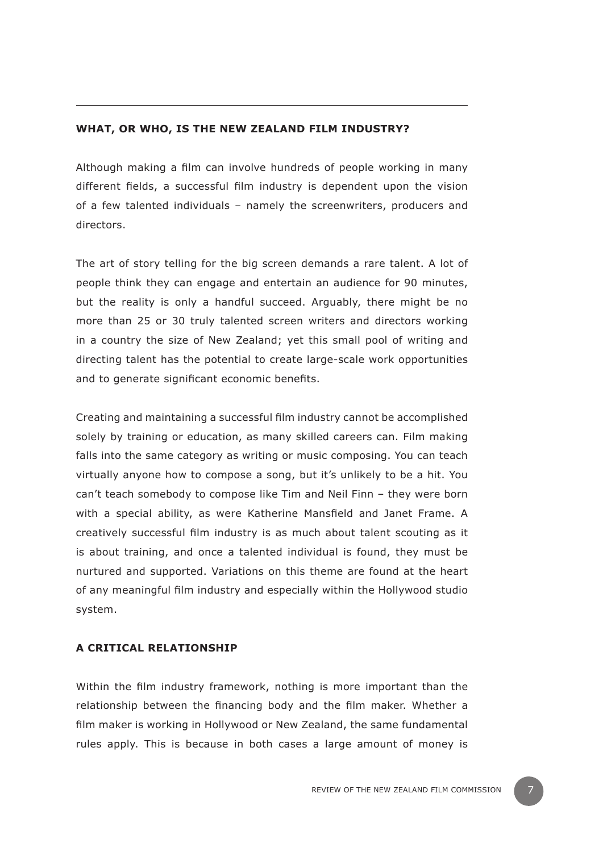#### **What, or who, is the New Zealand film industry?**

Although making a film can involve hundreds of people working in many different fields, a successful film industry is dependent upon the vision of a few talented individuals – namely the screenwriters, producers and directors.

The art of story telling for the big screen demands a rare talent. A lot of people think they can engage and entertain an audience for 90 minutes, but the reality is only a handful succeed. Arguably, there might be no more than 25 or 30 truly talented screen writers and directors working in a country the size of New Zealand; yet this small pool of writing and directing talent has the potential to create large-scale work opportunities and to generate significant economic benefits.

Creating and maintaining a successful film industry cannot be accomplished solely by training or education, as many skilled careers can. Film making falls into the same category as writing or music composing. You can teach virtually anyone how to compose a song, but it's unlikely to be a hit. You can't teach somebody to compose like Tim and Neil Finn – they were born with a special ability, as were Katherine Mansfield and Janet Frame. A creatively successful film industry is as much about talent scouting as it is about training, and once a talented individual is found, they must be nurtured and supported. Variations on this theme are found at the heart of any meaningful film industry and especially within the Hollywood studio system.

#### **A critical relationship**

Within the film industry framework, nothing is more important than the relationship between the financing body and the film maker. Whether a film maker is working in Hollywood or New Zealand, the same fundamental rules apply. This is because in both cases a large amount of money is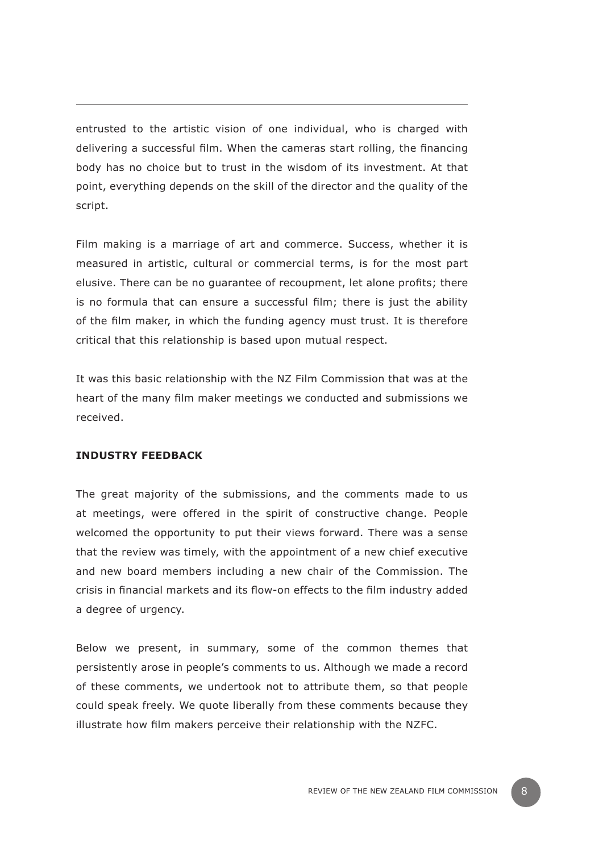entrusted to the artistic vision of one individual, who is charged with delivering a successful film. When the cameras start rolling, the financing body has no choice but to trust in the wisdom of its investment. At that point, everything depends on the skill of the director and the quality of the script.

Film making is a marriage of art and commerce. Success, whether it is measured in artistic, cultural or commercial terms, is for the most part elusive. There can be no guarantee of recoupment, let alone profits; there is no formula that can ensure a successful film; there is just the ability of the film maker, in which the funding agency must trust. It is therefore critical that this relationship is based upon mutual respect.

It was this basic relationship with the NZ Film Commission that was at the heart of the many film maker meetings we conducted and submissions we received.

#### **Industry feedback**

The great majority of the submissions, and the comments made to us at meetings, were offered in the spirit of constructive change. People welcomed the opportunity to put their views forward. There was a sense that the review was timely, with the appointment of a new chief executive and new board members including a new chair of the Commission. The crisis in financial markets and its flow-on effects to the film industry added a degree of urgency.

Below we present, in summary, some of the common themes that persistently arose in people's comments to us. Although we made a record of these comments, we undertook not to attribute them, so that people could speak freely. We quote liberally from these comments because they illustrate how film makers perceive their relationship with the NZFC.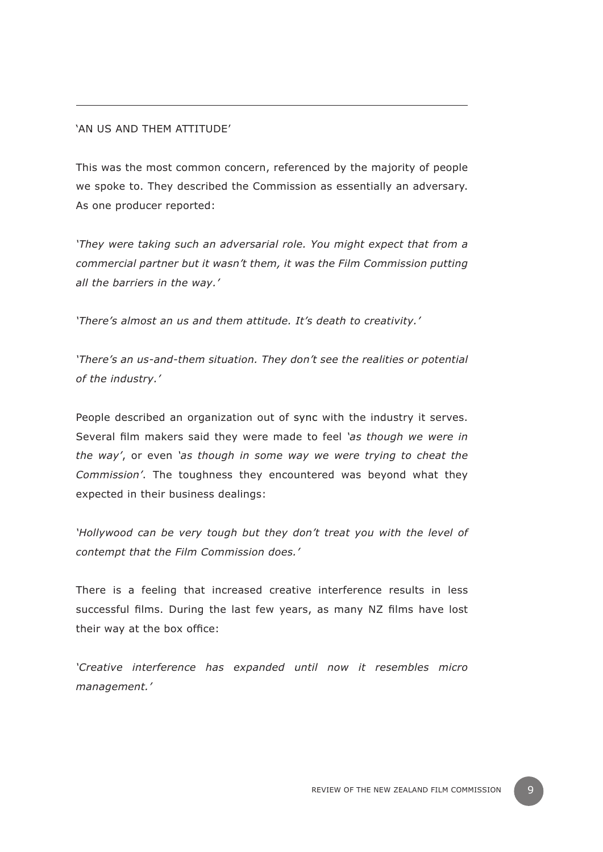#### 'An us and them attitude'

This was the most common concern, referenced by the majority of people we spoke to. They described the Commission as essentially an adversary. As one producer reported:

*'They were taking such an adversarial role. You might expect that from a commercial partner but it wasn't them, it was the Film Commission putting all the barriers in the way.'*

*'There's almost an us and them attitude. It's death to creativity.'* 

*'There's an us-and-them situation. They don't see the realities or potential of the industry.'* 

People described an organization out of sync with the industry it serves. Several film makers said they were made to feel *'as though we were in the way'*, or even *'as though in some way we were trying to cheat the Commission'*. The toughness they encountered was beyond what they expected in their business dealings:

*'Hollywood can be very tough but they don't treat you with the level of contempt that the Film Commission does.'*

There is a feeling that increased creative interference results in less successful films. During the last few years, as many NZ films have lost their way at the box office:

*'Creative interference has expanded until now it resembles micro management.'*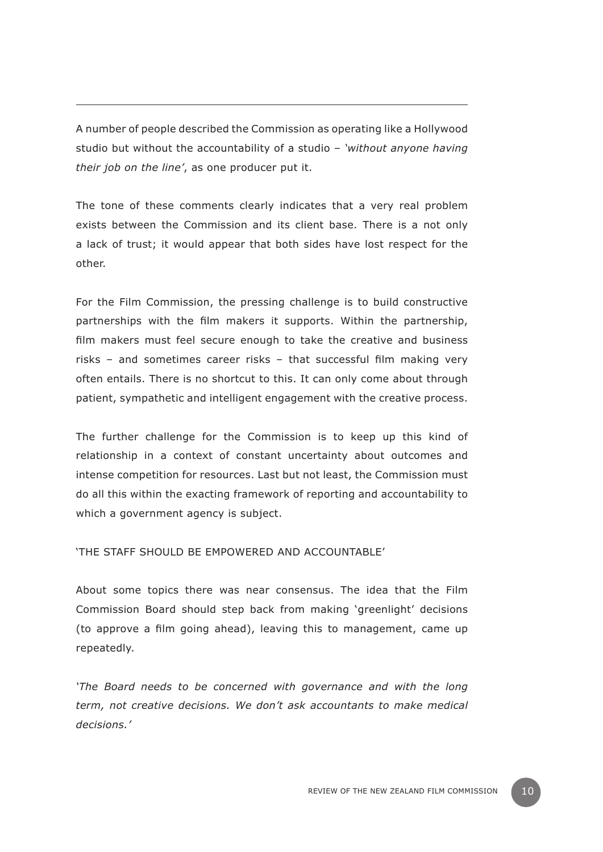A number of people described the Commission as operating like a Hollywood studio but without the accountability of a studio – *'without anyone having their job on the line'*, as one producer put it.

The tone of these comments clearly indicates that a very real problem exists between the Commission and its client base. There is a not only a lack of trust; it would appear that both sides have lost respect for the other.

For the Film Commission, the pressing challenge is to build constructive partnerships with the film makers it supports. Within the partnership, film makers must feel secure enough to take the creative and business risks – and sometimes career risks – that successful film making very often entails. There is no shortcut to this. It can only come about through patient, sympathetic and intelligent engagement with the creative process.

The further challenge for the Commission is to keep up this kind of relationship in a context of constant uncertainty about outcomes and intense competition for resources. Last but not least, the Commission must do all this within the exacting framework of reporting and accountability to which a government agency is subject.

'The staff should be empowered and accountable'

About some topics there was near consensus. The idea that the Film Commission Board should step back from making 'greenlight' decisions (to approve a film going ahead), leaving this to management, came up repeatedly.

*'The Board needs to be concerned with governance and with the long term, not creative decisions. We don't ask accountants to make medical decisions.'*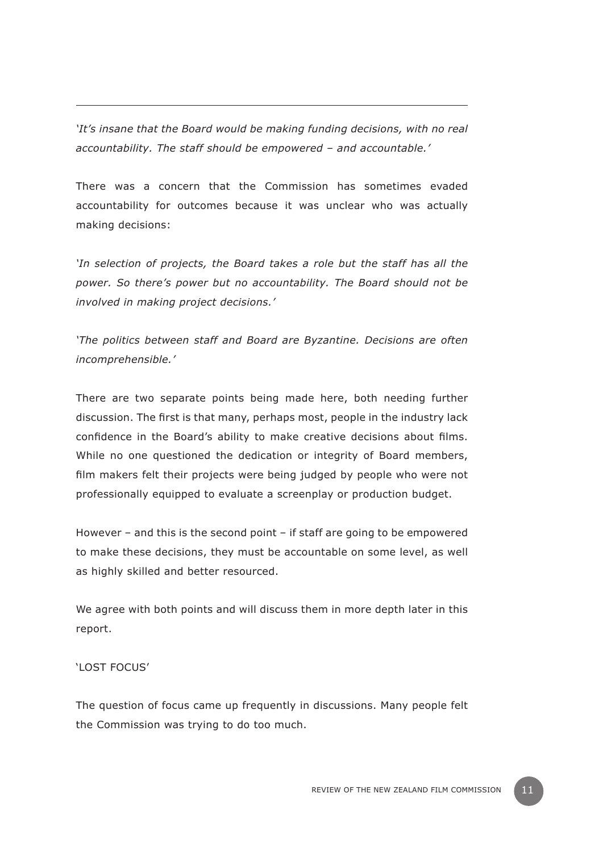*'It's insane that the Board would be making funding decisions, with no real accountability. The staff should be empowered – and accountable.'*

There was a concern that the Commission has sometimes evaded accountability for outcomes because it was unclear who was actually making decisions:

*'In selection of projects, the Board takes a role but the staff has all the power. So there's power but no accountability. The Board should not be involved in making project decisions.'*

*'The politics between staff and Board are Byzantine. Decisions are often incomprehensible.'*

There are two separate points being made here, both needing further discussion. The first is that many, perhaps most, people in the industry lack confidence in the Board's ability to make creative decisions about films. While no one questioned the dedication or integrity of Board members, film makers felt their projects were being judged by people who were not professionally equipped to evaluate a screenplay or production budget.

However – and this is the second point – if staff are going to be empowered to make these decisions, they must be accountable on some level, as well as highly skilled and better resourced.

We agree with both points and will discuss them in more depth later in this report.

#### 'Lost focus'

The question of focus came up frequently in discussions. Many people felt the Commission was trying to do too much.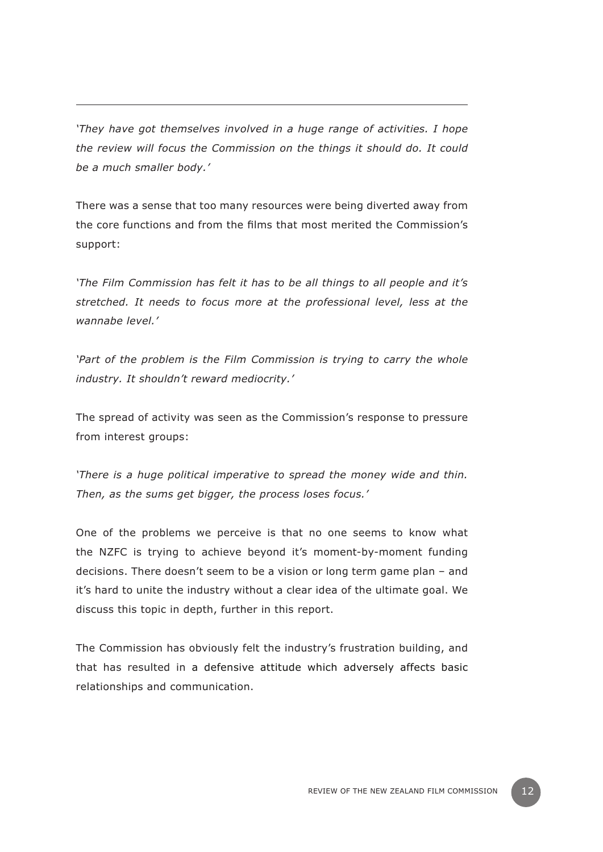*'They have got themselves involved in a huge range of activities. I hope the review will focus the Commission on the things it should do. It could be a much smaller body.'* 

There was a sense that too many resources were being diverted away from the core functions and from the films that most merited the Commission's support:

*'The Film Commission has felt it has to be all things to all people and it's stretched. It needs to focus more at the professional level, less at the wannabe level.'* 

'Part of the problem is the Film Commission is trying to carry the whole *industry. It shouldn't reward mediocrity.'* 

The spread of activity was seen as the Commission's response to pressure from interest groups:

*'There is a huge political imperative to spread the money wide and thin. Then, as the sums get bigger, the process loses focus.'*

One of the problems we perceive is that no one seems to know what the NZFC is trying to achieve beyond it's moment-by-moment funding decisions. There doesn't seem to be a vision or long term game plan – and it's hard to unite the industry without a clear idea of the ultimate goal. We discuss this topic in depth, further in this report.

The Commission has obviously felt the industry's frustration building, and that has resulted in a defensive attitude which adversely affects basic relationships and communication.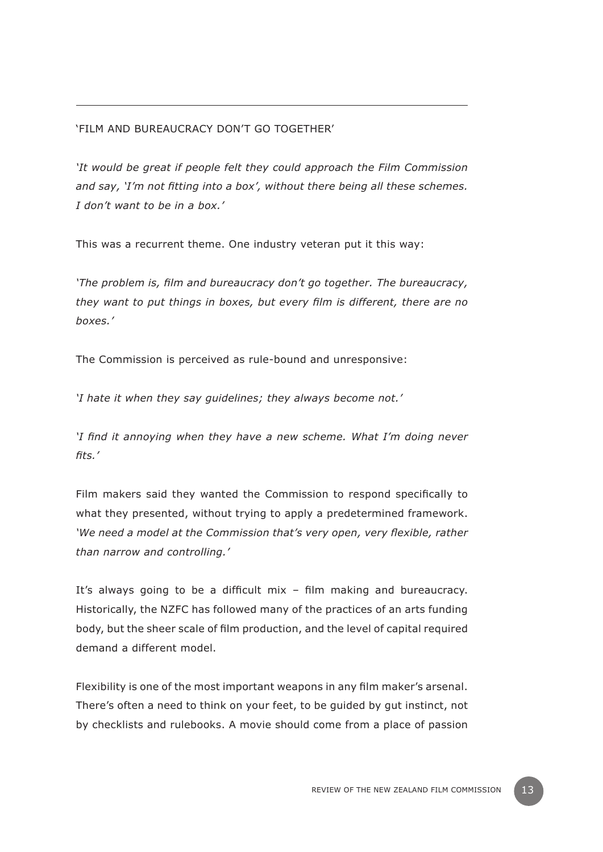# 'Film and bureaucracy don't go together'

*'It would be great if people felt they could approach the Film Commission and say, 'I'm not fitting into a box', without there being all these schemes. I don't want to be in a box.'* 

This was a recurrent theme. One industry veteran put it this way:

*'The problem is, film and bureaucracy don't go together. The bureaucracy, they want to put things in boxes, but every film is different, there are no boxes.'* 

The Commission is perceived as rule-bound and unresponsive:

*'I hate it when they say guidelines; they always become not.'*

*'I find it annoying when they have a new scheme. What I'm doing never fits.'* 

Film makers said they wanted the Commission to respond specifically to what they presented, without trying to apply a predetermined framework. *'We need a model at the Commission that's very open, very flexible, rather than narrow and controlling.'* 

It's always going to be a difficult mix – film making and bureaucracy. Historically, the NZFC has followed many of the practices of an arts funding body, but the sheer scale of film production, and the level of capital required demand a different model.

Flexibility is one of the most important weapons in any film maker's arsenal. There's often a need to think on your feet, to be guided by gut instinct, not by checklists and rulebooks. A movie should come from a place of passion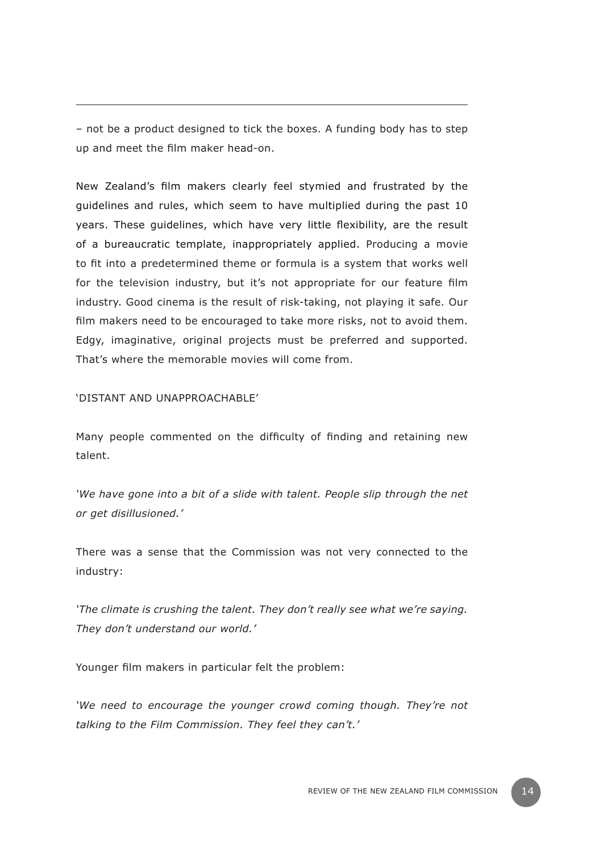– not be a product designed to tick the boxes. A funding body has to step up and meet the film maker head-on.

New Zealand's film makers clearly feel stymied and frustrated by the guidelines and rules, which seem to have multiplied during the past 10 years. These guidelines, which have very little flexibility, are the result of a bureaucratic template, inappropriately applied. Producing a movie to fit into a predetermined theme or formula is a system that works well for the television industry, but it's not appropriate for our feature film industry. Good cinema is the result of risk-taking, not playing it safe. Our film makers need to be encouraged to take more risks, not to avoid them. Edgy, imaginative, original projects must be preferred and supported. That's where the memorable movies will come from.

'Distant and unapproachable'

Many people commented on the difficulty of finding and retaining new talent.

*'We have gone into a bit of a slide with talent. People slip through the net or get disillusioned.'* 

There was a sense that the Commission was not very connected to the industry:

*'The climate is crushing the talent. They don't really see what we're saying. They don't understand our world.'* 

Younger film makers in particular felt the problem:

*'We need to encourage the younger crowd coming though. They're not talking to the Film Commission. They feel they can't.'*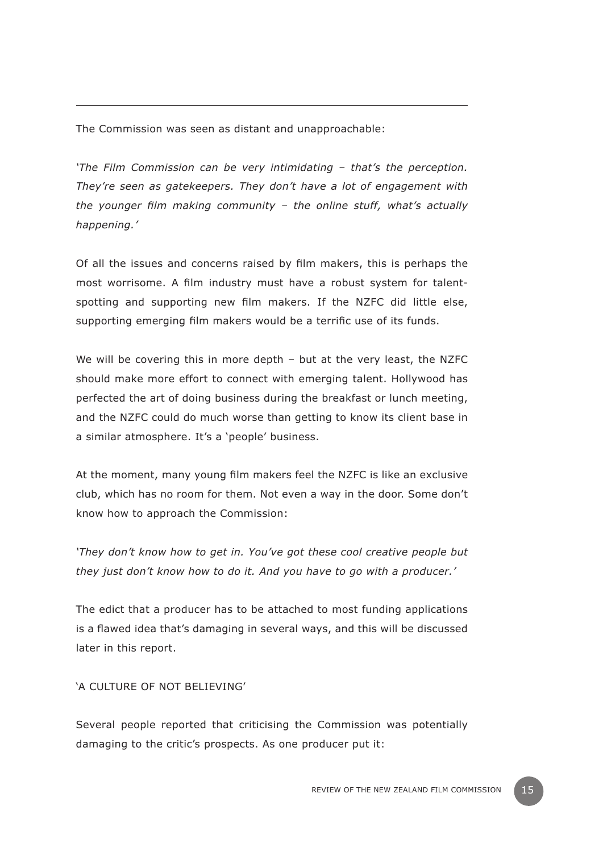The Commission was seen as distant and unapproachable:

*'The Film Commission can be very intimidating – that's the perception. They're seen as gatekeepers. They don't have a lot of engagement with the younger film making community – the online stuff, what's actually happening.'* 

Of all the issues and concerns raised by film makers, this is perhaps the most worrisome. A film industry must have a robust system for talentspotting and supporting new film makers. If the NZFC did little else, supporting emerging film makers would be a terrific use of its funds.

We will be covering this in more depth - but at the very least, the NZFC should make more effort to connect with emerging talent. Hollywood has perfected the art of doing business during the breakfast or lunch meeting, and the NZFC could do much worse than getting to know its client base in a similar atmosphere. It's a 'people' business.

At the moment, many young film makers feel the NZFC is like an exclusive club, which has no room for them. Not even a way in the door. Some don't know how to approach the Commission:

*'They don't know how to get in. You've got these cool creative people but they just don't know how to do it. And you have to go with a producer.'*

The edict that a producer has to be attached to most funding applications is a flawed idea that's damaging in several ways, and this will be discussed later in this report.

'A culture of not believing'

Several people reported that criticising the Commission was potentially damaging to the critic's prospects. As one producer put it: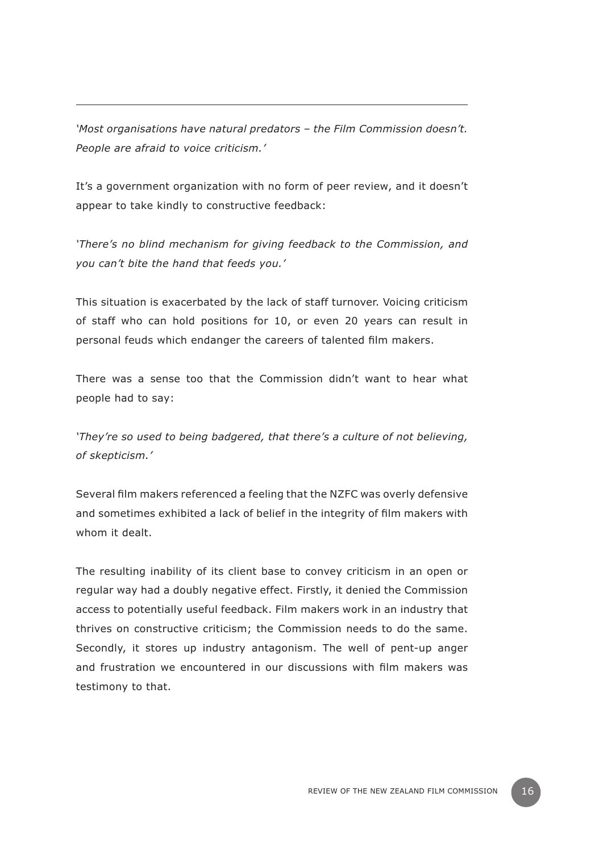*'Most organisations have natural predators – the Film Commission doesn't. People are afraid to voice criticism.'* 

It's a government organization with no form of peer review, and it doesn't appear to take kindly to constructive feedback:

*'There's no blind mechanism for giving feedback to the Commission, and you can't bite the hand that feeds you.'* 

This situation is exacerbated by the lack of staff turnover. Voicing criticism of staff who can hold positions for 10, or even 20 years can result in personal feuds which endanger the careers of talented film makers.

There was a sense too that the Commission didn't want to hear what people had to say:

*'They're so used to being badgered, that there's a culture of not believing, of skepticism.'* 

Several film makers referenced a feeling that the NZFC was overly defensive and sometimes exhibited a lack of belief in the integrity of film makers with whom it dealt.

The resulting inability of its client base to convey criticism in an open or regular way had a doubly negative effect. Firstly, it denied the Commission access to potentially useful feedback. Film makers work in an industry that thrives on constructive criticism; the Commission needs to do the same. Secondly, it stores up industry antagonism. The well of pent-up anger and frustration we encountered in our discussions with film makers was testimony to that.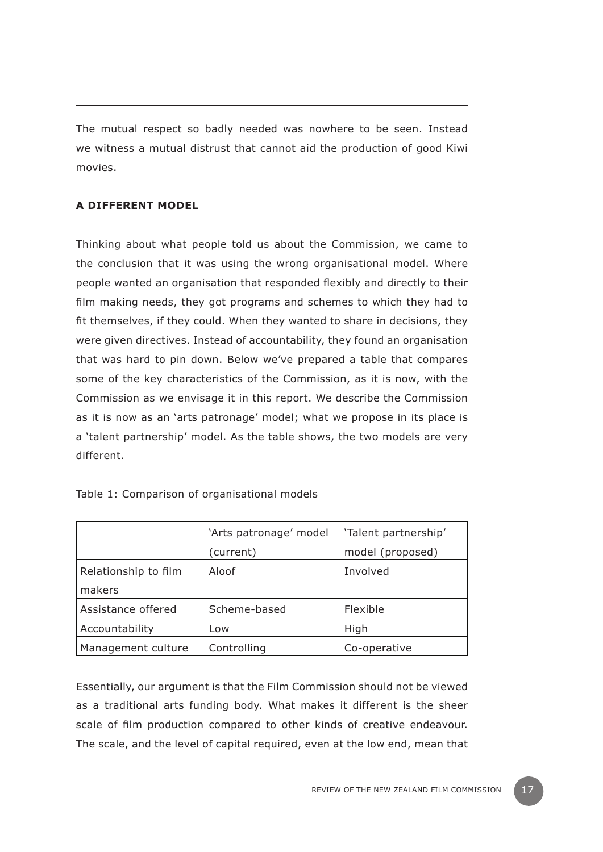The mutual respect so badly needed was nowhere to be seen. Instead we witness a mutual distrust that cannot aid the production of good Kiwi movies.

# **A different model**

Thinking about what people told us about the Commission, we came to the conclusion that it was using the wrong organisational model. Where people wanted an organisation that responded flexibly and directly to their film making needs, they got programs and schemes to which they had to fit themselves, if they could. When they wanted to share in decisions, they were given directives. Instead of accountability, they found an organisation that was hard to pin down. Below we've prepared a table that compares some of the key characteristics of the Commission, as it is now, with the Commission as we envisage it in this report. We describe the Commission as it is now as an 'arts patronage' model; what we propose in its place is a 'talent partnership' model. As the table shows, the two models are very different.

|                      | 'Arts patronage' model | 'Talent partnership' |
|----------------------|------------------------|----------------------|
|                      | (current)              | model (proposed)     |
| Relationship to film | Aloof                  | Involved             |
| makers               |                        |                      |
| Assistance offered   | Scheme-based           | Flexible             |
| Accountability       | Low                    | High                 |
| Management culture   | Controlling            | Co-operative         |

Table 1: Comparison of organisational models

Essentially, our argument is that the Film Commission should not be viewed as a traditional arts funding body. What makes it different is the sheer scale of film production compared to other kinds of creative endeavour. The scale, and the level of capital required, even at the low end, mean that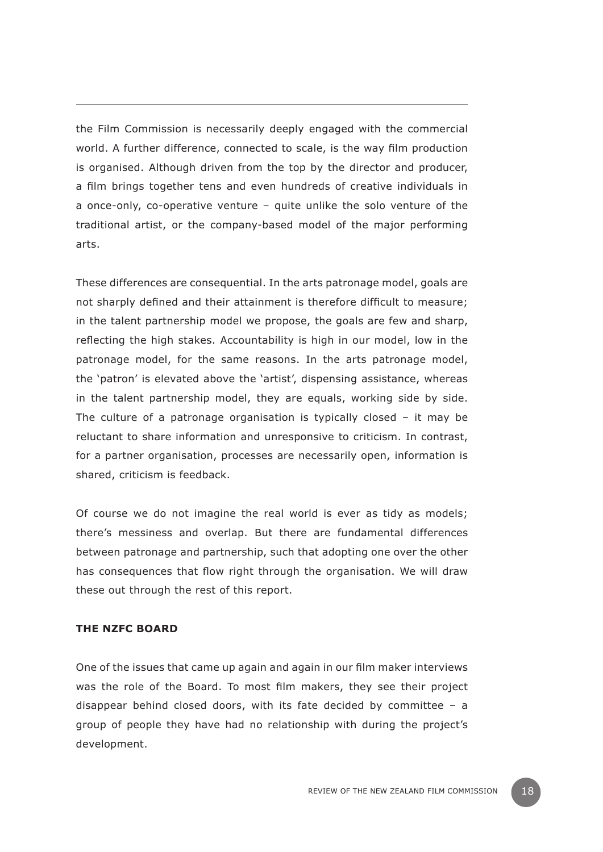the Film Commission is necessarily deeply engaged with the commercial world. A further difference, connected to scale, is the way film production is organised. Although driven from the top by the director and producer, a film brings together tens and even hundreds of creative individuals in a once-only, co-operative venture – quite unlike the solo venture of the traditional artist, or the company-based model of the major performing arts.

These differences are consequential. In the arts patronage model, goals are not sharply defined and their attainment is therefore difficult to measure; in the talent partnership model we propose, the goals are few and sharp, reflecting the high stakes. Accountability is high in our model, low in the patronage model, for the same reasons. In the arts patronage model, the 'patron' is elevated above the 'artist', dispensing assistance, whereas in the talent partnership model, they are equals, working side by side. The culture of a patronage organisation is typically closed – it may be reluctant to share information and unresponsive to criticism. In contrast, for a partner organisation, processes are necessarily open, information is shared, criticism is feedback.

Of course we do not imagine the real world is ever as tidy as models; there's messiness and overlap. But there are fundamental differences between patronage and partnership, such that adopting one over the other has consequences that flow right through the organisation. We will draw these out through the rest of this report.

#### **The NZFC Board**

One of the issues that came up again and again in our film maker interviews was the role of the Board. To most film makers, they see their project disappear behind closed doors, with its fate decided by committee – a group of people they have had no relationship with during the project's development.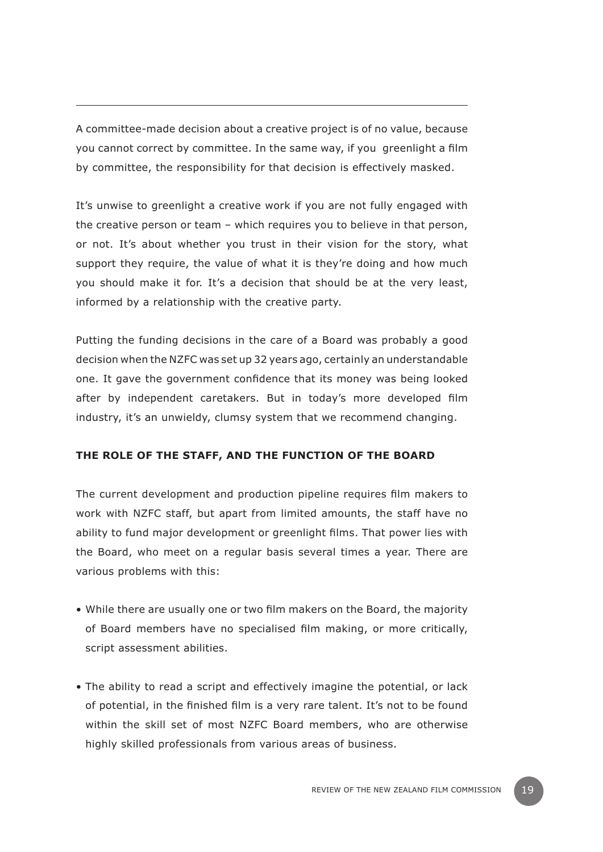A committee-made decision about a creative project is of no value, because you cannot correct by committee. In the same way, if you greenlight a film by committee, the responsibility for that decision is effectively masked.

It's unwise to greenlight a creative work if you are not fully engaged with the creative person or team – which requires you to believe in that person, or not. It's about whether you trust in their vision for the story, what support they require, the value of what it is they're doing and how much you should make it for. It's a decision that should be at the very least, informed by a relationship with the creative party.

Putting the funding decisions in the care of a Board was probably a good decision when the NZFC was set up 32 years ago, certainly an understandable one. It gave the government confidence that its money was being looked after by independent caretakers. But in today's more developed film industry, it's an unwieldy, clumsy system that we recommend changing.

## **The role of the staff, and the function of the Board**

The current development and production pipeline requires film makers to work with NZFC staff, but apart from limited amounts, the staff have no ability to fund major development or greenlight films. That power lies with the Board, who meet on a regular basis several times a year. There are various problems with this:

- While there are usually one or two film makers on the Board, the majority of Board members have no specialised film making, or more critically, script assessment abilities.
- The ability to read a script and effectively imagine the potential, or lack of potential, in the finished film is a very rare talent. It's not to be found within the skill set of most NZFC Board members, who are otherwise highly skilled professionals from various areas of business.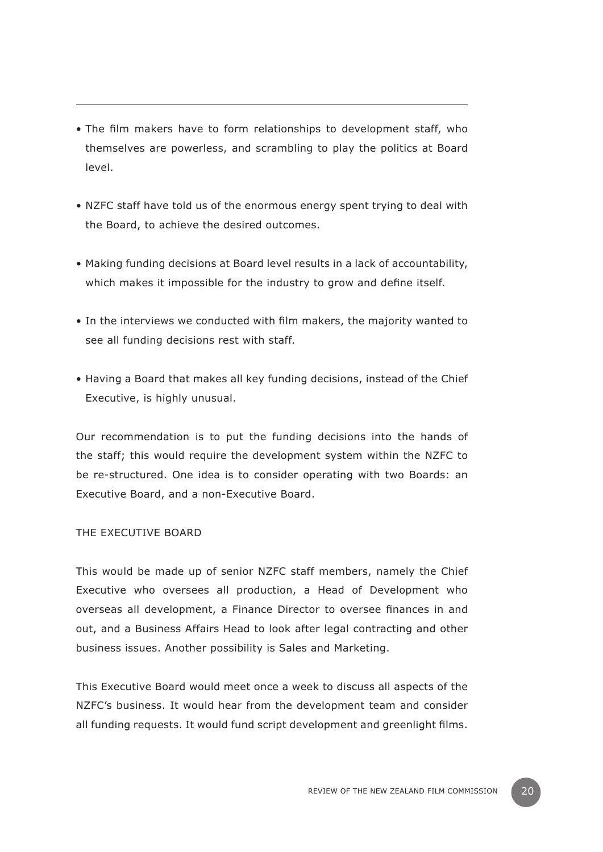- The film makers have to form relationships to development staff, who themselves are powerless, and scrambling to play the politics at Board level.
- NZFC staff have told us of the enormous energy spent trying to deal with the Board, to achieve the desired outcomes.
- Making funding decisions at Board level results in a lack of accountability, which makes it impossible for the industry to grow and define itself.
- In the interviews we conducted with film makers, the majority wanted to see all funding decisions rest with staff.
- Having a Board that makes all key funding decisions, instead of the Chief Executive, is highly unusual.

Our recommendation is to put the funding decisions into the hands of the staff; this would require the development system within the NZFC to be re-structured. One idea is to consider operating with two Boards: an Executive Board, and a non-Executive Board.

## The Executive Board

This would be made up of senior NZFC staff members, namely the Chief Executive who oversees all production, a Head of Development who overseas all development, a Finance Director to oversee finances in and out, and a Business Affairs Head to look after legal contracting and other business issues. Another possibility is Sales and Marketing.

This Executive Board would meet once a week to discuss all aspects of the NZFC's business. It would hear from the development team and consider all funding requests. It would fund script development and greenlight films.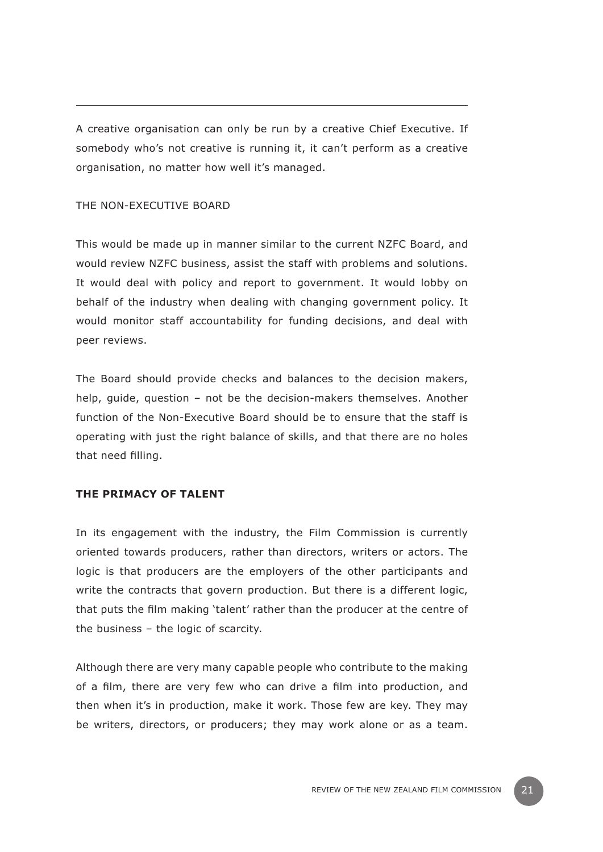A creative organisation can only be run by a creative Chief Executive. If somebody who's not creative is running it, it can't perform as a creative organisation, no matter how well it's managed.

## The Non-Executive Board

This would be made up in manner similar to the current NZFC Board, and would review NZFC business, assist the staff with problems and solutions. It would deal with policy and report to government. It would lobby on behalf of the industry when dealing with changing government policy. It would monitor staff accountability for funding decisions, and deal with peer reviews.

The Board should provide checks and balances to the decision makers, help, guide, question – not be the decision-makers themselves. Another function of the Non-Executive Board should be to ensure that the staff is operating with just the right balance of skills, and that there are no holes that need filling.

## **The primacy of talent**

In its engagement with the industry, the Film Commission is currently oriented towards producers, rather than directors, writers or actors. The logic is that producers are the employers of the other participants and write the contracts that govern production. But there is a different logic, that puts the film making 'talent' rather than the producer at the centre of the business – the logic of scarcity.

Although there are very many capable people who contribute to the making of a film, there are very few who can drive a film into production, and then when it's in production, make it work. Those few are key. They may be writers, directors, or producers; they may work alone or as a team.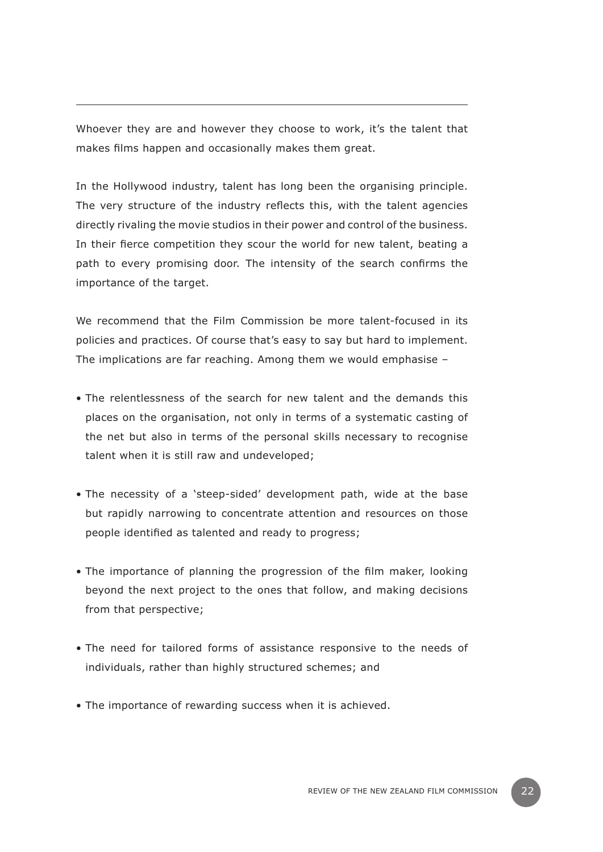Whoever they are and however they choose to work, it's the talent that makes films happen and occasionally makes them great.

In the Hollywood industry, talent has long been the organising principle. The very structure of the industry reflects this, with the talent agencies directly rivaling the movie studios in their power and control of the business. In their fierce competition they scour the world for new talent, beating a path to every promising door. The intensity of the search confirms the importance of the target.

We recommend that the Film Commission be more talent-focused in its policies and practices. Of course that's easy to say but hard to implement. The implications are far reaching. Among them we would emphasise –

- The relentlessness of the search for new talent and the demands this places on the organisation, not only in terms of a systematic casting of the net but also in terms of the personal skills necessary to recognise talent when it is still raw and undeveloped;
- The necessity of a 'steep-sided' development path, wide at the base but rapidly narrowing to concentrate attention and resources on those people identified as talented and ready to progress;
- The importance of planning the progression of the film maker, looking beyond the next project to the ones that follow, and making decisions from that perspective;
- The need for tailored forms of assistance responsive to the needs of individuals, rather than highly structured schemes; and
- The importance of rewarding success when it is achieved.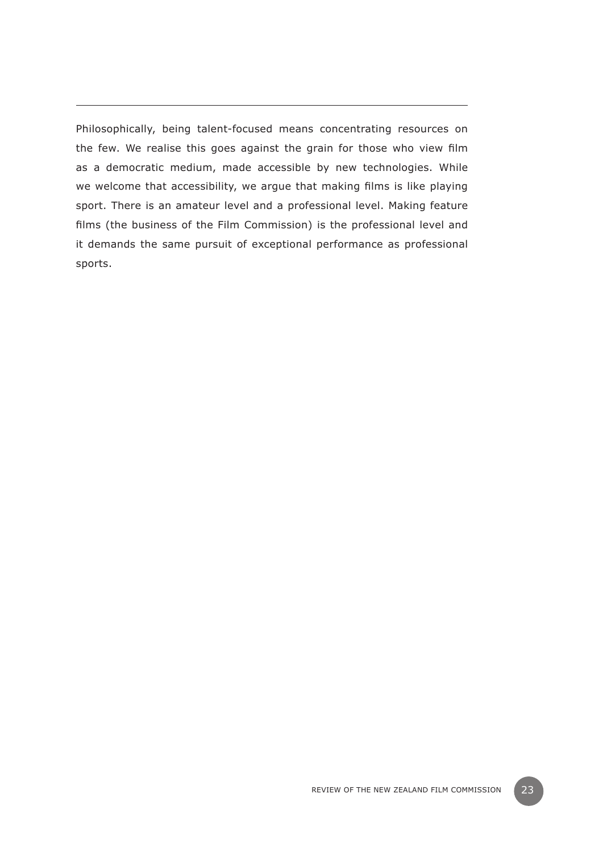Philosophically, being talent-focused means concentrating resources on the few. We realise this goes against the grain for those who view film as a democratic medium, made accessible by new technologies. While we welcome that accessibility, we argue that making films is like playing sport. There is an amateur level and a professional level. Making feature films (the business of the Film Commission) is the professional level and it demands the same pursuit of exceptional performance as professional sports.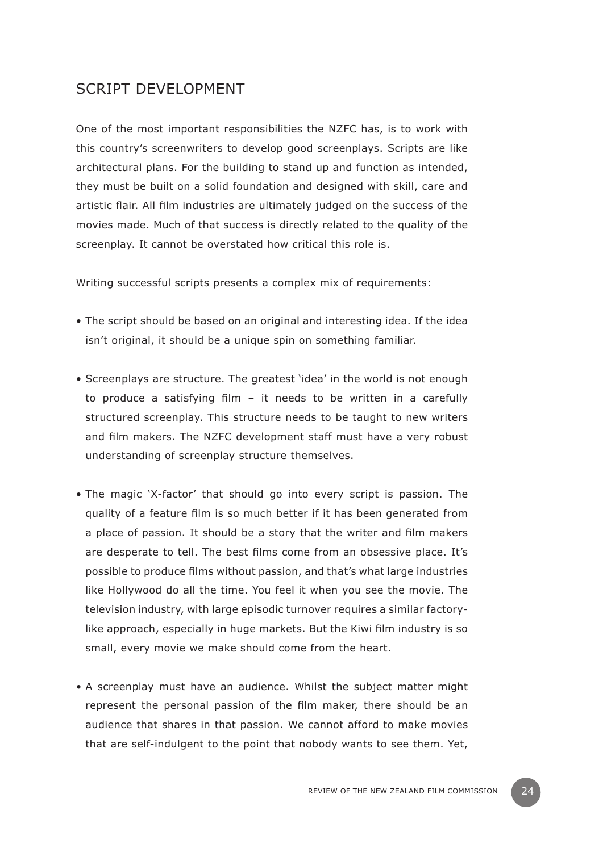# SCRIPT DEVELOPMENT

One of the most important responsibilities the NZFC has, is to work with this country's screenwriters to develop good screenplays. Scripts are like architectural plans. For the building to stand up and function as intended, they must be built on a solid foundation and designed with skill, care and artistic flair. All film industries are ultimately judged on the success of the movies made. Much of that success is directly related to the quality of the screenplay. It cannot be overstated how critical this role is.

Writing successful scripts presents a complex mix of requirements:

- The script should be based on an original and interesting idea. If the idea isn't original, it should be a unique spin on something familiar.
- Screenplays are structure. The greatest 'idea' in the world is not enough to produce a satisfying film – it needs to be written in a carefully structured screenplay. This structure needs to be taught to new writers and film makers. The NZFC development staff must have a very robust understanding of screenplay structure themselves.
- The magic 'X-factor' that should go into every script is passion. The quality of a feature film is so much better if it has been generated from a place of passion. It should be a story that the writer and film makers are desperate to tell. The best films come from an obsessive place. It's possible to produce films without passion, and that's what large industries like Hollywood do all the time. You feel it when you see the movie. The television industry, with large episodic turnover requires a similar factorylike approach, especially in huge markets. But the Kiwi film industry is so small, every movie we make should come from the heart.
- A screenplay must have an audience. Whilst the subject matter might represent the personal passion of the film maker, there should be an audience that shares in that passion. We cannot afford to make movies that are self-indulgent to the point that nobody wants to see them. Yet,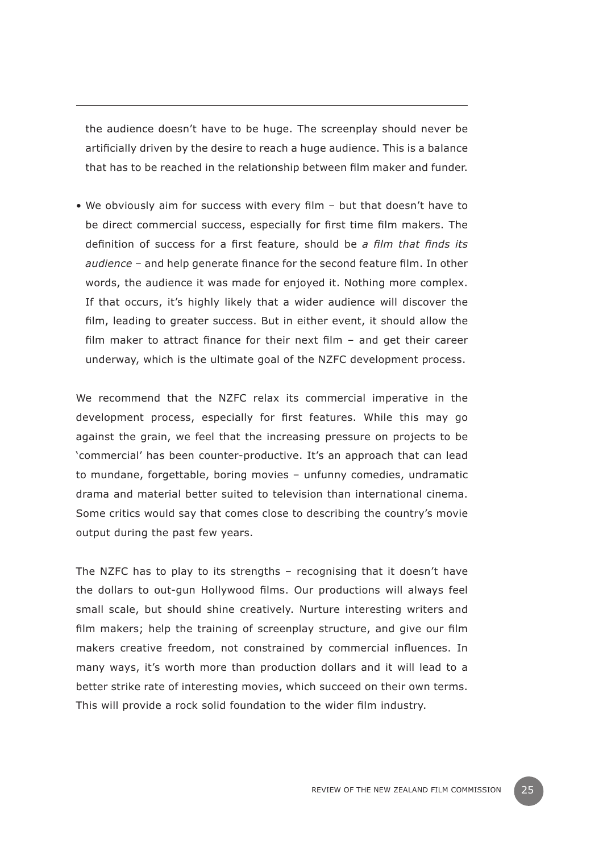the audience doesn't have to be huge. The screenplay should never be artificially driven by the desire to reach a huge audience. This is a balance that has to be reached in the relationship between film maker and funder.

• We obviously aim for success with every film – but that doesn't have to be direct commercial success, especially for first time film makers. The definition of success for a first feature, should be *a film that finds its audience* – and help generate finance for the second feature film. In other words, the audience it was made for enjoyed it. Nothing more complex. If that occurs, it's highly likely that a wider audience will discover the film, leading to greater success. But in either event, it should allow the film maker to attract finance for their next film – and get their career underway, which is the ultimate goal of the NZFC development process.

We recommend that the NZFC relax its commercial imperative in the development process, especially for first features. While this may go against the grain, we feel that the increasing pressure on projects to be 'commercial' has been counter-productive. It's an approach that can lead to mundane, forgettable, boring movies – unfunny comedies, undramatic drama and material better suited to television than international cinema. Some critics would say that comes close to describing the country's movie output during the past few years.

The NZFC has to play to its strengths – recognising that it doesn't have the dollars to out-gun Hollywood films. Our productions will always feel small scale, but should shine creatively. Nurture interesting writers and film makers; help the training of screenplay structure, and give our film makers creative freedom, not constrained by commercial influences. In many ways, it's worth more than production dollars and it will lead to a better strike rate of interesting movies, which succeed on their own terms. This will provide a rock solid foundation to the wider film industry.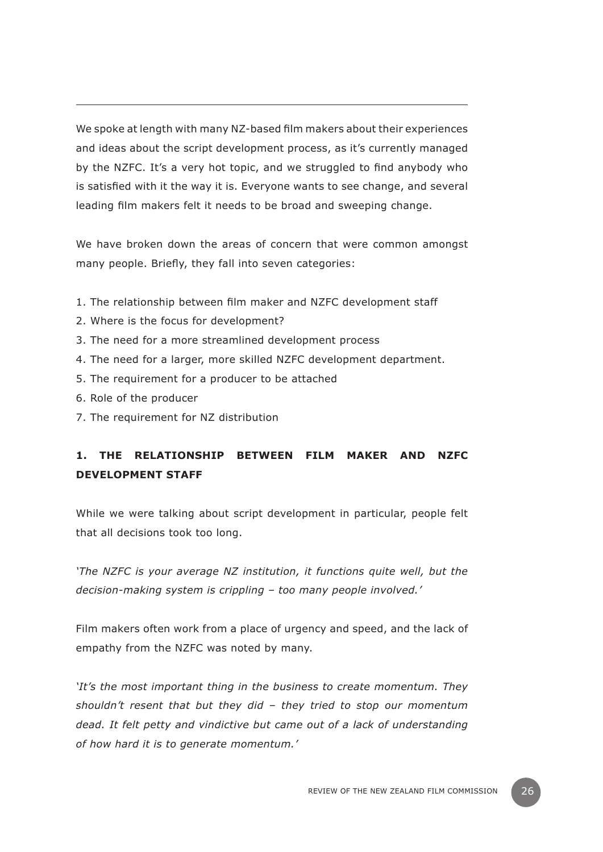We spoke at length with many NZ-based film makers about their experiences and ideas about the script development process, as it's currently managed by the NZFC. It's a very hot topic, and we struggled to find anybody who is satisfied with it the way it is. Everyone wants to see change, and several leading film makers felt it needs to be broad and sweeping change.

We have broken down the areas of concern that were common amongst many people. Briefly, they fall into seven categories:

- 1. The relationship between film maker and NZFC development staff
- 2. Where is the focus for development?
- 3. The need for a more streamlined development process
- 4. The need for a larger, more skilled NZFC development department.
- 5. The requirement for a producer to be attached
- 6. Role of the producer
- 7. The requirement for NZ distribution

# **1. The relationship between film maker and NZFC development staff**

While we were talking about script development in particular, people felt that all decisions took too long.

*'The NZFC is your average NZ institution, it functions quite well, but the decision-making system is crippling – too many people involved.'*

Film makers often work from a place of urgency and speed, and the lack of empathy from the NZFC was noted by many.

*'It's the most important thing in the business to create momentum. They shouldn't resent that but they did – they tried to stop our momentum dead. It felt petty and vindictive but came out of a lack of understanding of how hard it is to generate momentum.'*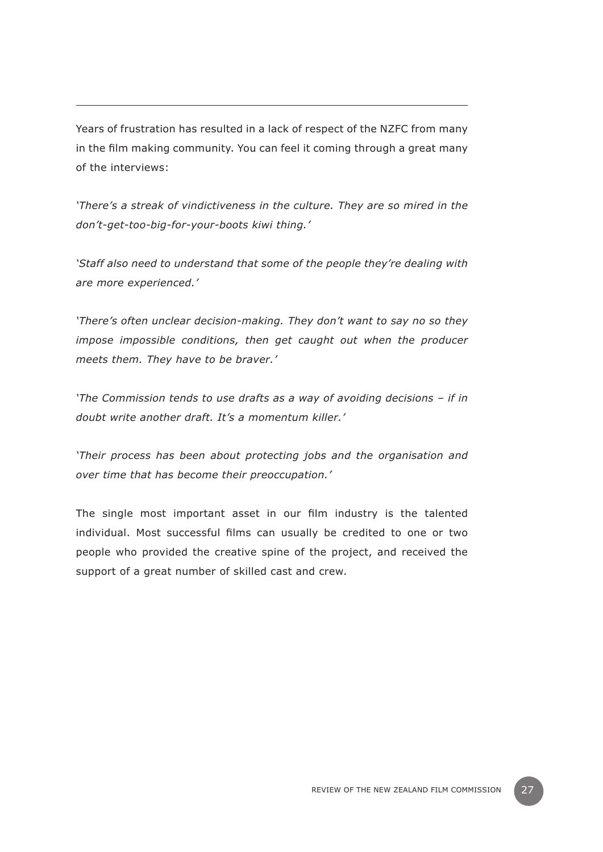Years of frustration has resulted in a lack of respect of the NZFC from many in the film making community. You can feel it coming through a great many of the interviews:

*'There's a streak of vindictiveness in the culture. They are so mired in the don't-get-too-big-for-your-boots kiwi thing.'* 

*'Staff also need to understand that some of the people they're dealing with are more experienced.'*

*'There's often unclear decision-making. They don't want to say no so they impose impossible conditions, then get caught out when the producer meets them. They have to be braver.'*

*'The Commission tends to use drafts as a way of avoiding decisions – if in doubt write another draft. It's a momentum killer.'*

*'Their process has been about protecting jobs and the organisation and over time that has become their preoccupation.'*

The single most important asset in our film industry is the talented individual. Most successful films can usually be credited to one or two people who provided the creative spine of the project, and received the support of a great number of skilled cast and crew.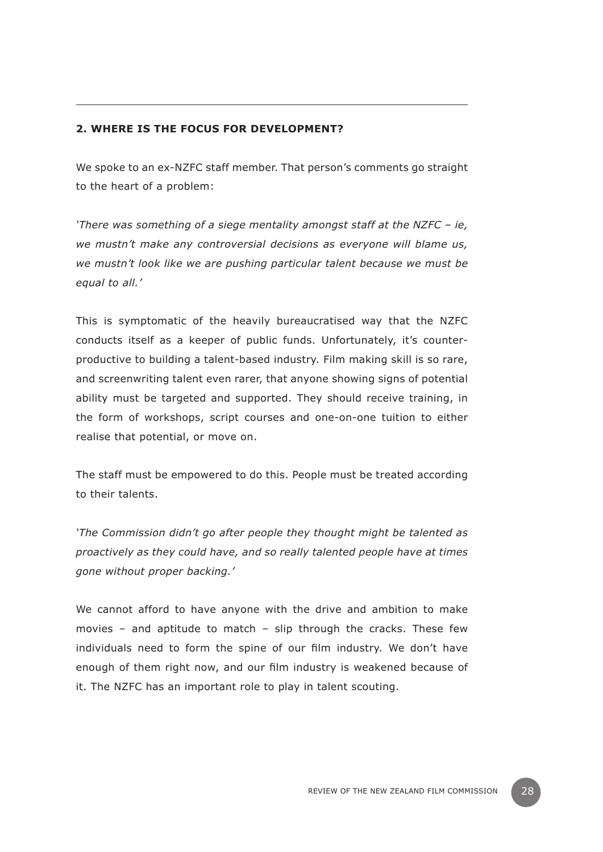## **2. Where is the focus for development?**

We spoke to an ex-NZFC staff member. That person's comments go straight to the heart of a problem:

*'There was something of a siege mentality amongst staff at the NZFC – ie, we mustn't make any controversial decisions as everyone will blame us, we mustn't look like we are pushing particular talent because we must be equal to all.'*

This is symptomatic of the heavily bureaucratised way that the NZFC conducts itself as a keeper of public funds. Unfortunately, it's counterproductive to building a talent-based industry. Film making skill is so rare, and screenwriting talent even rarer, that anyone showing signs of potential ability must be targeted and supported. They should receive training, in the form of workshops, script courses and one-on-one tuition to either realise that potential, or move on.

The staff must be empowered to do this. People must be treated according to their talents.

*'The Commission didn't go after people they thought might be talented as proactively as they could have, and so really talented people have at times gone without proper backing.'*

We cannot afford to have anyone with the drive and ambition to make movies – and aptitude to match – slip through the cracks. These few individuals need to form the spine of our film industry. We don't have enough of them right now, and our film industry is weakened because of it. The NZFC has an important role to play in talent scouting.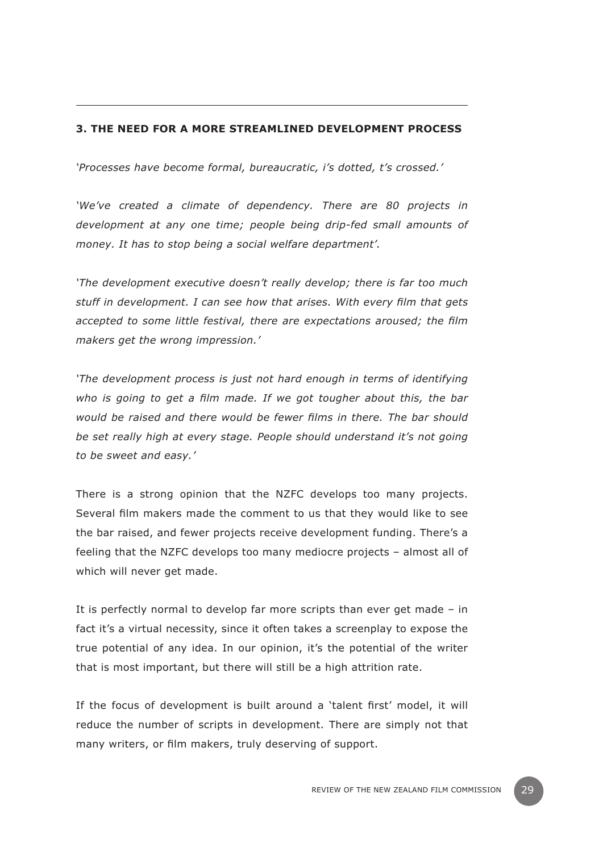## **3. The need for a more streamlined development process**

*'Processes have become formal, bureaucratic, i's dotted, t's crossed.'*

*'We've created a climate of dependency. There are 80 projects in development at any one time; people being drip-fed small amounts of money. It has to stop being a social welfare department'.* 

*'The development executive doesn't really develop; there is far too much stuff in development. I can see how that arises. With every film that gets accepted to some little festival, there are expectations aroused; the film makers get the wrong impression.'*

*'The development process is just not hard enough in terms of identifying who is going to get a film made. If we got tougher about this, the bar would be raised and there would be fewer films in there. The bar should be set really high at every stage. People should understand it's not going to be sweet and easy.'*

There is a strong opinion that the NZFC develops too many projects. Several film makers made the comment to us that they would like to see the bar raised, and fewer projects receive development funding. There's a feeling that the NZFC develops too many mediocre projects – almost all of which will never get made.

It is perfectly normal to develop far more scripts than ever get made – in fact it's a virtual necessity, since it often takes a screenplay to expose the true potential of any idea. In our opinion, it's the potential of the writer that is most important, but there will still be a high attrition rate.

If the focus of development is built around a 'talent first' model, it will reduce the number of scripts in development. There are simply not that many writers, or film makers, truly deserving of support.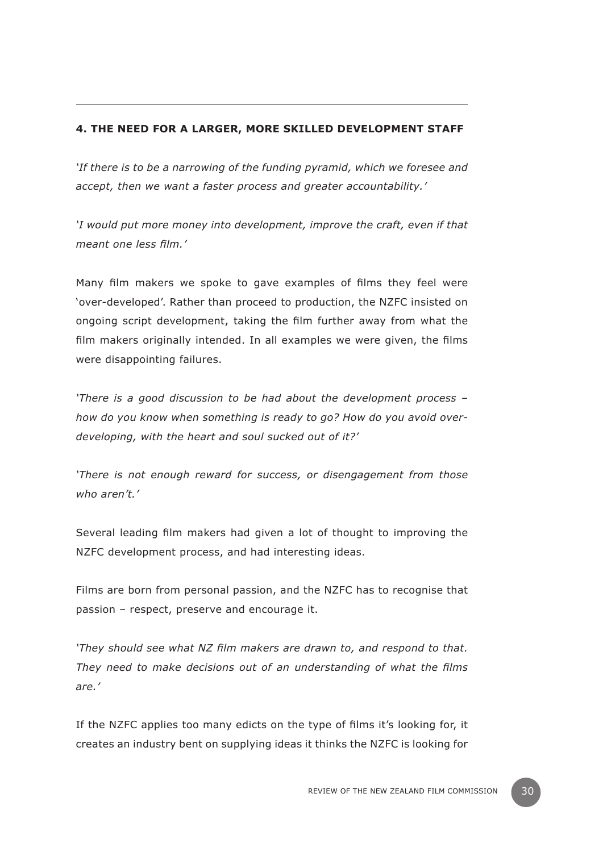# **4. The need for a larger, more skilled development staff**

*'If there is to be a narrowing of the funding pyramid, which we foresee and accept, then we want a faster process and greater accountability.'* 

*'I would put more money into development, improve the craft, even if that meant one less film.'*

Many film makers we spoke to gave examples of films they feel were 'over-developed'. Rather than proceed to production, the NZFC insisted on ongoing script development, taking the film further away from what the film makers originally intended. In all examples we were given, the films were disappointing failures.

*'There is a good discussion to be had about the development process – how do you know when something is ready to go? How do you avoid overdeveloping, with the heart and soul sucked out of it?'*

*'There is not enough reward for success, or disengagement from those who aren't.'*

Several leading film makers had given a lot of thought to improving the NZFC development process, and had interesting ideas.

Films are born from personal passion, and the NZFC has to recognise that passion – respect, preserve and encourage it.

*'They should see what NZ film makers are drawn to, and respond to that. They need to make decisions out of an understanding of what the films are.'* 

If the NZFC applies too many edicts on the type of films it's looking for, it creates an industry bent on supplying ideas it thinks the NZFC is looking for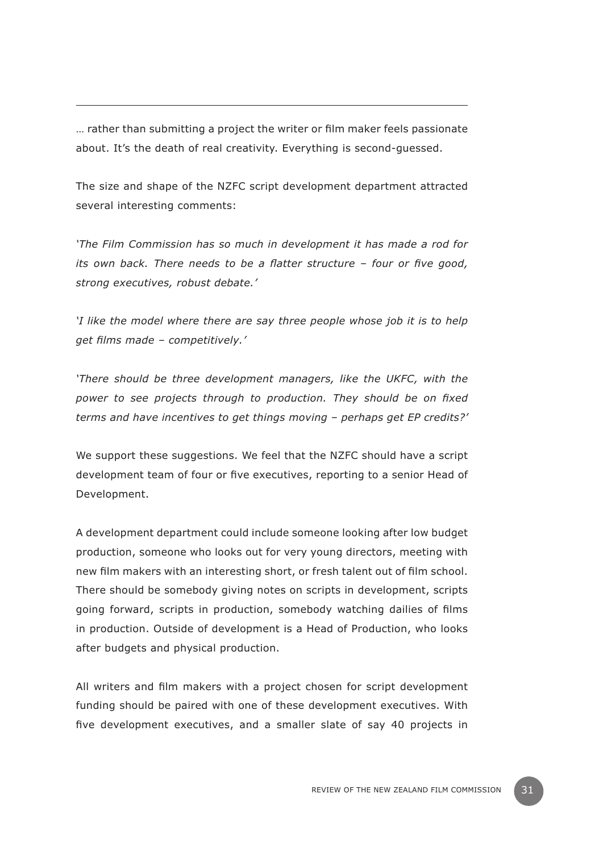… rather than submitting a project the writer or film maker feels passionate about. It's the death of real creativity. Everything is second-guessed.

The size and shape of the NZFC script development department attracted several interesting comments:

*'The Film Commission has so much in development it has made a rod for its own back. There needs to be a flatter structure – four or five good, strong executives, robust debate.'* 

*'I like the model where there are say three people whose job it is to help get films made – competitively.'*

*'There should be three development managers, like the UKFC, with the power to see projects through to production. They should be on fixed terms and have incentives to get things moving – perhaps get EP credits?'*

We support these suggestions. We feel that the NZFC should have a script development team of four or five executives, reporting to a senior Head of Development.

A development department could include someone looking after low budget production, someone who looks out for very young directors, meeting with new film makers with an interesting short, or fresh talent out of film school. There should be somebody giving notes on scripts in development, scripts going forward, scripts in production, somebody watching dailies of films in production. Outside of development is a Head of Production, who looks after budgets and physical production.

All writers and film makers with a project chosen for script development funding should be paired with one of these development executives. With five development executives, and a smaller slate of say 40 projects in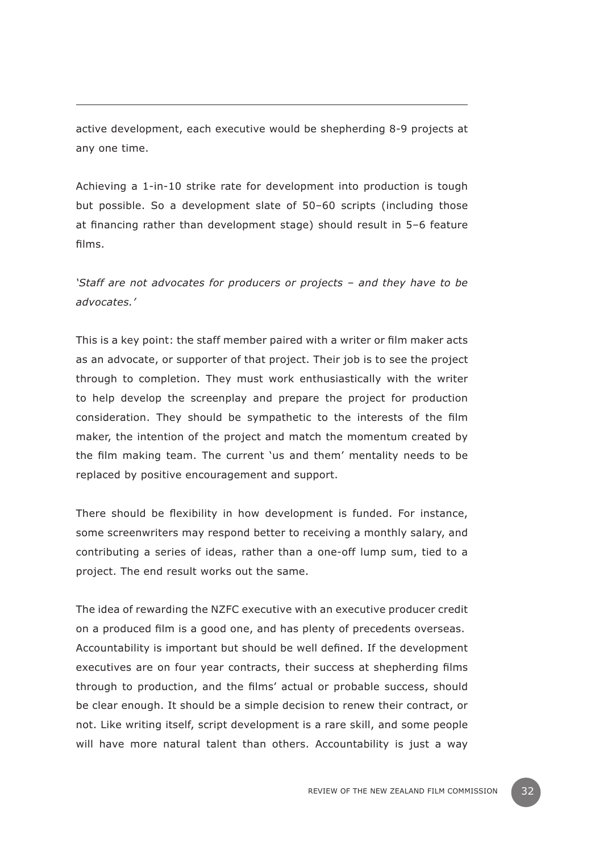active development, each executive would be shepherding 8-9 projects at any one time.

Achieving a 1-in-10 strike rate for development into production is tough but possible. So a development slate of 50–60 scripts (including those at financing rather than development stage) should result in 5–6 feature films.

*'Staff are not advocates for producers or projects – and they have to be advocates.'*

This is a key point: the staff member paired with a writer or film maker acts as an advocate, or supporter of that project. Their job is to see the project through to completion. They must work enthusiastically with the writer to help develop the screenplay and prepare the project for production consideration. They should be sympathetic to the interests of the film maker, the intention of the project and match the momentum created by the film making team. The current 'us and them' mentality needs to be replaced by positive encouragement and support.

There should be flexibility in how development is funded. For instance, some screenwriters may respond better to receiving a monthly salary, and contributing a series of ideas, rather than a one-off lump sum, tied to a project. The end result works out the same.

The idea of rewarding the NZFC executive with an executive producer credit on a produced film is a good one, and has plenty of precedents overseas. Accountability is important but should be well defined. If the development executives are on four year contracts, their success at shepherding films through to production, and the films' actual or probable success, should be clear enough. It should be a simple decision to renew their contract, or not. Like writing itself, script development is a rare skill, and some people will have more natural talent than others. Accountability is just a way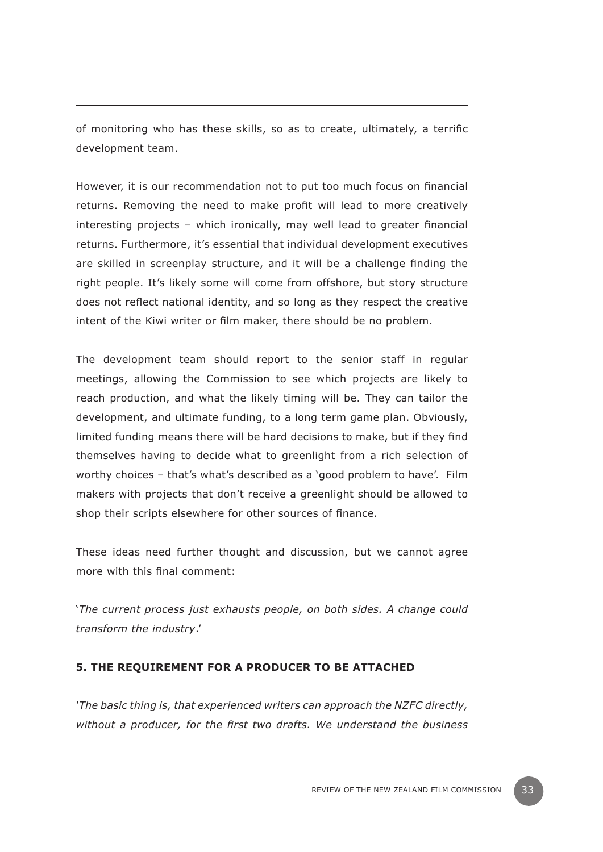of monitoring who has these skills, so as to create, ultimately, a terrific development team.

However, it is our recommendation not to put too much focus on financial returns. Removing the need to make profit will lead to more creatively interesting projects – which ironically, may well lead to greater financial returns. Furthermore, it's essential that individual development executives are skilled in screenplay structure, and it will be a challenge finding the right people. It's likely some will come from offshore, but story structure does not reflect national identity, and so long as they respect the creative intent of the Kiwi writer or film maker, there should be no problem.

The development team should report to the senior staff in regular meetings, allowing the Commission to see which projects are likely to reach production, and what the likely timing will be. They can tailor the development, and ultimate funding, to a long term game plan. Obviously, limited funding means there will be hard decisions to make, but if they find themselves having to decide what to greenlight from a rich selection of worthy choices – that's what's described as a 'good problem to have'. Film makers with projects that don't receive a greenlight should be allowed to shop their scripts elsewhere for other sources of finance.

These ideas need further thought and discussion, but we cannot agree more with this final comment:

'*The current process just exhausts people, on both sides. A change could transform the industry*.'

#### **5. The requirement for a producer to be attached**

*'The basic thing is, that experienced writers can approach the NZFC directly, without a producer, for the first two drafts. We understand the business*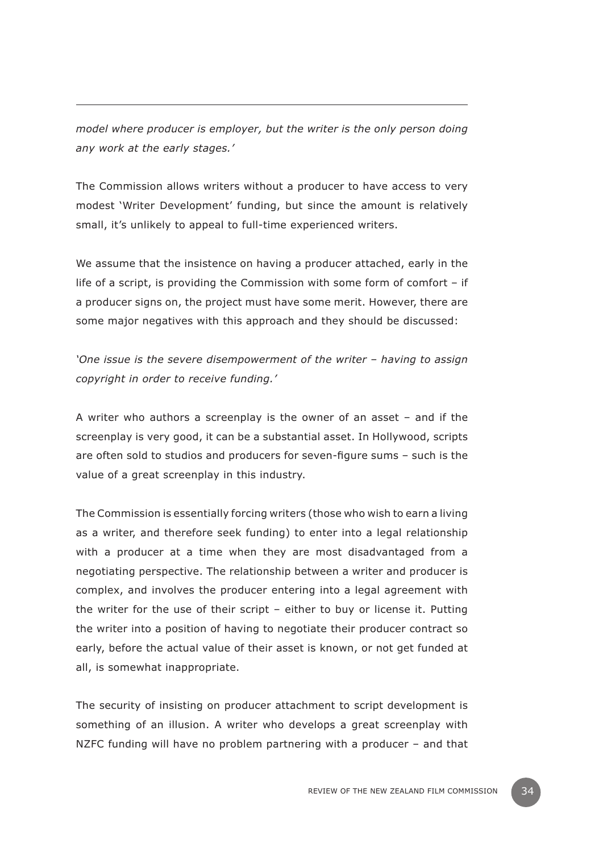*model where producer is employer, but the writer is the only person doing any work at the early stages.'* 

The Commission allows writers without a producer to have access to very modest 'Writer Development' funding, but since the amount is relatively small, it's unlikely to appeal to full-time experienced writers.

We assume that the insistence on having a producer attached, early in the life of a script, is providing the Commission with some form of comfort – if a producer signs on, the project must have some merit. However, there are some major negatives with this approach and they should be discussed:

*'One issue is the severe disempowerment of the writer – having to assign copyright in order to receive funding.'*

A writer who authors a screenplay is the owner of an asset – and if the screenplay is very good, it can be a substantial asset. In Hollywood, scripts are often sold to studios and producers for seven-figure sums – such is the value of a great screenplay in this industry.

The Commission is essentially forcing writers (those who wish to earn a living as a writer, and therefore seek funding) to enter into a legal relationship with a producer at a time when they are most disadvantaged from a negotiating perspective. The relationship between a writer and producer is complex, and involves the producer entering into a legal agreement with the writer for the use of their script – either to buy or license it. Putting the writer into a position of having to negotiate their producer contract so early, before the actual value of their asset is known, or not get funded at all, is somewhat inappropriate.

The security of insisting on producer attachment to script development is something of an illusion. A writer who develops a great screenplay with NZFC funding will have no problem partnering with a producer – and that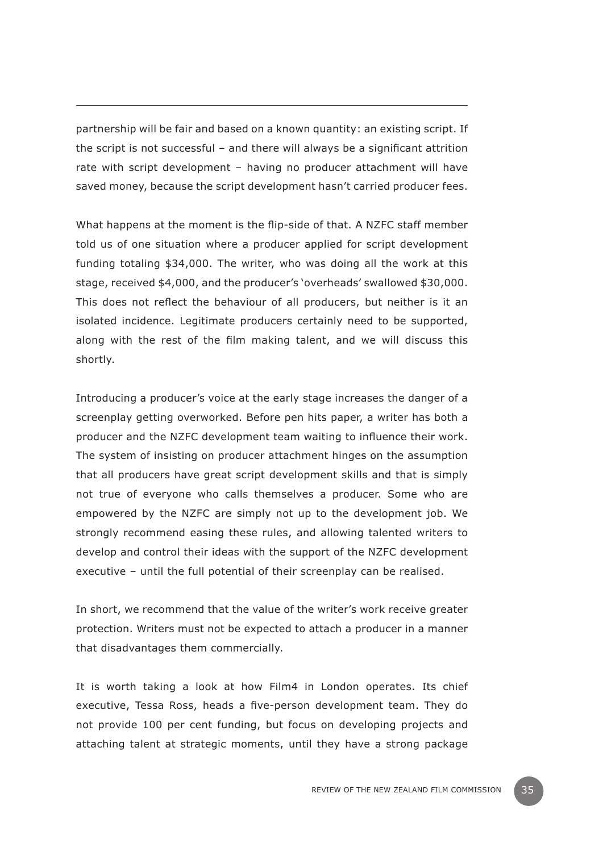partnership will be fair and based on a known quantity: an existing script. If the script is not successful – and there will always be a significant attrition rate with script development – having no producer attachment will have saved money, because the script development hasn't carried producer fees.

What happens at the moment is the flip-side of that. A NZFC staff member told us of one situation where a producer applied for script development funding totaling \$34,000. The writer, who was doing all the work at this stage, received \$4,000, and the producer's 'overheads' swallowed \$30,000. This does not reflect the behaviour of all producers, but neither is it an isolated incidence. Legitimate producers certainly need to be supported, along with the rest of the film making talent, and we will discuss this shortly.

Introducing a producer's voice at the early stage increases the danger of a screenplay getting overworked. Before pen hits paper, a writer has both a producer and the NZFC development team waiting to influence their work. The system of insisting on producer attachment hinges on the assumption that all producers have great script development skills and that is simply not true of everyone who calls themselves a producer. Some who are empowered by the NZFC are simply not up to the development job. We strongly recommend easing these rules, and allowing talented writers to develop and control their ideas with the support of the NZFC development executive – until the full potential of their screenplay can be realised.

In short, we recommend that the value of the writer's work receive greater protection. Writers must not be expected to attach a producer in a manner that disadvantages them commercially.

It is worth taking a look at how Film4 in London operates. Its chief executive, Tessa Ross, heads a five-person development team. They do not provide 100 per cent funding, but focus on developing projects and attaching talent at strategic moments, until they have a strong package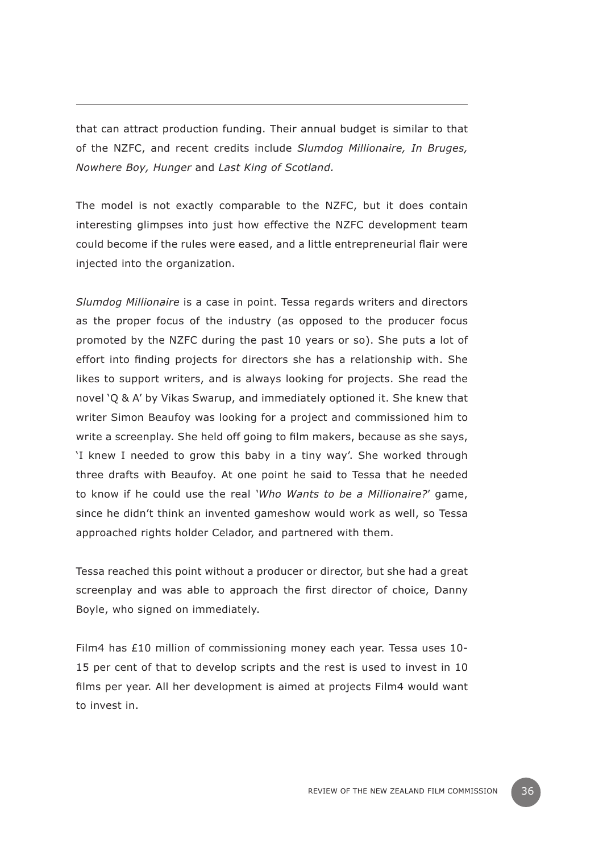that can attract production funding. Their annual budget is similar to that of the NZFC, and recent credits include *Slumdog Millionaire, In Bruges, Nowhere Boy, Hunger* and *Last King of Scotland.*

The model is not exactly comparable to the NZFC, but it does contain interesting glimpses into just how effective the NZFC development team could become if the rules were eased, and a little entrepreneurial flair were injected into the organization.

*Slumdog Millionaire* is a case in point. Tessa regards writers and directors as the proper focus of the industry (as opposed to the producer focus promoted by the NZFC during the past 10 years or so). She puts a lot of effort into finding projects for directors she has a relationship with. She likes to support writers, and is always looking for projects. She read the novel 'Q & A' by Vikas Swarup, and immediately optioned it. She knew that writer Simon Beaufoy was looking for a project and commissioned him to write a screenplay. She held off going to film makers, because as she says, 'I knew I needed to grow this baby in a tiny way'. She worked through three drafts with Beaufoy. At one point he said to Tessa that he needed to know if he could use the real *'Who Wants to be a Millionaire?*' game, since he didn't think an invented gameshow would work as well, so Tessa approached rights holder Celador, and partnered with them.

Tessa reached this point without a producer or director, but she had a great screenplay and was able to approach the first director of choice, Danny Boyle, who signed on immediately.

Film4 has £10 million of commissioning money each year. Tessa uses 10- 15 per cent of that to develop scripts and the rest is used to invest in 10 films per year. All her development is aimed at projects Film4 would want to invest in.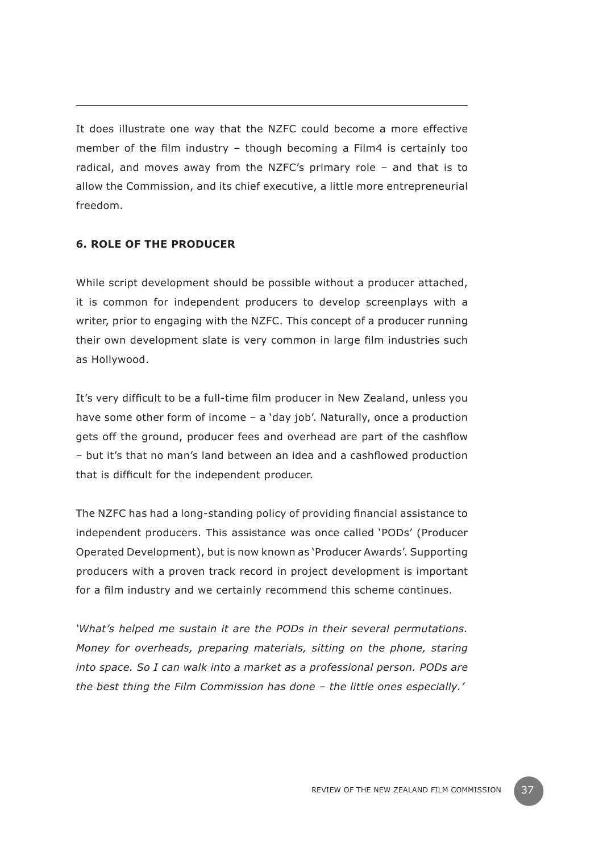It does illustrate one way that the NZFC could become a more effective member of the film industry – though becoming a Film4 is certainly too radical, and moves away from the NZFC's primary role – and that is to allow the Commission, and its chief executive, a little more entrepreneurial freedom.

# **6. Role of the producer**

While script development should be possible without a producer attached, it is common for independent producers to develop screenplays with a writer, prior to engaging with the NZFC. This concept of a producer running their own development slate is very common in large film industries such as Hollywood.

It's very difficult to be a full-time film producer in New Zealand, unless you have some other form of income – a 'day job'. Naturally, once a production gets off the ground, producer fees and overhead are part of the cashflow – but it's that no man's land between an idea and a cashflowed production that is difficult for the independent producer.

The NZFC has had a long-standing policy of providing financial assistance to independent producers. This assistance was once called 'PODs' (Producer Operated Development), but is now known as 'Producer Awards'. Supporting producers with a proven track record in project development is important for a film industry and we certainly recommend this scheme continues.

*'What's helped me sustain it are the PODs in their several permutations. Money for overheads, preparing materials, sitting on the phone, staring into space. So I can walk into a market as a professional person. PODs are the best thing the Film Commission has done – the little ones especially.'*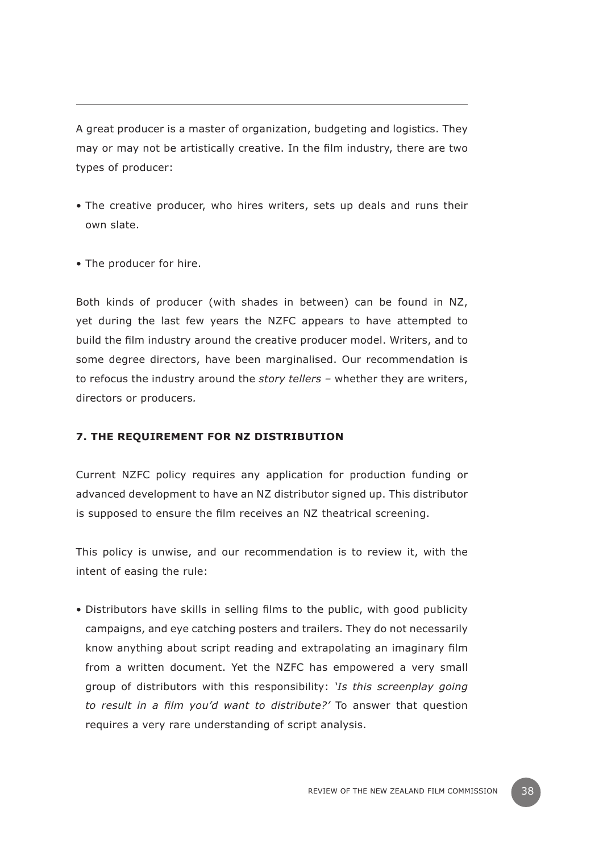A great producer is a master of organization, budgeting and logistics. They may or may not be artistically creative. In the film industry, there are two types of producer:

- The creative producer, who hires writers, sets up deals and runs their own slate.
- The producer for hire.

Both kinds of producer (with shades in between) can be found in NZ, yet during the last few years the NZFC appears to have attempted to build the film industry around the creative producer model. Writers, and to some degree directors, have been marginalised. Our recommendation is to refocus the industry around the *story tellers –* whether they are writers, directors or producers*.*

#### **7. The requirement for NZ distribution**

Current NZFC policy requires any application for production funding or advanced development to have an NZ distributor signed up. This distributor is supposed to ensure the film receives an NZ theatrical screening.

This policy is unwise, and our recommendation is to review it, with the intent of easing the rule:

• Distributors have skills in selling films to the public, with good publicity campaigns, and eye catching posters and trailers. They do not necessarily know anything about script reading and extrapolating an imaginary film from a written document. Yet the NZFC has empowered a very small group of distributors with this responsibility: *'Is this screenplay going to result in a film you'd want to distribute?'* To answer that question requires a very rare understanding of script analysis.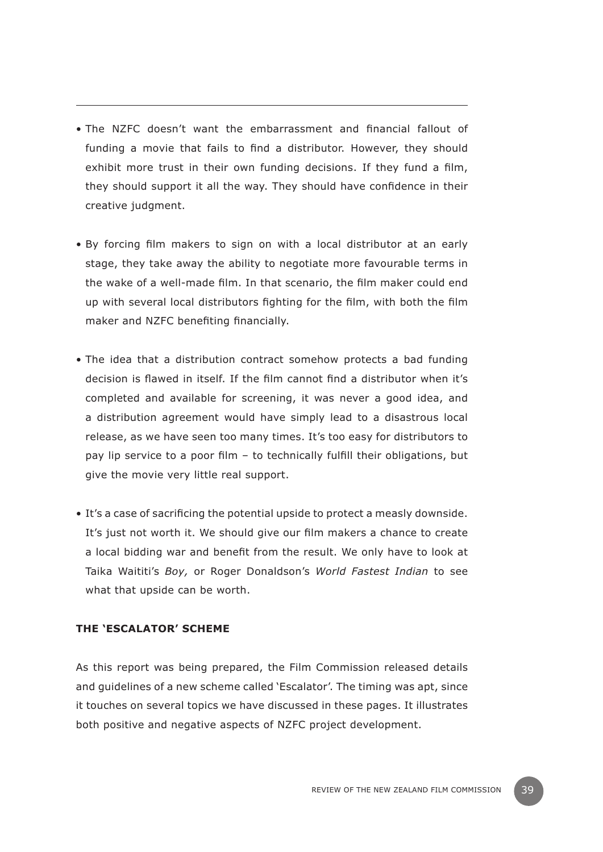- The NZFC doesn't want the embarrassment and financial fallout of funding a movie that fails to find a distributor. However, they should exhibit more trust in their own funding decisions. If they fund a film, they should support it all the way. They should have confidence in their creative judgment.
- By forcing film makers to sign on with a local distributor at an early stage, they take away the ability to negotiate more favourable terms in the wake of a well-made film. In that scenario, the film maker could end up with several local distributors fighting for the film, with both the film maker and NZFC benefiting financially.
- The idea that a distribution contract somehow protects a bad funding decision is flawed in itself. If the film cannot find a distributor when it's completed and available for screening, it was never a good idea, and a distribution agreement would have simply lead to a disastrous local release, as we have seen too many times. It's too easy for distributors to pay lip service to a poor film – to technically fulfill their obligations, but give the movie very little real support.
- It's a case of sacrificing the potential upside to protect a measly downside. It's just not worth it. We should give our film makers a chance to create a local bidding war and benefit from the result. We only have to look at Taika Waititi's *Boy,* or Roger Donaldson's *World Fastest Indian* to see what that upside can be worth.

## **The 'Escalator' scheme**

As this report was being prepared, the Film Commission released details and guidelines of a new scheme called 'Escalator'. The timing was apt, since it touches on several topics we have discussed in these pages. It illustrates both positive and negative aspects of NZFC project development.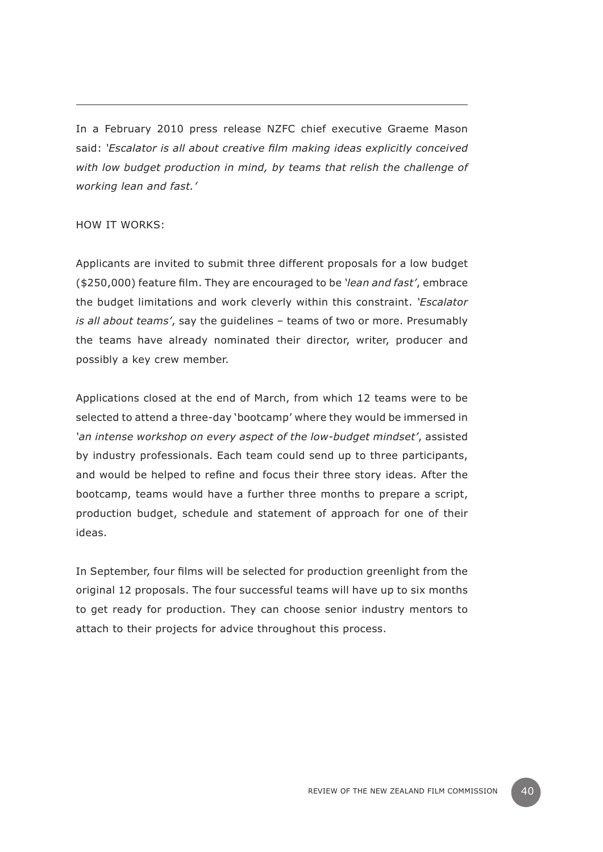In a February 2010 press release NZFC chief executive Graeme Mason said: *'Escalator is all about creative film making ideas explicitly conceived with low budget production in mind, by teams that relish the challenge of working lean and fast.'*

#### How it works:

Applicants are invited to submit three different proposals for a low budget (\$250,000) feature film. They are encouraged to be *'lean and fast'*, embrace the budget limitations and work cleverly within this constraint. *'Escalator is all about teams'*, say the guidelines – teams of two or more. Presumably the teams have already nominated their director, writer, producer and possibly a key crew member.

Applications closed at the end of March, from which 12 teams were to be selected to attend a three-day 'bootcamp' where they would be immersed in *'an intense workshop on every aspect of the low-budget mindset'*, assisted by industry professionals. Each team could send up to three participants, and would be helped to refine and focus their three story ideas. After the bootcamp, teams would have a further three months to prepare a script, production budget, schedule and statement of approach for one of their ideas.

In September, four films will be selected for production greenlight from the original 12 proposals. The four successful teams will have up to six months to get ready for production. They can choose senior industry mentors to attach to their projects for advice throughout this process.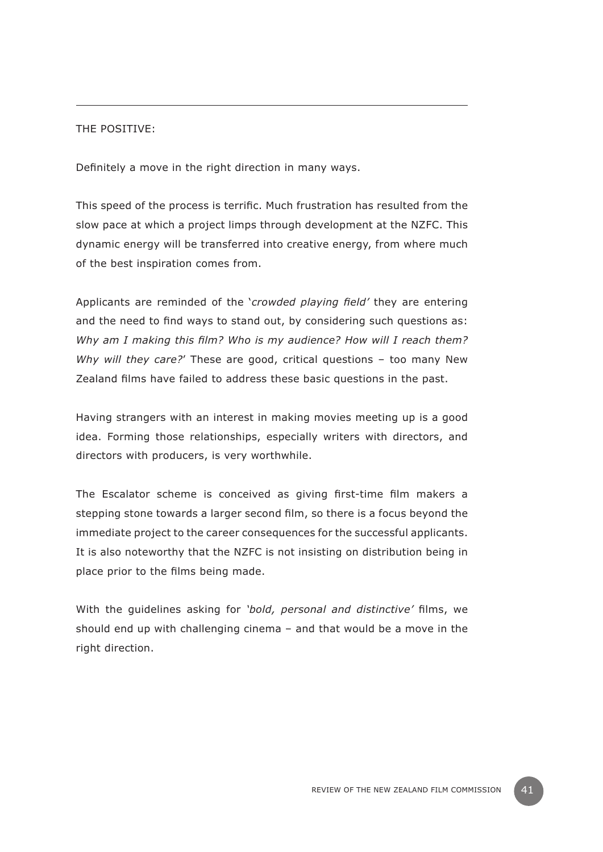# The positive:

Definitely a move in the right direction in many ways.

This speed of the process is terrific. Much frustration has resulted from the slow pace at which a project limps through development at the NZFC. This dynamic energy will be transferred into creative energy, from where much of the best inspiration comes from.

Applicants are reminded of the '*crowded playing field'* they are entering and the need to find ways to stand out, by considering such questions as: *Why am I making this film? Who is my audience? How will I reach them? Why will they care?*' These are good, critical questions – too many New Zealand films have failed to address these basic questions in the past.

Having strangers with an interest in making movies meeting up is a good idea. Forming those relationships, especially writers with directors, and directors with producers, is very worthwhile.

The Escalator scheme is conceived as giving first-time film makers a stepping stone towards a larger second film, so there is a focus beyond the immediate project to the career consequences for the successful applicants. It is also noteworthy that the NZFC is not insisting on distribution being in place prior to the films being made.

With the guidelines asking for *'bold, personal and distinctive'* films, we should end up with challenging cinema – and that would be a move in the right direction.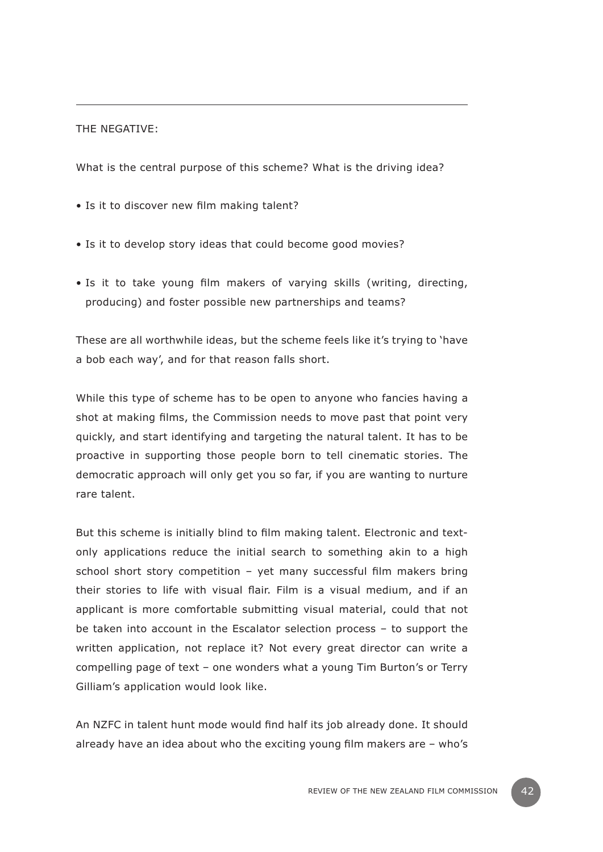#### THE NEGATIVE:

What is the central purpose of this scheme? What is the driving idea?

- Is it to discover new film making talent?
- Is it to develop story ideas that could become good movies?
- Is it to take young film makers of varying skills (writing, directing, producing) and foster possible new partnerships and teams?

These are all worthwhile ideas, but the scheme feels like it's trying to 'have a bob each way', and for that reason falls short.

While this type of scheme has to be open to anyone who fancies having a shot at making films, the Commission needs to move past that point very quickly, and start identifying and targeting the natural talent. It has to be proactive in supporting those people born to tell cinematic stories. The democratic approach will only get you so far, if you are wanting to nurture rare talent.

But this scheme is initially blind to film making talent. Electronic and textonly applications reduce the initial search to something akin to a high school short story competition – yet many successful film makers bring their stories to life with visual flair. Film is a visual medium, and if an applicant is more comfortable submitting visual material, could that not be taken into account in the Escalator selection process – to support the written application, not replace it? Not every great director can write a compelling page of text – one wonders what a young Tim Burton's or Terry Gilliam's application would look like.

An NZFC in talent hunt mode would find half its job already done. It should already have an idea about who the exciting young film makers are – who's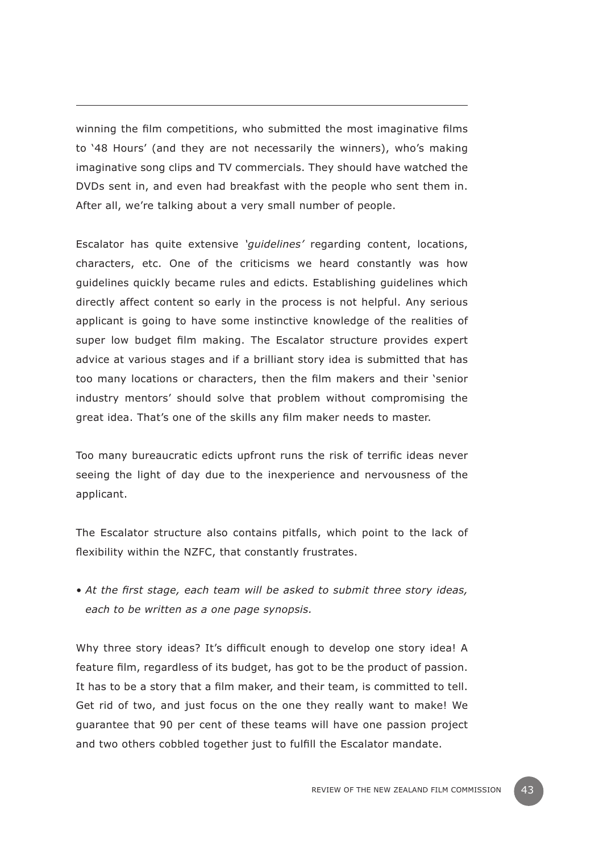winning the film competitions, who submitted the most imaginative films to '48 Hours' (and they are not necessarily the winners), who's making imaginative song clips and TV commercials. They should have watched the DVDs sent in, and even had breakfast with the people who sent them in. After all, we're talking about a very small number of people.

Escalator has quite extensive *'guidelines'* regarding content, locations, characters, etc. One of the criticisms we heard constantly was how guidelines quickly became rules and edicts. Establishing guidelines which directly affect content so early in the process is not helpful. Any serious applicant is going to have some instinctive knowledge of the realities of super low budget film making. The Escalator structure provides expert advice at various stages and if a brilliant story idea is submitted that has too many locations or characters, then the film makers and their 'senior industry mentors' should solve that problem without compromising the great idea. That's one of the skills any film maker needs to master.

Too many bureaucratic edicts upfront runs the risk of terrific ideas never seeing the light of day due to the inexperience and nervousness of the applicant.

The Escalator structure also contains pitfalls, which point to the lack of flexibility within the NZFC, that constantly frustrates.

*• At the first stage, each team will be asked to submit three story ideas, each to be written as a one page synopsis.*

Why three story ideas? It's difficult enough to develop one story idea! A feature film, regardless of its budget, has got to be the product of passion. It has to be a story that a film maker, and their team, is committed to tell. Get rid of two, and just focus on the one they really want to make! We guarantee that 90 per cent of these teams will have one passion project and two others cobbled together just to fulfill the Escalator mandate.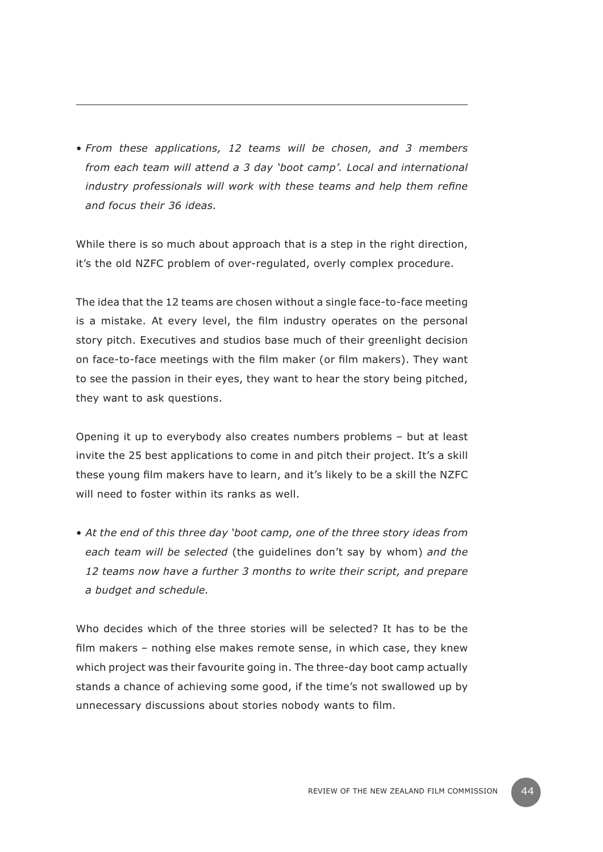*• From these applications, 12 teams will be chosen, and 3 members from each team will attend a 3 day 'boot camp'. Local and international industry professionals will work with these teams and help them refine and focus their 36 ideas.*

While there is so much about approach that is a step in the right direction, it's the old NZFC problem of over-regulated, overly complex procedure.

The idea that the 12 teams are chosen without a single face-to-face meeting is a mistake. At every level, the film industry operates on the personal story pitch. Executives and studios base much of their greenlight decision on face-to-face meetings with the film maker (or film makers). They want to see the passion in their eyes, they want to hear the story being pitched, they want to ask questions.

Opening it up to everybody also creates numbers problems – but at least invite the 25 best applications to come in and pitch their project. It's a skill these young film makers have to learn, and it's likely to be a skill the NZFC will need to foster within its ranks as well.

*• At the end of this three day 'boot camp, one of the three story ideas from each team will be selected* (the guidelines don't say by whom) *and the 12 teams now have a further 3 months to write their script, and prepare a budget and schedule.*

Who decides which of the three stories will be selected? It has to be the film makers – nothing else makes remote sense, in which case, they knew which project was their favourite going in. The three-day boot camp actually stands a chance of achieving some good, if the time's not swallowed up by unnecessary discussions about stories nobody wants to film.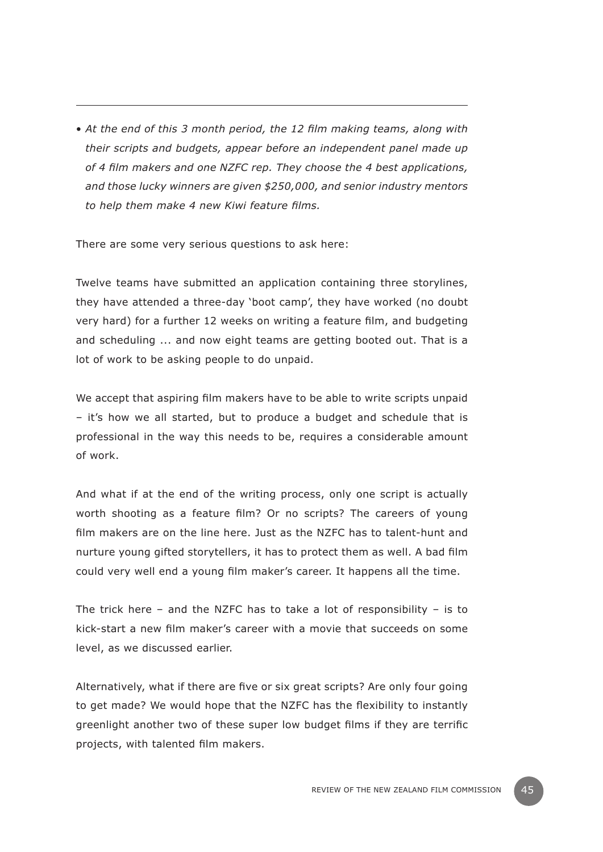• *At the end of this 3 month period, the 12 film making teams, along with their scripts and budgets, appear before an independent panel made up of 4 film makers and one NZFC rep. They choose the 4 best applications, and those lucky winners are given \$250,000, and senior industry mentors to help them make 4 new Kiwi feature films.*

There are some very serious questions to ask here:

Twelve teams have submitted an application containing three storylines, they have attended a three-day 'boot camp', they have worked (no doubt very hard) for a further 12 weeks on writing a feature film, and budgeting and scheduling ... and now eight teams are getting booted out. That is a lot of work to be asking people to do unpaid.

We accept that aspiring film makers have to be able to write scripts unpaid – it's how we all started, but to produce a budget and schedule that is professional in the way this needs to be, requires a considerable amount of work.

And what if at the end of the writing process, only one script is actually worth shooting as a feature film? Or no scripts? The careers of young film makers are on the line here. Just as the NZFC has to talent-hunt and nurture young gifted storytellers, it has to protect them as well. A bad film could very well end a young film maker's career. It happens all the time.

The trick here – and the NZFC has to take a lot of responsibility – is to kick-start a new film maker's career with a movie that succeeds on some level, as we discussed earlier.

Alternatively, what if there are five or six great scripts? Are only four going to get made? We would hope that the NZFC has the flexibility to instantly greenlight another two of these super low budget films if they are terrific projects, with talented film makers.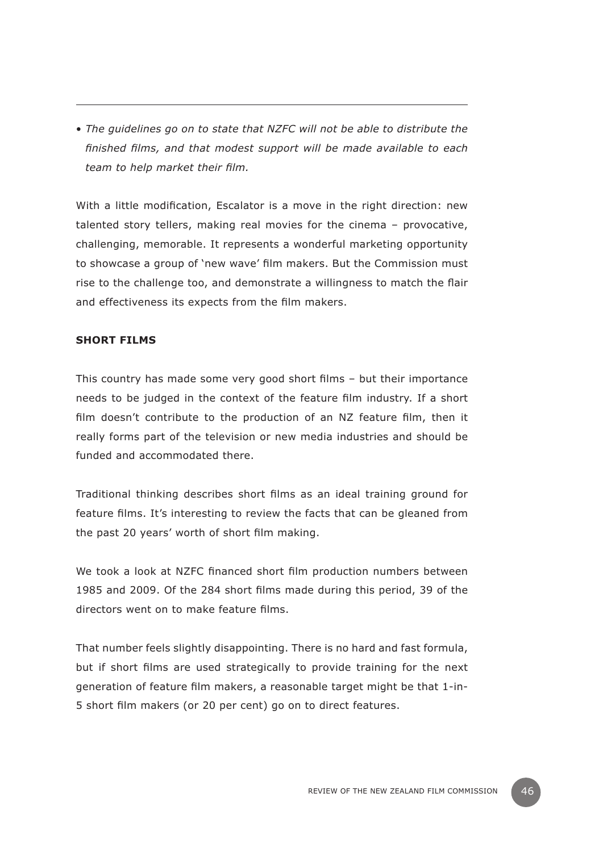• *The guidelines go on to state that NZFC will not be able to distribute the finished films, and that modest support will be made available to each team to help market their film.*

With a little modification, Escalator is a move in the right direction: new talented story tellers, making real movies for the cinema – provocative, challenging, memorable. It represents a wonderful marketing opportunity to showcase a group of 'new wave' film makers. But the Commission must rise to the challenge too, and demonstrate a willingness to match the flair and effectiveness its expects from the film makers.

#### **Short Films**

This country has made some very good short films – but their importance needs to be judged in the context of the feature film industry. If a short film doesn't contribute to the production of an NZ feature film, then it really forms part of the television or new media industries and should be funded and accommodated there.

Traditional thinking describes short films as an ideal training ground for feature films. It's interesting to review the facts that can be gleaned from the past 20 years' worth of short film making.

We took a look at NZFC financed short film production numbers between 1985 and 2009. Of the 284 short films made during this period, 39 of the directors went on to make feature films.

That number feels slightly disappointing. There is no hard and fast formula, but if short films are used strategically to provide training for the next generation of feature film makers, a reasonable target might be that 1-in-5 short film makers (or 20 per cent) go on to direct features.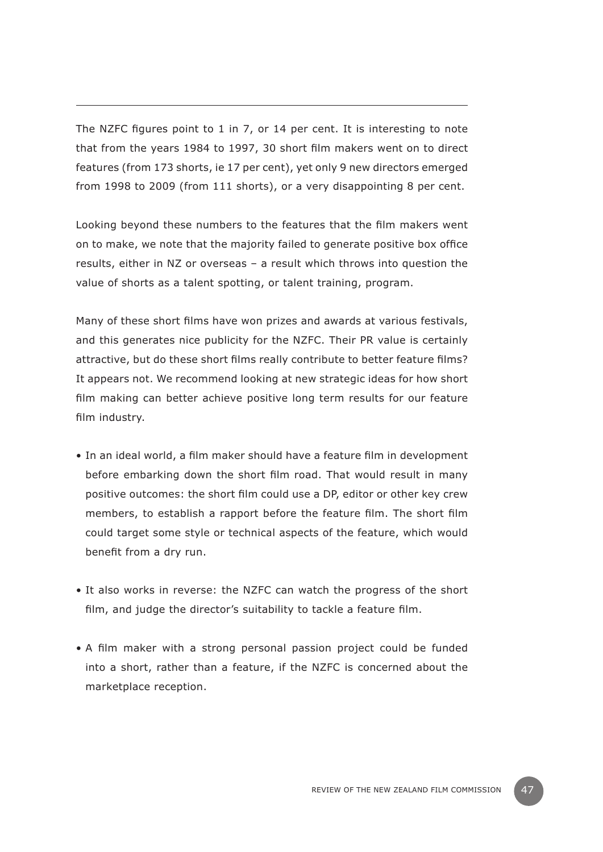The NZFC figures point to 1 in 7, or 14 per cent. It is interesting to note that from the years 1984 to 1997, 30 short film makers went on to direct features (from 173 shorts, ie 17 per cent), yet only 9 new directors emerged from 1998 to 2009 (from 111 shorts), or a very disappointing 8 per cent.

Looking beyond these numbers to the features that the film makers went on to make, we note that the majority failed to generate positive box office results, either in NZ or overseas – a result which throws into question the value of shorts as a talent spotting, or talent training, program.

Many of these short films have won prizes and awards at various festivals, and this generates nice publicity for the NZFC. Their PR value is certainly attractive, but do these short films really contribute to better feature films? It appears not. We recommend looking at new strategic ideas for how short film making can better achieve positive long term results for our feature film industry.

- In an ideal world, a film maker should have a feature film in development before embarking down the short film road. That would result in many positive outcomes: the short film could use a DP, editor or other key crew members, to establish a rapport before the feature film. The short film could target some style or technical aspects of the feature, which would benefit from a dry run.
- It also works in reverse: the NZFC can watch the progress of the short film, and judge the director's suitability to tackle a feature film.
- A film maker with a strong personal passion project could be funded into a short, rather than a feature, if the NZFC is concerned about the marketplace reception.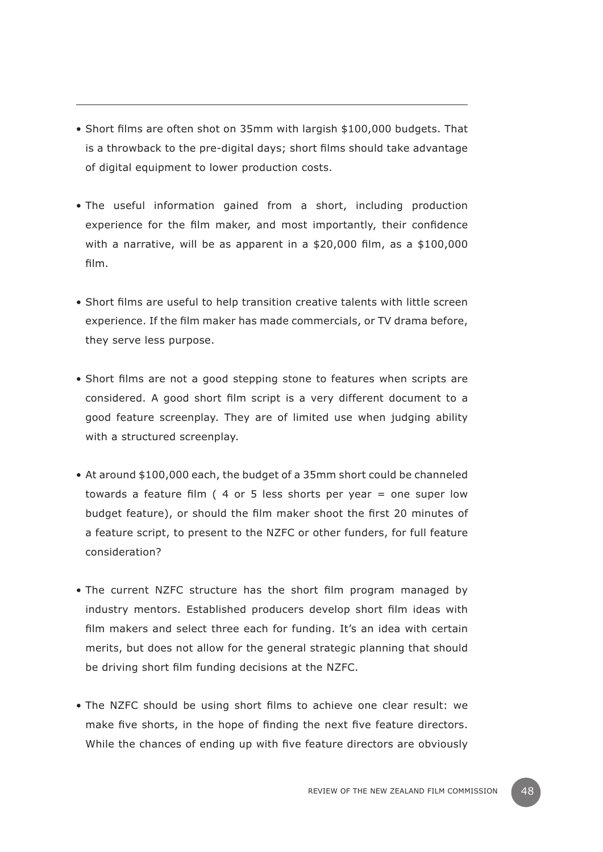- Short films are often shot on 35mm with largish \$100,000 budgets. That is a throwback to the pre-digital days; short films should take advantage of digital equipment to lower production costs.
- The useful information gained from a short, including production experience for the film maker, and most importantly, their confidence with a narrative, will be as apparent in a \$20,000 film, as a \$100,000 film.
- Short films are useful to help transition creative talents with little screen experience. If the film maker has made commercials, or TV drama before, they serve less purpose.
- Short films are not a good stepping stone to features when scripts are considered. A good short film script is a very different document to a good feature screenplay. They are of limited use when judging ability with a structured screenplay.
- At around \$100,000 each, the budget of a 35mm short could be channeled towards a feature film ( 4 or 5 less shorts per year = one super low budget feature), or should the film maker shoot the first 20 minutes of a feature script, to present to the NZFC or other funders, for full feature consideration?
- The current NZFC structure has the short film program managed by industry mentors. Established producers develop short film ideas with film makers and select three each for funding. It's an idea with certain merits, but does not allow for the general strategic planning that should be driving short film funding decisions at the NZFC.
- The NZFC should be using short films to achieve one clear result: we make five shorts, in the hope of finding the next five feature directors. While the chances of ending up with five feature directors are obviously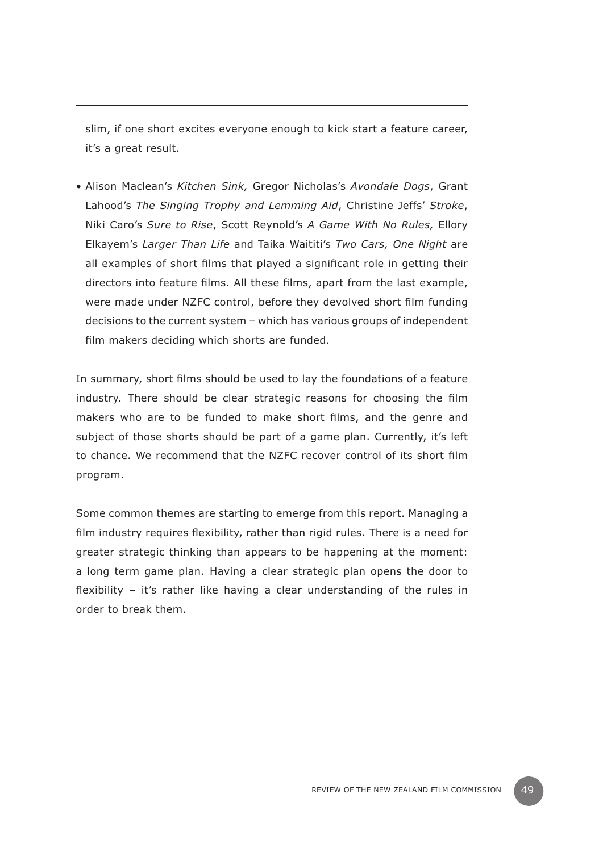slim, if one short excites everyone enough to kick start a feature career, it's a great result.

• Alison Maclean's *Kitchen Sink,* Gregor Nicholas's *Avondale Dogs*, Grant Lahood's *The Singing Trophy and Lemming Aid*, Christine Jeffs' *Stroke*, Niki Caro's *Sure to Rise*, Scott Reynold's *A Game With No Rules,* Ellory Elkayem's *Larger Than Life* and Taika Waititi's *Two Cars, One Night* are all examples of short films that played a significant role in getting their directors into feature films. All these films, apart from the last example, were made under NZFC control, before they devolved short film funding decisions to the current system – which has various groups of independent film makers deciding which shorts are funded.

In summary, short films should be used to lay the foundations of a feature industry. There should be clear strategic reasons for choosing the film makers who are to be funded to make short films, and the genre and subject of those shorts should be part of a game plan. Currently, it's left to chance. We recommend that the NZFC recover control of its short film program.

Some common themes are starting to emerge from this report. Managing a film industry requires flexibility, rather than rigid rules. There is a need for greater strategic thinking than appears to be happening at the moment: a long term game plan. Having a clear strategic plan opens the door to flexibility – it's rather like having a clear understanding of the rules in order to break them.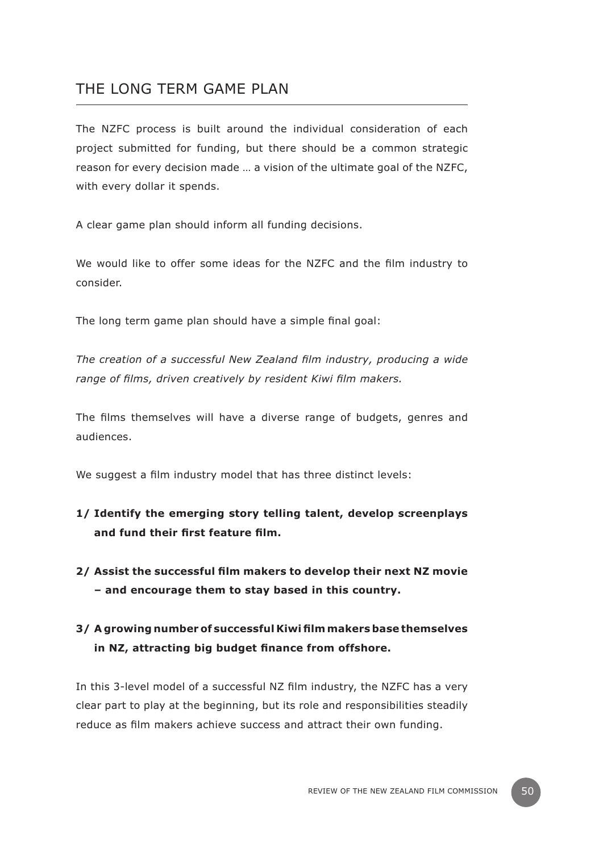# THE LONG TERM GAME PLAN

The NZFC process is built around the individual consideration of each project submitted for funding, but there should be a common strategic reason for every decision made … a vision of the ultimate goal of the NZFC, with every dollar it spends.

A clear game plan should inform all funding decisions.

We would like to offer some ideas for the NZFC and the film industry to consider.

The long term game plan should have a simple final goal:

*The creation of a successful New Zealand film industry, producing a wide range of films, driven creatively by resident Kiwi film makers.*

The films themselves will have a diverse range of budgets, genres and audiences.

We suggest a film industry model that has three distinct levels:

- **1/ Identify the emerging story telling talent, develop screenplays and fund their first feature film.**
- **2/ Assist the successful film makers to develop their next NZ movie – and encourage them to stay based in this country.**

# **3/ A growing number of successful Kiwi film makers base themselves in NZ, attracting big budget finance from offshore.**

In this 3-level model of a successful NZ film industry, the NZFC has a very clear part to play at the beginning, but its role and responsibilities steadily reduce as film makers achieve success and attract their own funding.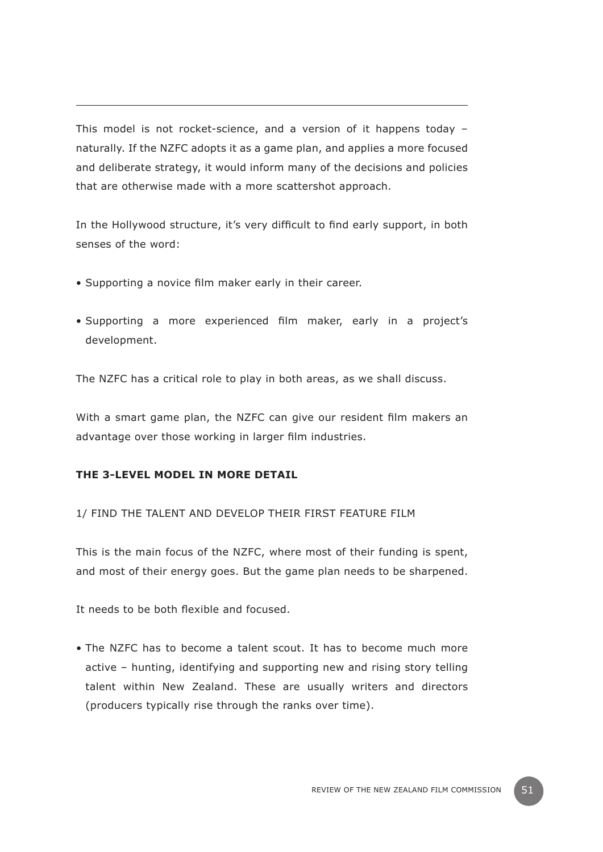This model is not rocket-science, and a version of it happens today – naturally. If the NZFC adopts it as a game plan, and applies a more focused and deliberate strategy, it would inform many of the decisions and policies that are otherwise made with a more scattershot approach.

In the Hollywood structure, it's very difficult to find early support, in both senses of the word:

- Supporting a novice film maker early in their career.
- Supporting a more experienced film maker, early in a project's development.

The NZFC has a critical role to play in both areas, as we shall discuss.

With a smart game plan, the NZFC can give our resident film makers an advantage over those working in larger film industries.

# **The 3-level model in more detail**

1/ Find the talent and develop their first feature film

This is the main focus of the NZFC, where most of their funding is spent, and most of their energy goes. But the game plan needs to be sharpened.

It needs to be both flexible and focused.

• The NZFC has to become a talent scout. It has to become much more active – hunting, identifying and supporting new and rising story telling talent within New Zealand. These are usually writers and directors (producers typically rise through the ranks over time).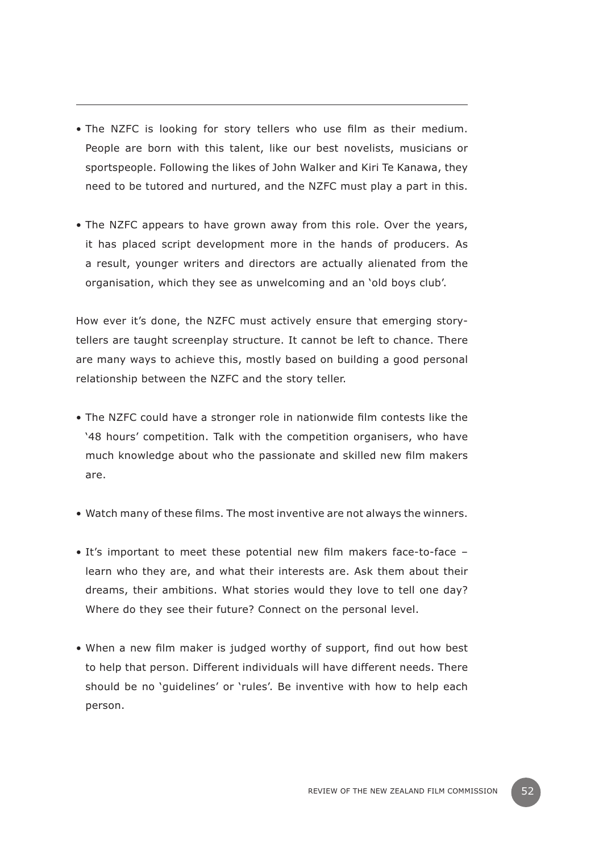- The NZFC is looking for story tellers who use film as their medium. People are born with this talent, like our best novelists, musicians or sportspeople. Following the likes of John Walker and Kiri Te Kanawa, they need to be tutored and nurtured, and the NZFC must play a part in this.
- The NZFC appears to have grown away from this role. Over the years, it has placed script development more in the hands of producers. As a result, younger writers and directors are actually alienated from the organisation, which they see as unwelcoming and an 'old boys club'.

How ever it's done, the NZFC must actively ensure that emerging storytellers are taught screenplay structure. It cannot be left to chance. There are many ways to achieve this, mostly based on building a good personal relationship between the NZFC and the story teller.

- The NZFC could have a stronger role in nationwide film contests like the '48 hours' competition. Talk with the competition organisers, who have much knowledge about who the passionate and skilled new film makers are.
- Watch many of these films. The most inventive are not always the winners.
- It's important to meet these potential new film makers face-to-face learn who they are, and what their interests are. Ask them about their dreams, their ambitions. What stories would they love to tell one day? Where do they see their future? Connect on the personal level.
- When a new film maker is judged worthy of support, find out how best to help that person. Different individuals will have different needs. There should be no 'guidelines' or 'rules'. Be inventive with how to help each person.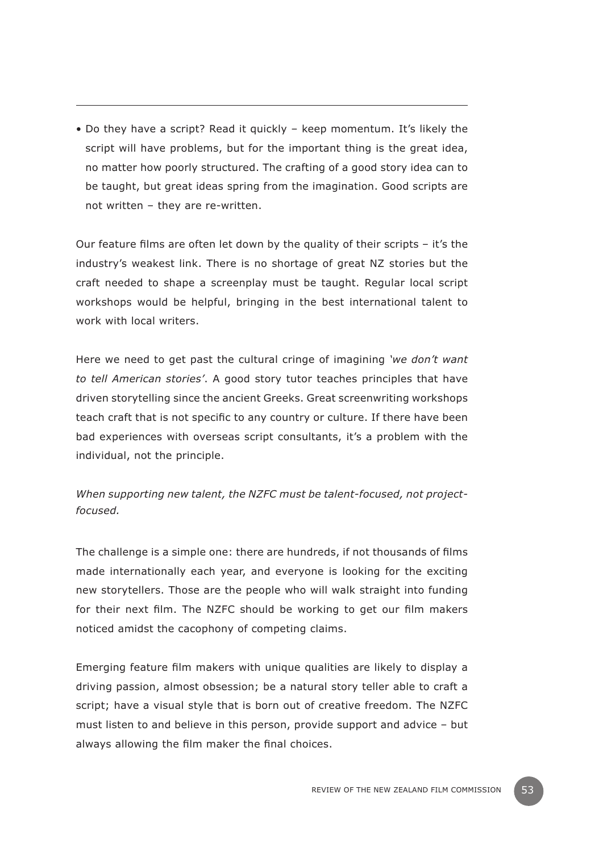• Do they have a script? Read it quickly – keep momentum. It's likely the script will have problems, but for the important thing is the great idea, no matter how poorly structured. The crafting of a good story idea can to be taught, but great ideas spring from the imagination. Good scripts are not written – they are re-written.

Our feature films are often let down by the quality of their scripts – it's the industry's weakest link. There is no shortage of great NZ stories but the craft needed to shape a screenplay must be taught. Regular local script workshops would be helpful, bringing in the best international talent to work with local writers.

Here we need to get past the cultural cringe of imagining *'we don't want to tell American stories'*. A good story tutor teaches principles that have driven storytelling since the ancient Greeks. Great screenwriting workshops teach craft that is not specific to any country or culture. If there have been bad experiences with overseas script consultants, it's a problem with the individual, not the principle.

# *When supporting new talent, the NZFC must be talent-focused, not projectfocused.*

The challenge is a simple one: there are hundreds, if not thousands of films made internationally each year, and everyone is looking for the exciting new storytellers. Those are the people who will walk straight into funding for their next film. The NZFC should be working to get our film makers noticed amidst the cacophony of competing claims.

Emerging feature film makers with unique qualities are likely to display a driving passion, almost obsession; be a natural story teller able to craft a script; have a visual style that is born out of creative freedom. The NZFC must listen to and believe in this person, provide support and advice – but always allowing the film maker the final choices.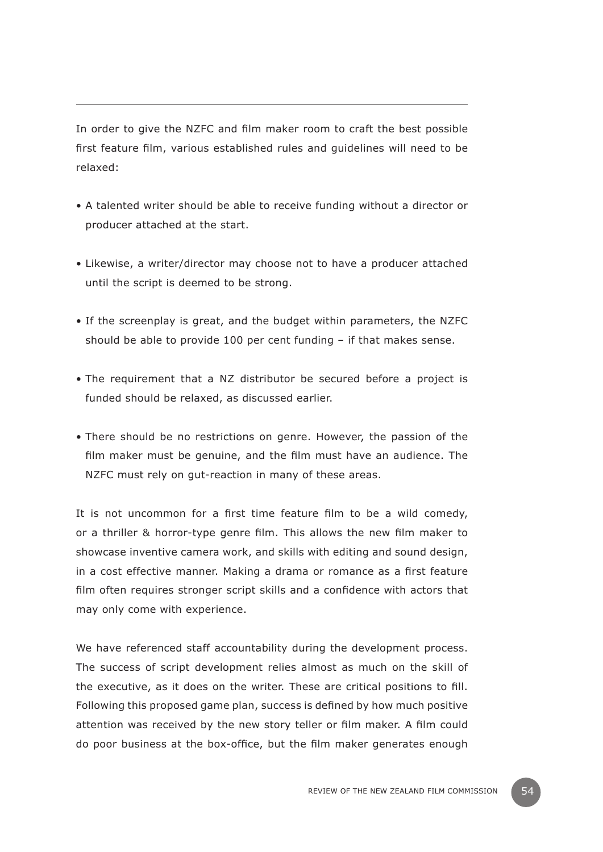In order to give the NZFC and film maker room to craft the best possible first feature film, various established rules and guidelines will need to be relaxed:

- A talented writer should be able to receive funding without a director or producer attached at the start.
- Likewise, a writer/director may choose not to have a producer attached until the script is deemed to be strong.
- If the screenplay is great, and the budget within parameters, the NZFC should be able to provide 100 per cent funding – if that makes sense.
- The requirement that a NZ distributor be secured before a project is funded should be relaxed, as discussed earlier.
- There should be no restrictions on genre. However, the passion of the film maker must be genuine, and the film must have an audience. The NZFC must rely on gut-reaction in many of these areas.

It is not uncommon for a first time feature film to be a wild comedy, or a thriller & horror-type genre film. This allows the new film maker to showcase inventive camera work, and skills with editing and sound design, in a cost effective manner. Making a drama or romance as a first feature film often requires stronger script skills and a confidence with actors that may only come with experience.

We have referenced staff accountability during the development process. The success of script development relies almost as much on the skill of the executive, as it does on the writer. These are critical positions to fill. Following this proposed game plan, success is defined by how much positive attention was received by the new story teller or film maker. A film could do poor business at the box-office, but the film maker generates enough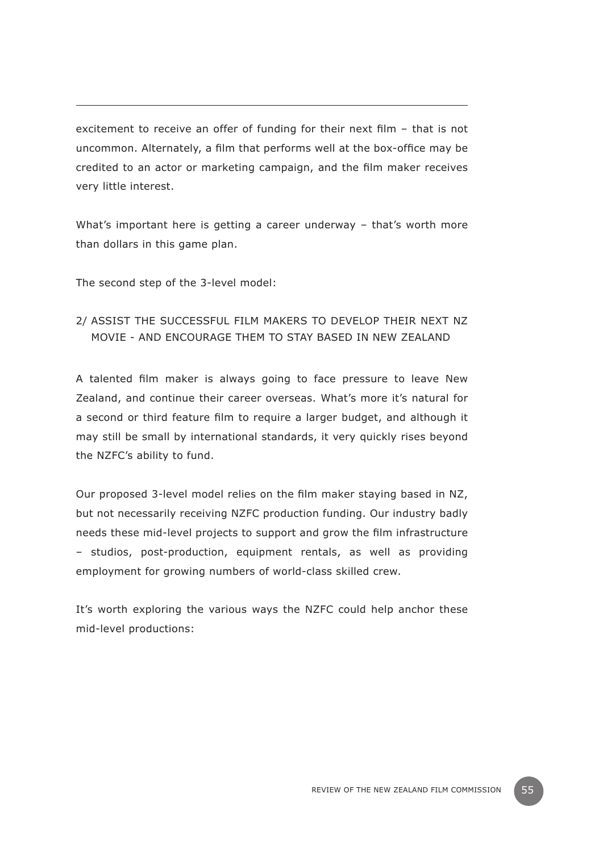excitement to receive an offer of funding for their next film – that is not uncommon. Alternately, a film that performs well at the box-office may be credited to an actor or marketing campaign, and the film maker receives very little interest.

What's important here is getting a career underway – that's worth more than dollars in this game plan.

The second step of the 3-level model:

# 2/ Assist the successful film makers to develop their next NZ movie - and encourage them to stay based in New Zealand

A talented film maker is always going to face pressure to leave New Zealand, and continue their career overseas. What's more it's natural for a second or third feature film to require a larger budget, and although it may still be small by international standards, it very quickly rises beyond the NZFC's ability to fund.

Our proposed 3-level model relies on the film maker staying based in NZ, but not necessarily receiving NZFC production funding. Our industry badly needs these mid-level projects to support and grow the film infrastructure – studios, post-production, equipment rentals, as well as providing employment for growing numbers of world-class skilled crew.

It's worth exploring the various ways the NZFC could help anchor these mid-level productions: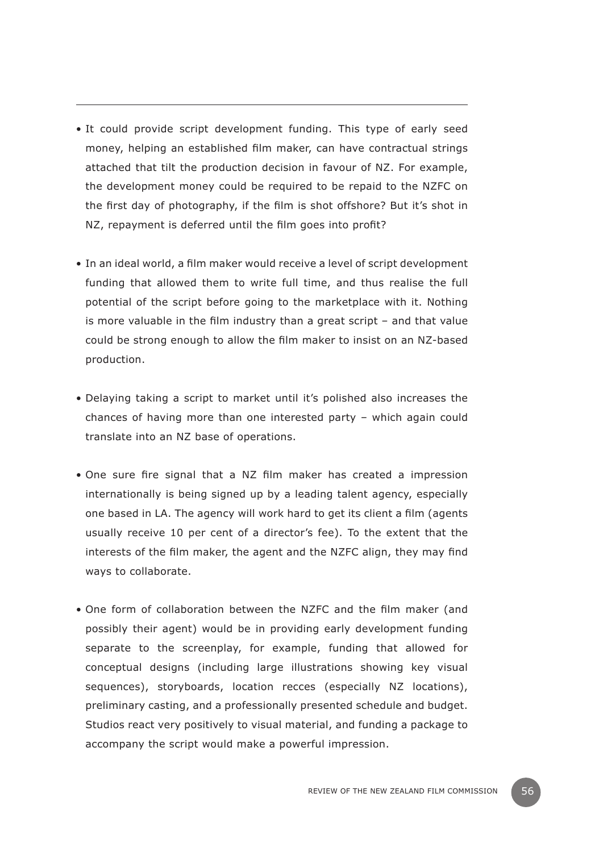- It could provide script development funding. This type of early seed money, helping an established film maker, can have contractual strings attached that tilt the production decision in favour of NZ. For example, the development money could be required to be repaid to the NZFC on the first day of photography, if the film is shot offshore? But it's shot in NZ, repayment is deferred until the film goes into profit?
- In an ideal world, a film maker would receive a level of script development funding that allowed them to write full time, and thus realise the full potential of the script before going to the marketplace with it. Nothing is more valuable in the film industry than a great script – and that value could be strong enough to allow the film maker to insist on an NZ-based production.
- Delaying taking a script to market until it's polished also increases the chances of having more than one interested party – which again could translate into an NZ base of operations.
- One sure fire signal that a NZ film maker has created a impression internationally is being signed up by a leading talent agency, especially one based in LA. The agency will work hard to get its client a film (agents usually receive 10 per cent of a director's fee). To the extent that the interests of the film maker, the agent and the NZFC align, they may find ways to collaborate.
- One form of collaboration between the NZFC and the film maker (and possibly their agent) would be in providing early development funding separate to the screenplay, for example, funding that allowed for conceptual designs (including large illustrations showing key visual sequences), storyboards, location recces (especially NZ locations), preliminary casting, and a professionally presented schedule and budget. Studios react very positively to visual material, and funding a package to accompany the script would make a powerful impression.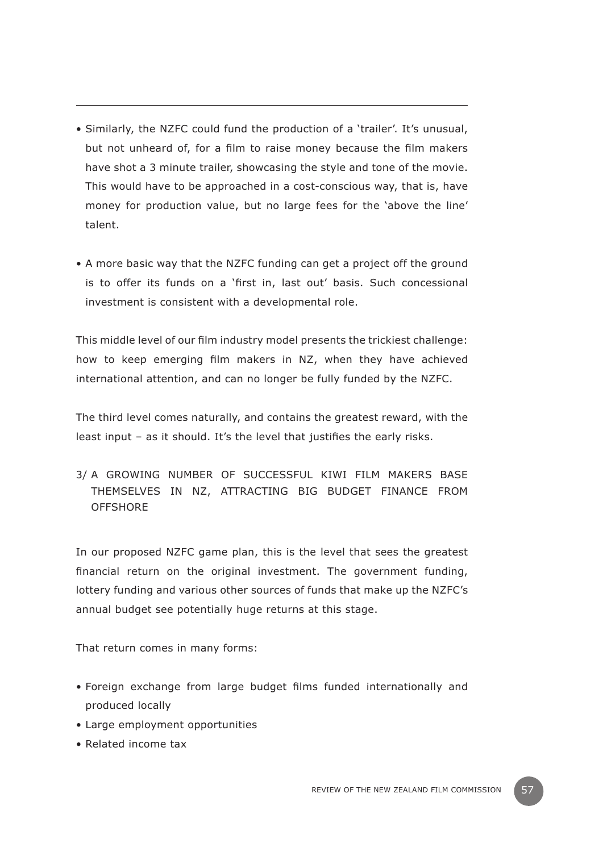- Similarly, the NZFC could fund the production of a 'trailer'. It's unusual, but not unheard of, for a film to raise money because the film makers have shot a 3 minute trailer, showcasing the style and tone of the movie. This would have to be approached in a cost-conscious way, that is, have money for production value, but no large fees for the 'above the line' talent.
- A more basic way that the NZFC funding can get a project off the ground is to offer its funds on a 'first in, last out' basis. Such concessional investment is consistent with a developmental role.

This middle level of our film industry model presents the trickiest challenge: how to keep emerging film makers in NZ, when they have achieved international attention, and can no longer be fully funded by the NZFC.

The third level comes naturally, and contains the greatest reward, with the least input – as it should. It's the level that justifies the early risks.

3/ A growing number of successful Kiwi film makers base themselves in NZ, attracting big budget finance from **OFFSHORE** 

In our proposed NZFC game plan, this is the level that sees the greatest financial return on the original investment. The government funding, lottery funding and various other sources of funds that make up the NZFC's annual budget see potentially huge returns at this stage.

That return comes in many forms:

- Foreign exchange from large budget films funded internationally and produced locally
- Large employment opportunities
- Related income tax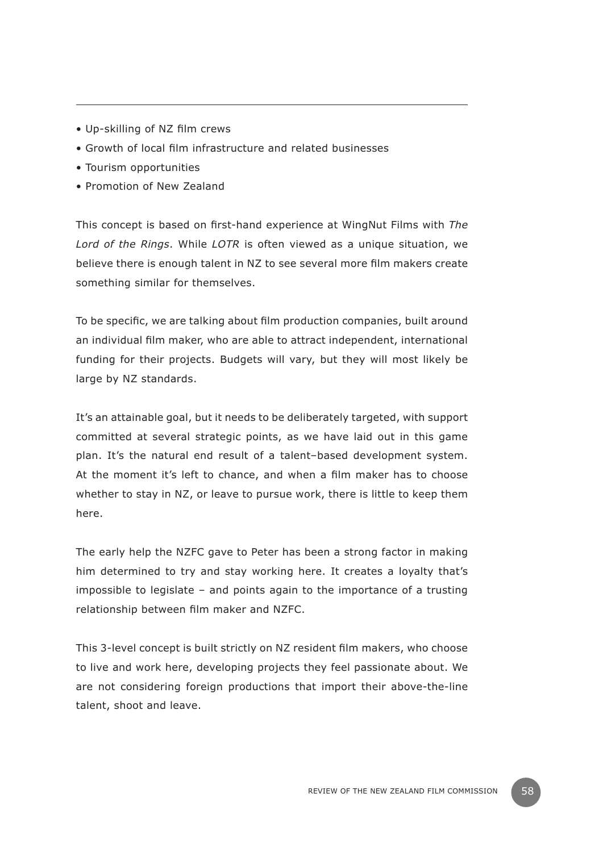- Up-skilling of NZ film crews
- Growth of local film infrastructure and related businesses
- Tourism opportunities
- Promotion of New Zealand

This concept is based on first-hand experience at WingNut Films with *The Lord of the Rings*. While *LOTR* is often viewed as a unique situation, we believe there is enough talent in NZ to see several more film makers create something similar for themselves.

To be specific, we are talking about film production companies, built around an individual film maker, who are able to attract independent, international funding for their projects. Budgets will vary, but they will most likely be large by NZ standards.

It's an attainable goal, but it needs to be deliberately targeted, with support committed at several strategic points, as we have laid out in this game plan. It's the natural end result of a talent–based development system. At the moment it's left to chance, and when a film maker has to choose whether to stay in NZ, or leave to pursue work, there is little to keep them here.

The early help the NZFC gave to Peter has been a strong factor in making him determined to try and stay working here. It creates a loyalty that's impossible to legislate – and points again to the importance of a trusting relationship between film maker and NZFC.

This 3-level concept is built strictly on NZ resident film makers, who choose to live and work here, developing projects they feel passionate about. We are not considering foreign productions that import their above-the-line talent, shoot and leave.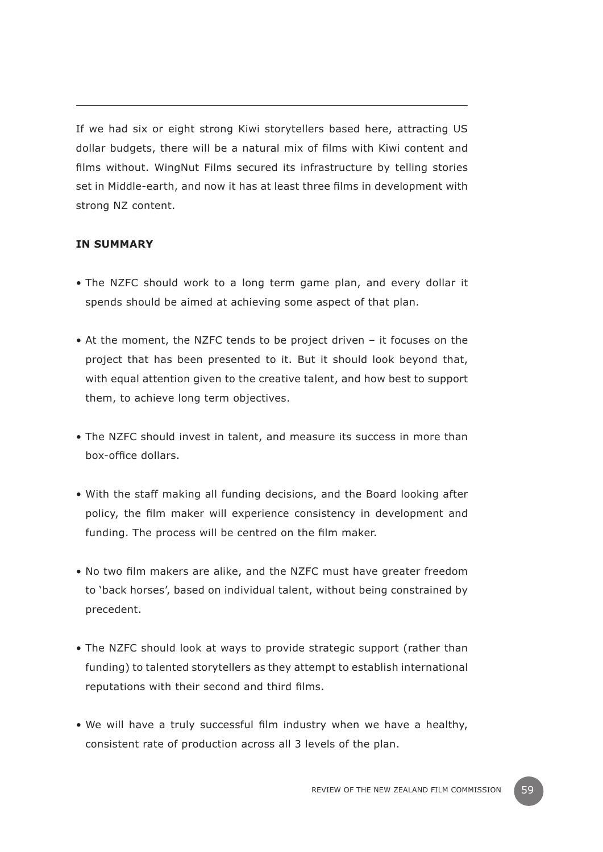If we had six or eight strong Kiwi storytellers based here, attracting US dollar budgets, there will be a natural mix of films with Kiwi content and films without. WingNut Films secured its infrastructure by telling stories set in Middle-earth, and now it has at least three films in development with strong NZ content.

# **In summary**

- The NZFC should work to a long term game plan, and every dollar it spends should be aimed at achieving some aspect of that plan.
- At the moment, the NZFC tends to be project driven it focuses on the project that has been presented to it. But it should look beyond that, with equal attention given to the creative talent, and how best to support them, to achieve long term objectives.
- The NZFC should invest in talent, and measure its success in more than box-office dollars.
- With the staff making all funding decisions, and the Board looking after policy, the film maker will experience consistency in development and funding. The process will be centred on the film maker.
- No two film makers are alike, and the NZFC must have greater freedom to 'back horses', based on individual talent, without being constrained by precedent.
- The NZFC should look at ways to provide strategic support (rather than funding) to talented storytellers as they attempt to establish international reputations with their second and third films.
- We will have a truly successful film industry when we have a healthy, consistent rate of production across all 3 levels of the plan.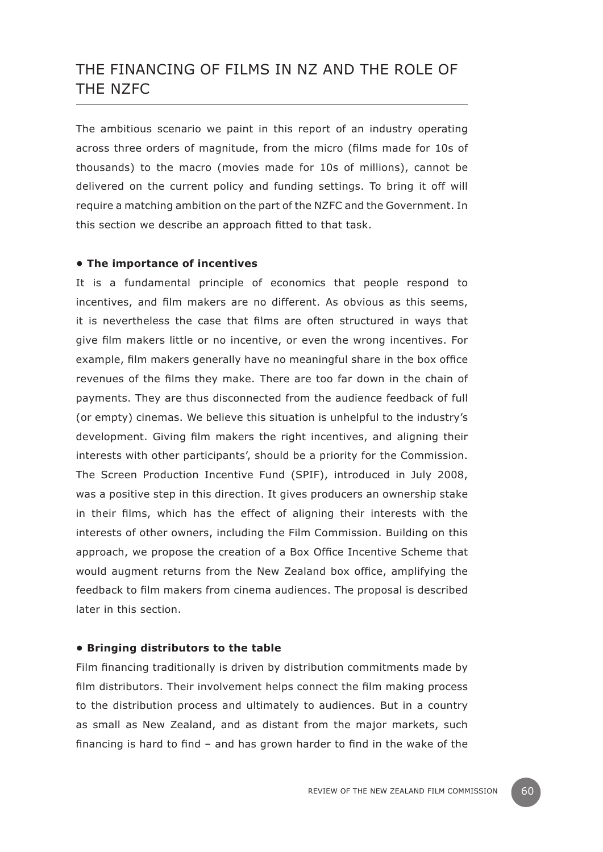# THE FINANCING OF FILMS IN NZ AND THE ROLE OF THE NZFC

The ambitious scenario we paint in this report of an industry operating across three orders of magnitude, from the micro (films made for 10s of thousands) to the macro (movies made for 10s of millions), cannot be delivered on the current policy and funding settings. To bring it off will require a matching ambition on the part of the NZFC and the Government. In this section we describe an approach fitted to that task.

#### **• The importance of incentives**

It is a fundamental principle of economics that people respond to incentives, and film makers are no different. As obvious as this seems, it is nevertheless the case that films are often structured in ways that give film makers little or no incentive, or even the wrong incentives. For example, film makers generally have no meaningful share in the box office revenues of the films they make. There are too far down in the chain of payments. They are thus disconnected from the audience feedback of full (or empty) cinemas. We believe this situation is unhelpful to the industry's development. Giving film makers the right incentives, and aligning their interests with other participants', should be a priority for the Commission. The Screen Production Incentive Fund (SPIF), introduced in July 2008, was a positive step in this direction. It gives producers an ownership stake in their films, which has the effect of aligning their interests with the interests of other owners, including the Film Commission. Building on this approach, we propose the creation of a Box Office Incentive Scheme that would augment returns from the New Zealand box office, amplifying the feedback to film makers from cinema audiences. The proposal is described later in this section.

#### **• Bringing distributors to the table**

Film financing traditionally is driven by distribution commitments made by film distributors. Their involvement helps connect the film making process to the distribution process and ultimately to audiences. But in a country as small as New Zealand, and as distant from the major markets, such financing is hard to find – and has grown harder to find in the wake of the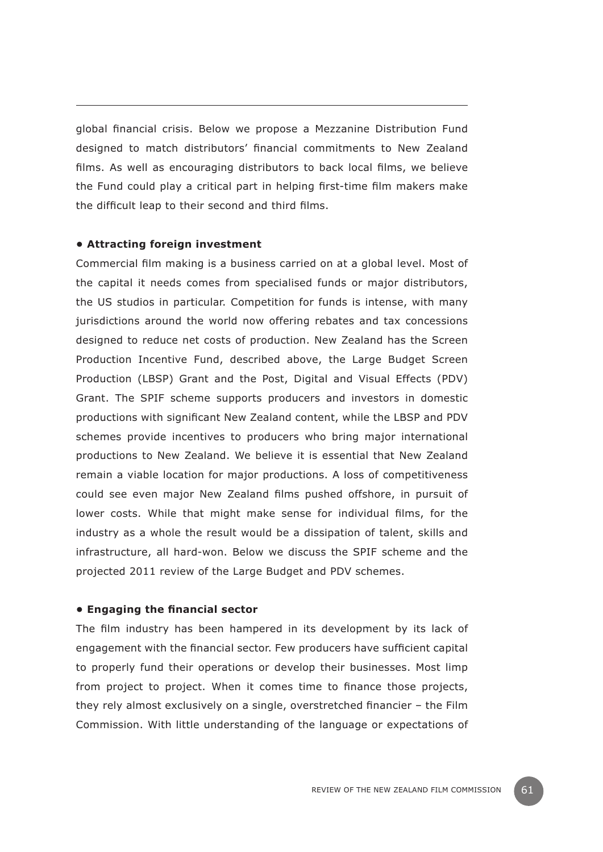global financial crisis. Below we propose a Mezzanine Distribution Fund designed to match distributors' financial commitments to New Zealand films. As well as encouraging distributors to back local films, we believe the Fund could play a critical part in helping first-time film makers make the difficult leap to their second and third films.

#### **• Attracting foreign investment**

Commercial film making is a business carried on at a global level. Most of the capital it needs comes from specialised funds or major distributors, the US studios in particular. Competition for funds is intense, with many jurisdictions around the world now offering rebates and tax concessions designed to reduce net costs of production. New Zealand has the Screen Production Incentive Fund, described above, the Large Budget Screen Production (LBSP) Grant and the Post, Digital and Visual Effects (PDV) Grant. The SPIF scheme supports producers and investors in domestic productions with significant New Zealand content, while the LBSP and PDV schemes provide incentives to producers who bring major international productions to New Zealand. We believe it is essential that New Zealand remain a viable location for major productions. A loss of competitiveness could see even major New Zealand films pushed offshore, in pursuit of lower costs. While that might make sense for individual films, for the industry as a whole the result would be a dissipation of talent, skills and infrastructure, all hard-won. Below we discuss the SPIF scheme and the projected 2011 review of the Large Budget and PDV schemes.

#### **• Engaging the financial sector**

The film industry has been hampered in its development by its lack of engagement with the financial sector. Few producers have sufficient capital to properly fund their operations or develop their businesses. Most limp from project to project. When it comes time to finance those projects, they rely almost exclusively on a single, overstretched financier – the Film Commission. With little understanding of the language or expectations of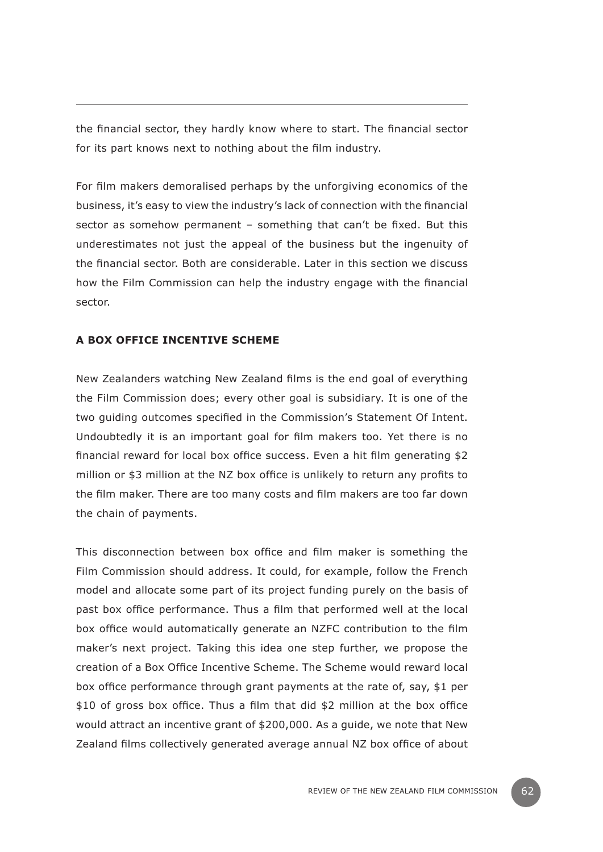the financial sector, they hardly know where to start. The financial sector for its part knows next to nothing about the film industry.

For film makers demoralised perhaps by the unforgiving economics of the business, it's easy to view the industry's lack of connection with the financial sector as somehow permanent – something that can't be fixed. But this underestimates not just the appeal of the business but the ingenuity of the financial sector. Both are considerable. Later in this section we discuss how the Film Commission can help the industry engage with the financial sector.

# **A Box Office Incentive Scheme**

New Zealanders watching New Zealand films is the end goal of everything the Film Commission does; every other goal is subsidiary. It is one of the two guiding outcomes specified in the Commission's Statement Of Intent. Undoubtedly it is an important goal for film makers too. Yet there is no financial reward for local box office success. Even a hit film generating \$2 million or \$3 million at the NZ box office is unlikely to return any profits to the film maker. There are too many costs and film makers are too far down the chain of payments.

This disconnection between box office and film maker is something the Film Commission should address. It could, for example, follow the French model and allocate some part of its project funding purely on the basis of past box office performance. Thus a film that performed well at the local box office would automatically generate an NZFC contribution to the film maker's next project. Taking this idea one step further, we propose the creation of a Box Office Incentive Scheme. The Scheme would reward local box office performance through grant payments at the rate of, say, \$1 per \$10 of gross box office. Thus a film that did \$2 million at the box office would attract an incentive grant of \$200,000. As a guide, we note that New Zealand films collectively generated average annual NZ box office of about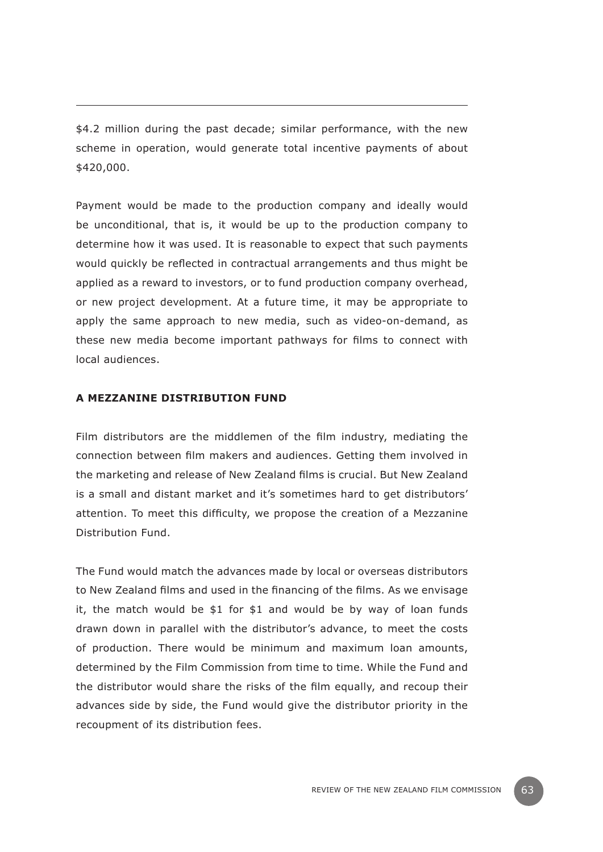\$4.2 million during the past decade; similar performance, with the new scheme in operation, would generate total incentive payments of about \$420,000.

Payment would be made to the production company and ideally would be unconditional, that is, it would be up to the production company to determine how it was used. It is reasonable to expect that such payments would quickly be reflected in contractual arrangements and thus might be applied as a reward to investors, or to fund production company overhead, or new project development. At a future time, it may be appropriate to apply the same approach to new media, such as video-on-demand, as these new media become important pathways for films to connect with local audiences.

#### **A Mezzanine Distribution Fund**

Film distributors are the middlemen of the film industry, mediating the connection between film makers and audiences. Getting them involved in the marketing and release of New Zealand films is crucial. But New Zealand is a small and distant market and it's sometimes hard to get distributors' attention. To meet this difficulty, we propose the creation of a Mezzanine Distribution Fund.

The Fund would match the advances made by local or overseas distributors to New Zealand films and used in the financing of the films. As we envisage it, the match would be \$1 for \$1 and would be by way of loan funds drawn down in parallel with the distributor's advance, to meet the costs of production. There would be minimum and maximum loan amounts, determined by the Film Commission from time to time. While the Fund and the distributor would share the risks of the film equally, and recoup their advances side by side, the Fund would give the distributor priority in the recoupment of its distribution fees.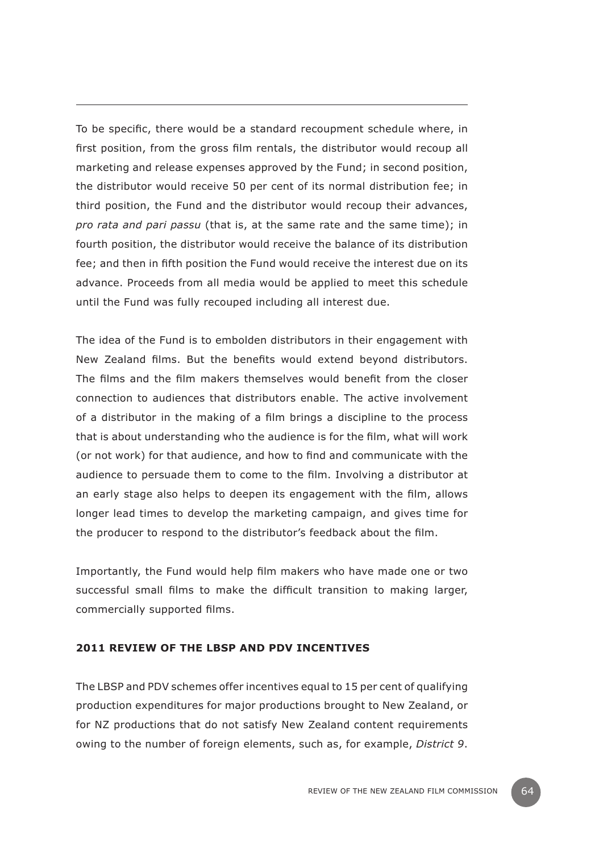To be specific, there would be a standard recoupment schedule where, in first position, from the gross film rentals, the distributor would recoup all marketing and release expenses approved by the Fund; in second position, the distributor would receive 50 per cent of its normal distribution fee; in third position, the Fund and the distributor would recoup their advances, *pro rata and pari passu* (that is, at the same rate and the same time); in fourth position, the distributor would receive the balance of its distribution fee; and then in fifth position the Fund would receive the interest due on its advance. Proceeds from all media would be applied to meet this schedule until the Fund was fully recouped including all interest due.

The idea of the Fund is to embolden distributors in their engagement with New Zealand films. But the benefits would extend beyond distributors. The films and the film makers themselves would benefit from the closer connection to audiences that distributors enable. The active involvement of a distributor in the making of a film brings a discipline to the process that is about understanding who the audience is for the film, what will work (or not work) for that audience, and how to find and communicate with the audience to persuade them to come to the film. Involving a distributor at an early stage also helps to deepen its engagement with the film, allows longer lead times to develop the marketing campaign, and gives time for the producer to respond to the distributor's feedback about the film.

Importantly, the Fund would help film makers who have made one or two successful small films to make the difficult transition to making larger, commercially supported films.

## **2011 review of the LBSP and PDV incentives**

The LBSP and PDV schemes offer incentives equal to 15 per cent of qualifying production expenditures for major productions brought to New Zealand, or for NZ productions that do not satisfy New Zealand content requirements owing to the number of foreign elements, such as, for example, *District 9*.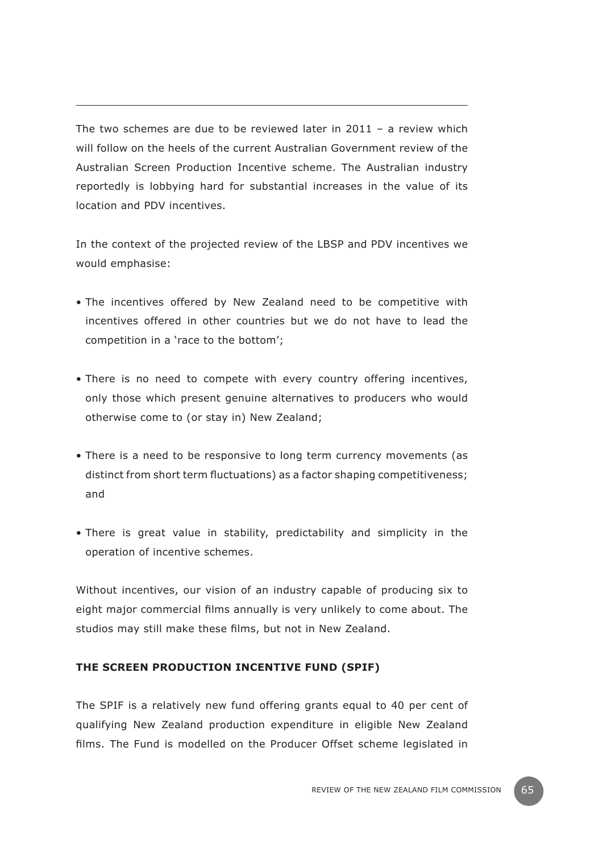The two schemes are due to be reviewed later in  $2011 - a$  review which will follow on the heels of the current Australian Government review of the Australian Screen Production Incentive scheme. The Australian industry reportedly is lobbying hard for substantial increases in the value of its location and PDV incentives.

In the context of the projected review of the LBSP and PDV incentives we would emphasise:

- The incentives offered by New Zealand need to be competitive with incentives offered in other countries but we do not have to lead the competition in a 'race to the bottom';
- There is no need to compete with every country offering incentives, only those which present genuine alternatives to producers who would otherwise come to (or stay in) New Zealand;
- There is a need to be responsive to long term currency movements (as distinct from short term fluctuations) as a factor shaping competitiveness; and
- There is great value in stability, predictability and simplicity in the operation of incentive schemes.

Without incentives, our vision of an industry capable of producing six to eight major commercial films annually is very unlikely to come about. The studios may still make these films, but not in New Zealand.

# **The Screen Production Incentive Fund (SPIF)**

The SPIF is a relatively new fund offering grants equal to 40 per cent of qualifying New Zealand production expenditure in eligible New Zealand films. The Fund is modelled on the Producer Offset scheme legislated in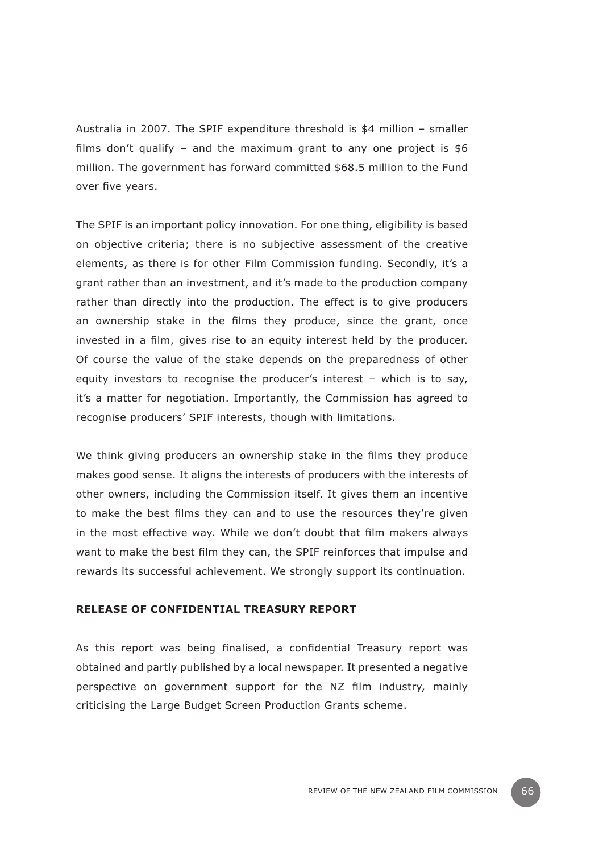Australia in 2007. The SPIF expenditure threshold is \$4 million – smaller films don't qualify – and the maximum grant to any one project is  $$6$ million. The government has forward committed \$68.5 million to the Fund over five years.

The SPIF is an important policy innovation. For one thing, eligibility is based on objective criteria; there is no subjective assessment of the creative elements, as there is for other Film Commission funding. Secondly, it's a grant rather than an investment, and it's made to the production company rather than directly into the production. The effect is to give producers an ownership stake in the films they produce, since the grant, once invested in a film, gives rise to an equity interest held by the producer. Of course the value of the stake depends on the preparedness of other equity investors to recognise the producer's interest – which is to say, it's a matter for negotiation. Importantly, the Commission has agreed to recognise producers' SPIF interests, though with limitations.

We think giving producers an ownership stake in the films they produce makes good sense. It aligns the interests of producers with the interests of other owners, including the Commission itself. It gives them an incentive to make the best films they can and to use the resources they're given in the most effective way. While we don't doubt that film makers always want to make the best film they can, the SPIF reinforces that impulse and rewards its successful achievement. We strongly support its continuation.

#### **Release of confidential Treasury report**

As this report was being finalised, a confidential Treasury report was obtained and partly published by a local newspaper. It presented a negative perspective on government support for the NZ film industry, mainly criticising the Large Budget Screen Production Grants scheme.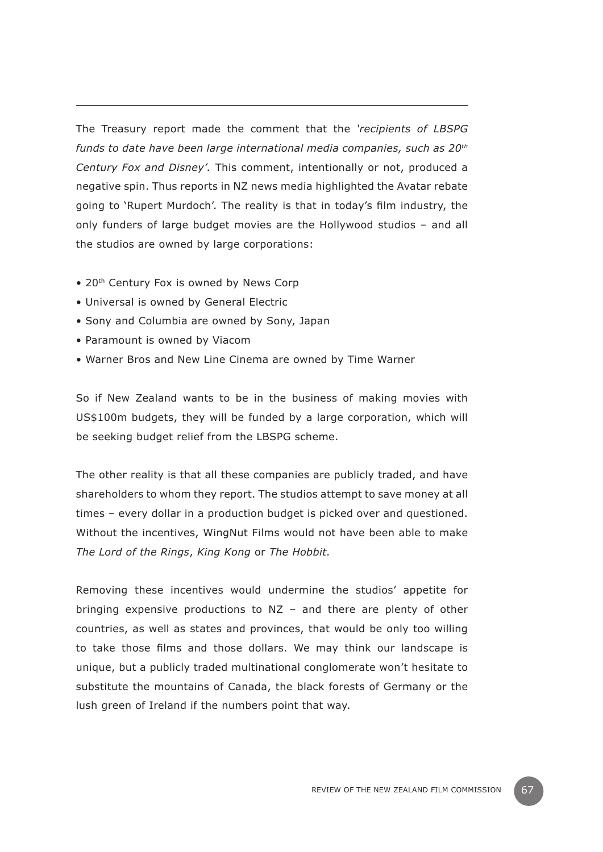The Treasury report made the comment that the *'recipients of LBSPG funds to date have been large international media companies, such as 20th Century Fox and Disney'.* This comment, intentionally or not, produced a negative spin. Thus reports in NZ news media highlighted the Avatar rebate going to 'Rupert Murdoch'. The reality is that in today's film industry, the only funders of large budget movies are the Hollywood studios – and all the studios are owned by large corporations:

- 20<sup>th</sup> Century Fox is owned by News Corp
- Universal is owned by General Electric
- Sony and Columbia are owned by Sony, Japan
- Paramount is owned by Viacom
- Warner Bros and New Line Cinema are owned by Time Warner

So if New Zealand wants to be in the business of making movies with US\$100m budgets, they will be funded by a large corporation, which will be seeking budget relief from the LBSPG scheme.

The other reality is that all these companies are publicly traded, and have shareholders to whom they report. The studios attempt to save money at all times – every dollar in a production budget is picked over and questioned. Without the incentives, WingNut Films would not have been able to make *The Lord of the Rings*, *King Kong* or *The Hobbit.*

Removing these incentives would undermine the studios' appetite for bringing expensive productions to NZ – and there are plenty of other countries, as well as states and provinces, that would be only too willing to take those films and those dollars. We may think our landscape is unique, but a publicly traded multinational conglomerate won't hesitate to substitute the mountains of Canada, the black forests of Germany or the lush green of Ireland if the numbers point that way.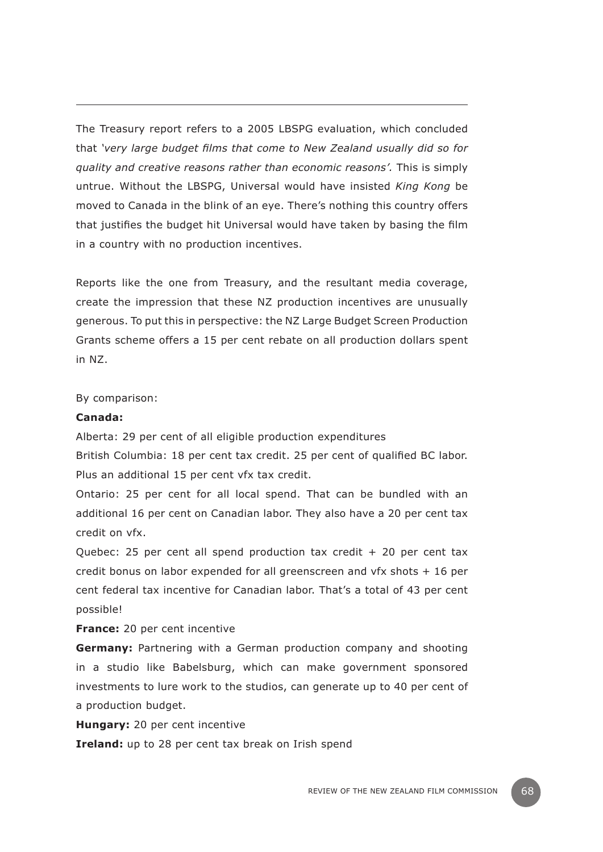The Treasury report refers to a 2005 LBSPG evaluation, which concluded that *'very large budget films that come to New Zealand usually did so for quality and creative reasons rather than economic reasons'.* This is simply untrue. Without the LBSPG, Universal would have insisted *King Kong* be moved to Canada in the blink of an eye. There's nothing this country offers that justifies the budget hit Universal would have taken by basing the film in a country with no production incentives.

Reports like the one from Treasury, and the resultant media coverage, create the impression that these NZ production incentives are unusually generous. To put this in perspective: the NZ Large Budget Screen Production Grants scheme offers a 15 per cent rebate on all production dollars spent in NZ.

By comparison:

#### **Canada:**

Alberta: 29 per cent of all eligible production expenditures

British Columbia: 18 per cent tax credit. 25 per cent of qualified BC labor. Plus an additional 15 per cent vfx tax credit.

Ontario: 25 per cent for all local spend. That can be bundled with an additional 16 per cent on Canadian labor. They also have a 20 per cent tax credit on vfx.

Quebec: 25 per cent all spend production tax credit  $+$  20 per cent tax credit bonus on labor expended for all greenscreen and vfx shots + 16 per cent federal tax incentive for Canadian labor. That's a total of 43 per cent possible!

**France:** 20 per cent incentive

**Germany:** Partnering with a German production company and shooting in a studio like Babelsburg, which can make government sponsored investments to lure work to the studios, can generate up to 40 per cent of a production budget.

**Hungary:** 20 per cent incentive

**Ireland:** up to 28 per cent tax break on Irish spend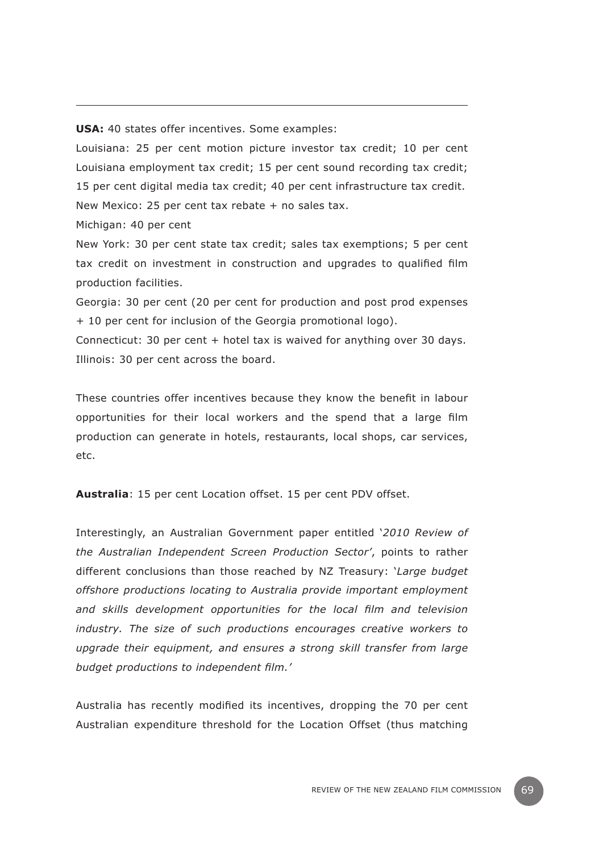**USA:** 40 states offer incentives. Some examples:

Louisiana: 25 per cent motion picture investor tax credit; 10 per cent Louisiana employment tax credit; 15 per cent sound recording tax credit; 15 per cent digital media tax credit; 40 per cent infrastructure tax credit. New Mexico: 25 per cent tax rebate + no sales tax.

Michigan: 40 per cent

New York: 30 per cent state tax credit; sales tax exemptions; 5 per cent tax credit on investment in construction and upgrades to qualified film production facilities.

Georgia: 30 per cent (20 per cent for production and post prod expenses + 10 per cent for inclusion of the Georgia promotional logo).

Connecticut: 30 per cent + hotel tax is waived for anything over 30 days. Illinois: 30 per cent across the board.

These countries offer incentives because they know the benefit in labour opportunities for their local workers and the spend that a large film production can generate in hotels, restaurants, local shops, car services, etc.

**Australia**: 15 per cent Location offset. 15 per cent PDV offset.

Interestingly, an Australian Government paper entitled '*2010 Review of the Australian Independent Screen Production Sector'*, points to rather different conclusions than those reached by NZ Treasury: '*Large budget offshore productions locating to Australia provide important employment and skills development opportunities for the local film and television industry. The size of such productions encourages creative workers to upgrade their equipment, and ensures a strong skill transfer from large budget productions to independent film.'*

Australia has recently modified its incentives, dropping the 70 per cent Australian expenditure threshold for the Location Offset (thus matching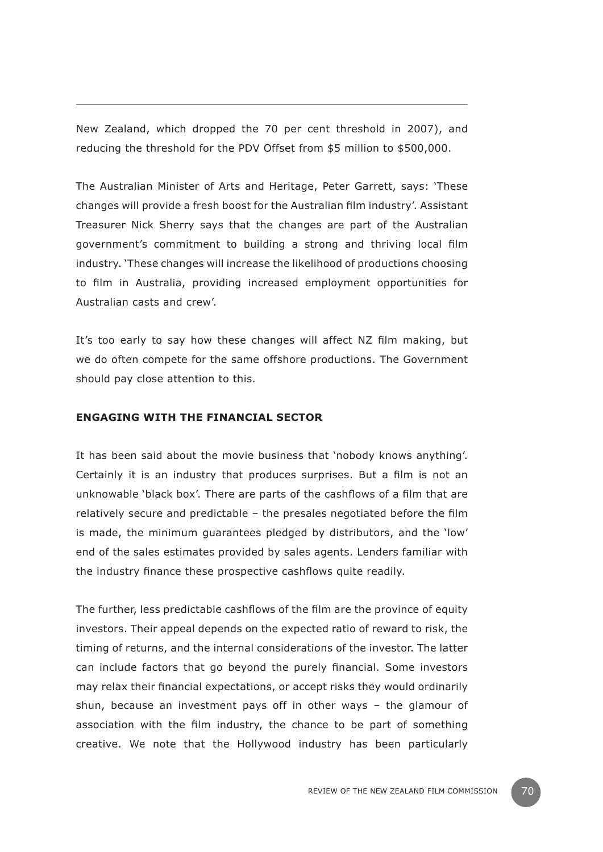New Zealand, which dropped the 70 per cent threshold in 2007), and reducing the threshold for the PDV Offset from \$5 million to \$500,000.

The Australian Minister of Arts and Heritage, Peter Garrett, says: 'These changes will provide a fresh boost for the Australian film industry'. Assistant Treasurer Nick Sherry says that the changes are part of the Australian government's commitment to building a strong and thriving local film industry. 'These changes will increase the likelihood of productions choosing to film in Australia, providing increased employment opportunities for Australian casts and crew'.

It's too early to say how these changes will affect NZ film making, but we do often compete for the same offshore productions. The Government should pay close attention to this.

## **Engaging with the financial sector**

It has been said about the movie business that 'nobody knows anything'. Certainly it is an industry that produces surprises. But a film is not an unknowable 'black box'. There are parts of the cashflows of a film that are relatively secure and predictable – the presales negotiated before the film is made, the minimum guarantees pledged by distributors, and the 'low' end of the sales estimates provided by sales agents. Lenders familiar with the industry finance these prospective cashflows quite readily.

The further, less predictable cashflows of the film are the province of equity investors. Their appeal depends on the expected ratio of reward to risk, the timing of returns, and the internal considerations of the investor. The latter can include factors that go beyond the purely financial. Some investors may relax their financial expectations, or accept risks they would ordinarily shun, because an investment pays off in other ways – the glamour of association with the film industry, the chance to be part of something creative. We note that the Hollywood industry has been particularly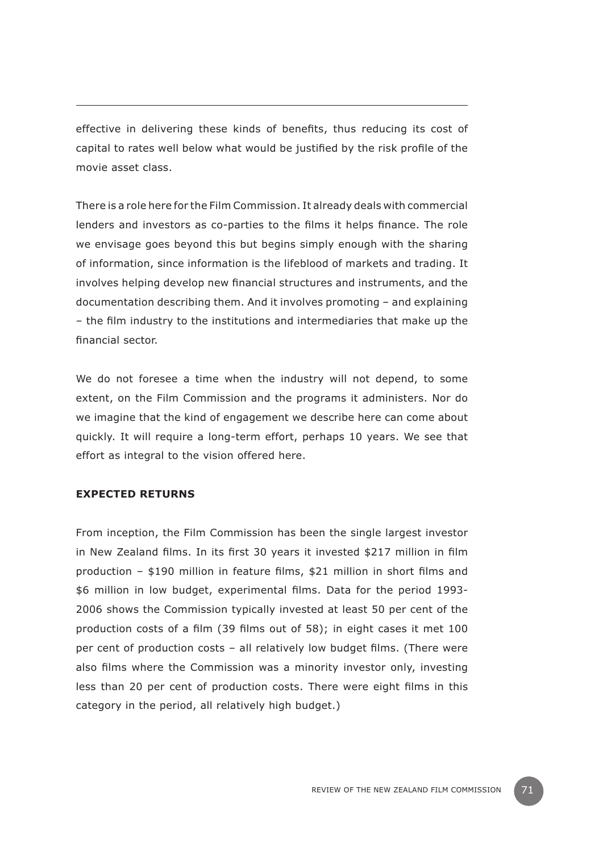effective in delivering these kinds of benefits, thus reducing its cost of capital to rates well below what would be justified by the risk profile of the movie asset class.

There is a role here for the Film Commission. It already deals with commercial lenders and investors as co-parties to the films it helps finance. The role we envisage goes beyond this but begins simply enough with the sharing of information, since information is the lifeblood of markets and trading. It involves helping develop new financial structures and instruments, and the documentation describing them. And it involves promoting – and explaining – the film industry to the institutions and intermediaries that make up the financial sector.

We do not foresee a time when the industry will not depend, to some extent, on the Film Commission and the programs it administers. Nor do we imagine that the kind of engagement we describe here can come about quickly. It will require a long-term effort, perhaps 10 years. We see that effort as integral to the vision offered here.

## **Expected returns**

From inception, the Film Commission has been the single largest investor in New Zealand films. In its first 30 years it invested \$217 million in film production – \$190 million in feature films, \$21 million in short films and \$6 million in low budget, experimental films. Data for the period 1993- 2006 shows the Commission typically invested at least 50 per cent of the production costs of a film (39 films out of 58); in eight cases it met 100 per cent of production costs – all relatively low budget films. (There were also films where the Commission was a minority investor only, investing less than 20 per cent of production costs. There were eight films in this category in the period, all relatively high budget.)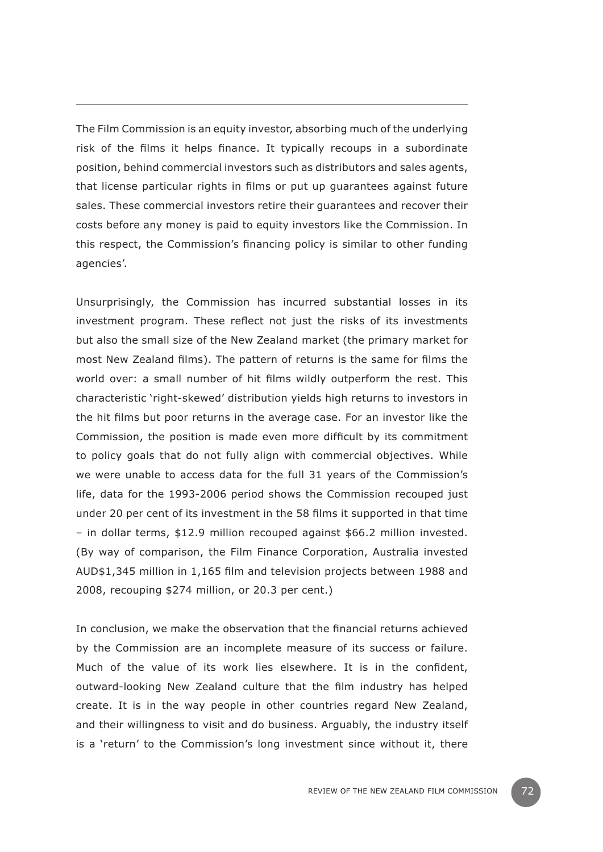The Film Commission is an equity investor, absorbing much of the underlying risk of the films it helps finance. It typically recoups in a subordinate position, behind commercial investors such as distributors and sales agents, that license particular rights in films or put up guarantees against future sales. These commercial investors retire their guarantees and recover their costs before any money is paid to equity investors like the Commission. In this respect, the Commission's financing policy is similar to other funding agencies'.

Unsurprisingly, the Commission has incurred substantial losses in its investment program. These reflect not just the risks of its investments but also the small size of the New Zealand market (the primary market for most New Zealand films). The pattern of returns is the same for films the world over: a small number of hit films wildly outperform the rest. This characteristic 'right-skewed' distribution yields high returns to investors in the hit films but poor returns in the average case. For an investor like the Commission, the position is made even more difficult by its commitment to policy goals that do not fully align with commercial objectives. While we were unable to access data for the full 31 years of the Commission's life, data for the 1993-2006 period shows the Commission recouped just under 20 per cent of its investment in the 58 films it supported in that time – in dollar terms, \$12.9 million recouped against \$66.2 million invested. (By way of comparison, the Film Finance Corporation, Australia invested AUD\$1,345 million in 1,165 film and television projects between 1988 and 2008, recouping \$274 million, or 20.3 per cent.)

In conclusion, we make the observation that the financial returns achieved by the Commission are an incomplete measure of its success or failure. Much of the value of its work lies elsewhere. It is in the confident, outward-looking New Zealand culture that the film industry has helped create. It is in the way people in other countries regard New Zealand, and their willingness to visit and do business. Arguably, the industry itself is a 'return' to the Commission's long investment since without it, there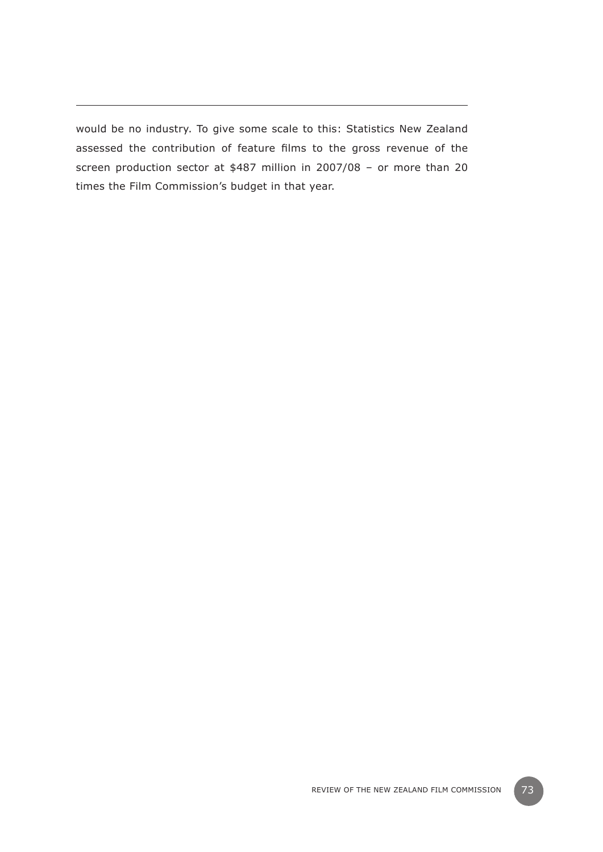would be no industry. To give some scale to this: Statistics New Zealand assessed the contribution of feature films to the gross revenue of the screen production sector at \$487 million in 2007/08 – or more than 20 times the Film Commission's budget in that year.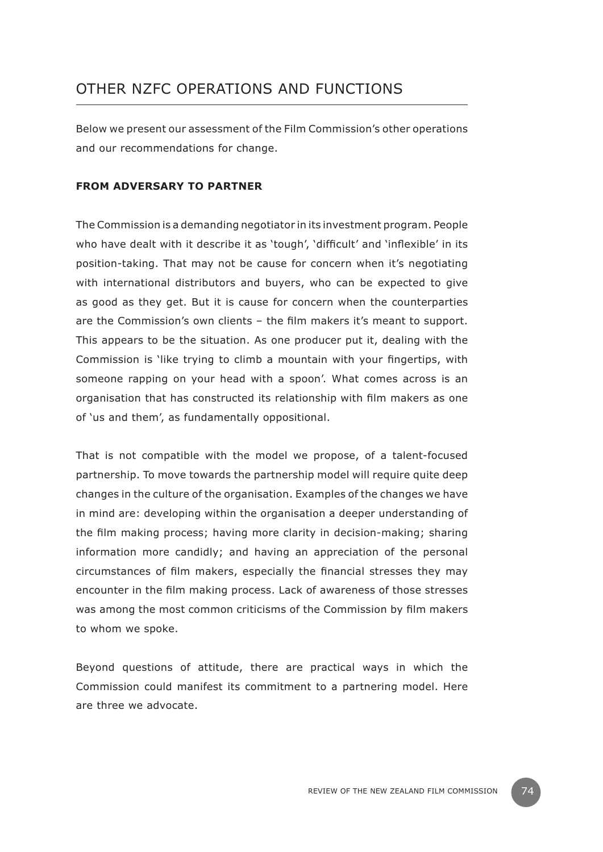## OTHER NZFC OPERATIONS AND FUNCTIONS

Below we present our assessment of the Film Commission's other operations and our recommendations for change.

#### **From adversary to partner**

The Commission is a demanding negotiator in its investment program. People who have dealt with it describe it as 'tough', 'difficult' and 'inflexible' in its position-taking. That may not be cause for concern when it's negotiating with international distributors and buyers, who can be expected to give as good as they get. But it is cause for concern when the counterparties are the Commission's own clients – the film makers it's meant to support. This appears to be the situation. As one producer put it, dealing with the Commission is 'like trying to climb a mountain with your fingertips, with someone rapping on your head with a spoon'. What comes across is an organisation that has constructed its relationship with film makers as one of 'us and them', as fundamentally oppositional.

That is not compatible with the model we propose, of a talent-focused partnership. To move towards the partnership model will require quite deep changes in the culture of the organisation. Examples of the changes we have in mind are: developing within the organisation a deeper understanding of the film making process; having more clarity in decision-making; sharing information more candidly; and having an appreciation of the personal circumstances of film makers, especially the financial stresses they may encounter in the film making process. Lack of awareness of those stresses was among the most common criticisms of the Commission by film makers to whom we spoke.

Beyond questions of attitude, there are practical ways in which the Commission could manifest its commitment to a partnering model. Here are three we advocate.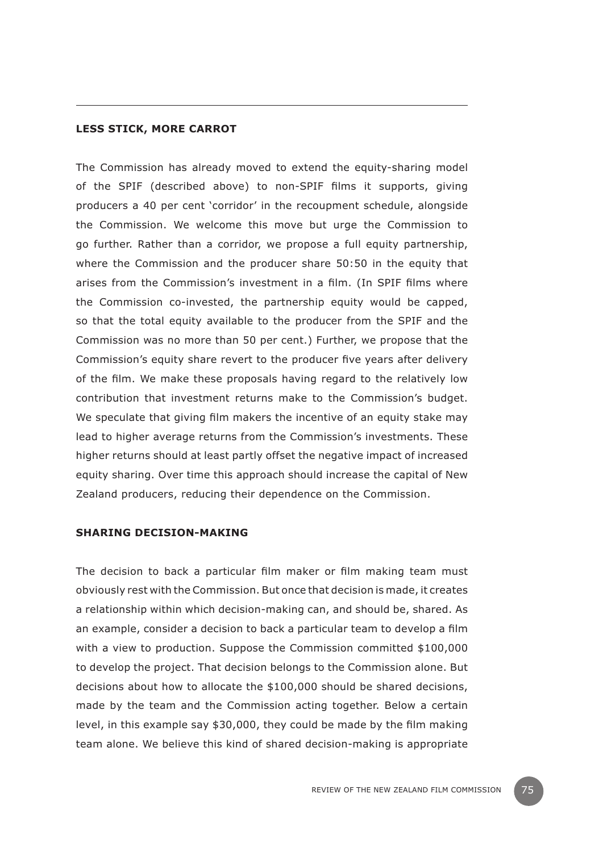#### **Less stick, more carrot**

The Commission has already moved to extend the equity-sharing model of the SPIF (described above) to non-SPIF films it supports, giving producers a 40 per cent 'corridor' in the recoupment schedule, alongside the Commission. We welcome this move but urge the Commission to go further. Rather than a corridor, we propose a full equity partnership, where the Commission and the producer share 50:50 in the equity that arises from the Commission's investment in a film. (In SPIF films where the Commission co-invested, the partnership equity would be capped, so that the total equity available to the producer from the SPIF and the Commission was no more than 50 per cent.) Further, we propose that the Commission's equity share revert to the producer five years after delivery of the film. We make these proposals having regard to the relatively low contribution that investment returns make to the Commission's budget. We speculate that giving film makers the incentive of an equity stake may lead to higher average returns from the Commission's investments. These higher returns should at least partly offset the negative impact of increased equity sharing. Over time this approach should increase the capital of New Zealand producers, reducing their dependence on the Commission.

#### **Sharing decision-making**

The decision to back a particular film maker or film making team must obviously rest with the Commission. But once that decision is made, it creates a relationship within which decision-making can, and should be, shared. As an example, consider a decision to back a particular team to develop a film with a view to production. Suppose the Commission committed \$100,000 to develop the project. That decision belongs to the Commission alone. But decisions about how to allocate the \$100,000 should be shared decisions, made by the team and the Commission acting together. Below a certain level, in this example say \$30,000, they could be made by the film making team alone. We believe this kind of shared decision-making is appropriate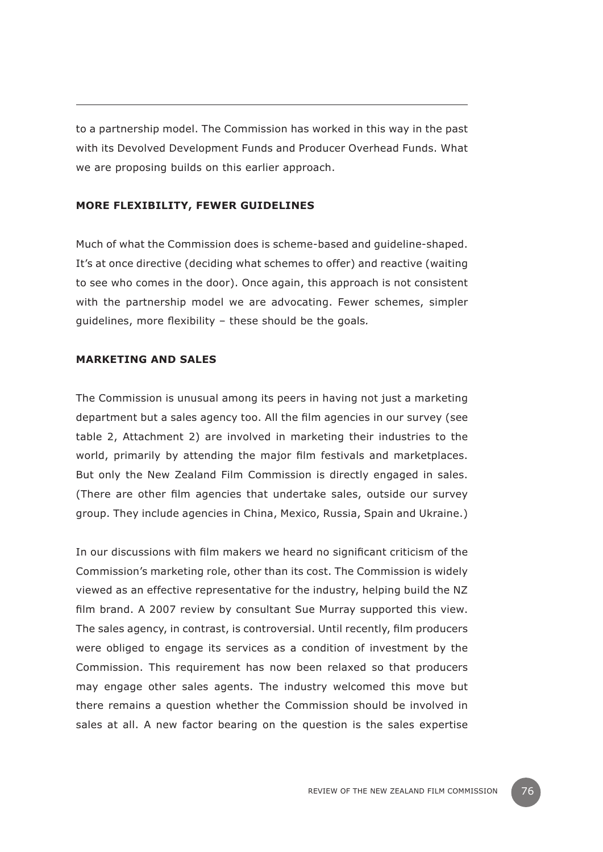to a partnership model. The Commission has worked in this way in the past with its Devolved Development Funds and Producer Overhead Funds. What we are proposing builds on this earlier approach.

#### **More flexibility, fewer guidelines**

Much of what the Commission does is scheme-based and guideline-shaped. It's at once directive (deciding what schemes to offer) and reactive (waiting to see who comes in the door). Once again, this approach is not consistent with the partnership model we are advocating. Fewer schemes, simpler guidelines, more flexibility – these should be the goals*.*

#### **Marketing and sales**

The Commission is unusual among its peers in having not just a marketing department but a sales agency too. All the film agencies in our survey (see table 2, Attachment 2) are involved in marketing their industries to the world, primarily by attending the major film festivals and marketplaces. But only the New Zealand Film Commission is directly engaged in sales. (There are other film agencies that undertake sales, outside our survey group. They include agencies in China, Mexico, Russia, Spain and Ukraine.)

In our discussions with film makers we heard no significant criticism of the Commission's marketing role, other than its cost. The Commission is widely viewed as an effective representative for the industry, helping build the NZ film brand. A 2007 review by consultant Sue Murray supported this view. The sales agency, in contrast, is controversial. Until recently, film producers were obliged to engage its services as a condition of investment by the Commission. This requirement has now been relaxed so that producers may engage other sales agents. The industry welcomed this move but there remains a question whether the Commission should be involved in sales at all. A new factor bearing on the question is the sales expertise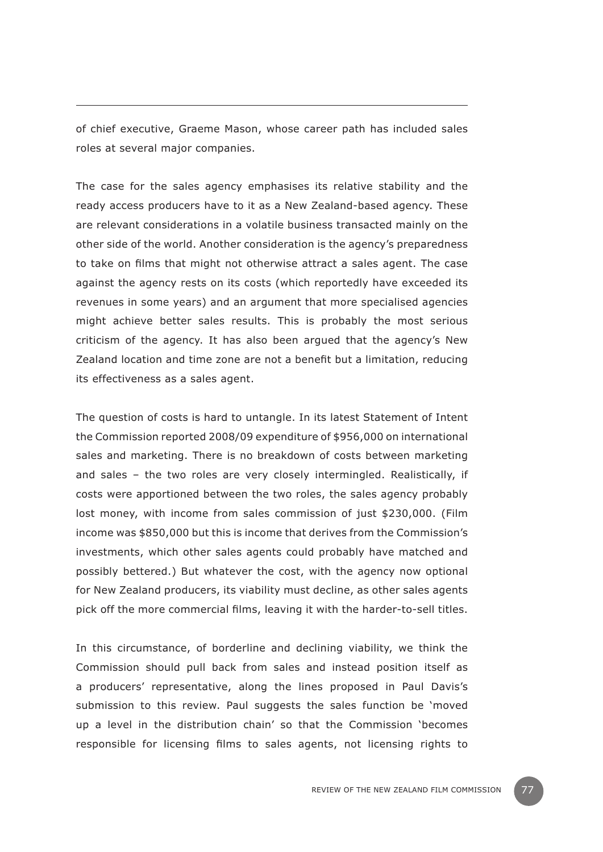of chief executive, Graeme Mason, whose career path has included sales roles at several major companies.

The case for the sales agency emphasises its relative stability and the ready access producers have to it as a New Zealand-based agency. These are relevant considerations in a volatile business transacted mainly on the other side of the world. Another consideration is the agency's preparedness to take on films that might not otherwise attract a sales agent. The case against the agency rests on its costs (which reportedly have exceeded its revenues in some years) and an argument that more specialised agencies might achieve better sales results. This is probably the most serious criticism of the agency. It has also been argued that the agency's New Zealand location and time zone are not a benefit but a limitation, reducing its effectiveness as a sales agent.

The question of costs is hard to untangle. In its latest Statement of Intent the Commission reported 2008/09 expenditure of \$956,000 on international sales and marketing. There is no breakdown of costs between marketing and sales – the two roles are very closely intermingled. Realistically, if costs were apportioned between the two roles, the sales agency probably lost money, with income from sales commission of just \$230,000. (Film income was \$850,000 but this is income that derives from the Commission's investments, which other sales agents could probably have matched and possibly bettered.) But whatever the cost, with the agency now optional for New Zealand producers, its viability must decline, as other sales agents pick off the more commercial films, leaving it with the harder-to-sell titles.

In this circumstance, of borderline and declining viability, we think the Commission should pull back from sales and instead position itself as a producers' representative, along the lines proposed in Paul Davis's submission to this review. Paul suggests the sales function be 'moved up a level in the distribution chain' so that the Commission 'becomes responsible for licensing films to sales agents, not licensing rights to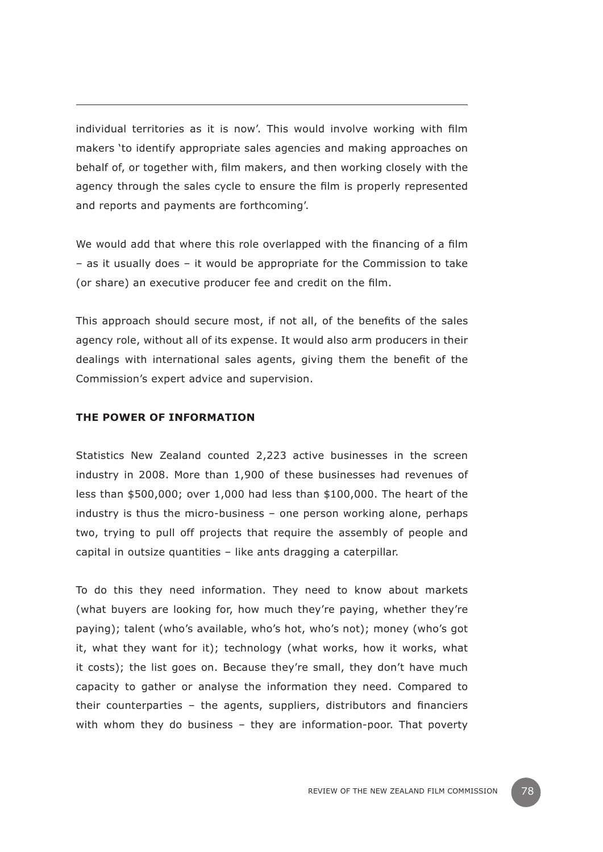individual territories as it is now'. This would involve working with film makers 'to identify appropriate sales agencies and making approaches on behalf of, or together with, film makers, and then working closely with the agency through the sales cycle to ensure the film is properly represented and reports and payments are forthcoming'.

We would add that where this role overlapped with the financing of a film – as it usually does – it would be appropriate for the Commission to take (or share) an executive producer fee and credit on the film.

This approach should secure most, if not all, of the benefits of the sales agency role, without all of its expense. It would also arm producers in their dealings with international sales agents, giving them the benefit of the Commission's expert advice and supervision.

#### **The power of information**

Statistics New Zealand counted 2,223 active businesses in the screen industry in 2008. More than 1,900 of these businesses had revenues of less than \$500,000; over 1,000 had less than \$100,000. The heart of the industry is thus the micro-business – one person working alone, perhaps two, trying to pull off projects that require the assembly of people and capital in outsize quantities – like ants dragging a caterpillar.

To do this they need information. They need to know about markets (what buyers are looking for, how much they're paying, whether they're paying); talent (who's available, who's hot, who's not); money (who's got it, what they want for it); technology (what works, how it works, what it costs); the list goes on. Because they're small, they don't have much capacity to gather or analyse the information they need. Compared to their counterparties – the agents, suppliers, distributors and financiers with whom they do business – they are information-poor. That poverty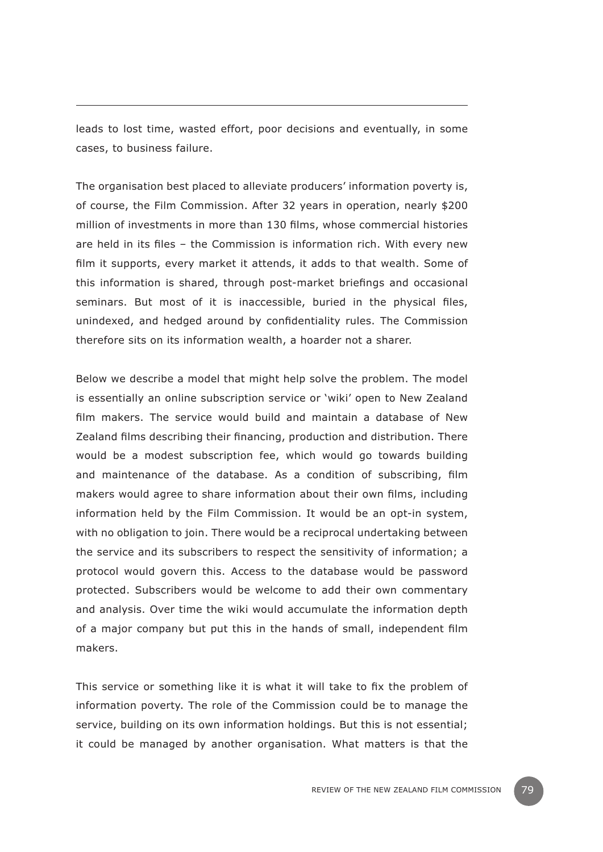leads to lost time, wasted effort, poor decisions and eventually, in some cases, to business failure.

The organisation best placed to alleviate producers' information poverty is, of course, the Film Commission. After 32 years in operation, nearly \$200 million of investments in more than 130 films, whose commercial histories are held in its files – the Commission is information rich. With every new film it supports, every market it attends, it adds to that wealth. Some of this information is shared, through post-market briefings and occasional seminars. But most of it is inaccessible, buried in the physical files, unindexed, and hedged around by confidentiality rules. The Commission therefore sits on its information wealth, a hoarder not a sharer.

Below we describe a model that might help solve the problem. The model is essentially an online subscription service or 'wiki' open to New Zealand film makers. The service would build and maintain a database of New Zealand films describing their financing, production and distribution. There would be a modest subscription fee, which would go towards building and maintenance of the database. As a condition of subscribing, film makers would agree to share information about their own films, including information held by the Film Commission. It would be an opt-in system, with no obligation to join. There would be a reciprocal undertaking between the service and its subscribers to respect the sensitivity of information; a protocol would govern this. Access to the database would be password protected. Subscribers would be welcome to add their own commentary and analysis. Over time the wiki would accumulate the information depth of a major company but put this in the hands of small, independent film makers.

This service or something like it is what it will take to fix the problem of information poverty. The role of the Commission could be to manage the service, building on its own information holdings. But this is not essential; it could be managed by another organisation. What matters is that the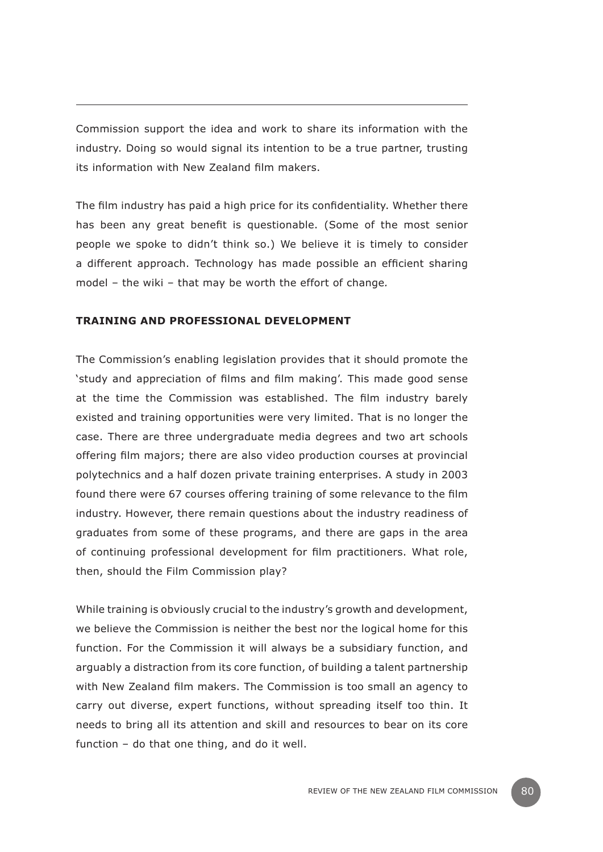Commission support the idea and work to share its information with the industry. Doing so would signal its intention to be a true partner, trusting its information with New Zealand film makers.

The film industry has paid a high price for its confidentiality. Whether there has been any great benefit is questionable. (Some of the most senior people we spoke to didn't think so.) We believe it is timely to consider a different approach. Technology has made possible an efficient sharing model – the wiki – that may be worth the effort of change*.*

#### **Training and professional development**

The Commission's enabling legislation provides that it should promote the 'study and appreciation of films and film making'. This made good sense at the time the Commission was established. The film industry barely existed and training opportunities were very limited. That is no longer the case. There are three undergraduate media degrees and two art schools offering film majors; there are also video production courses at provincial polytechnics and a half dozen private training enterprises. A study in 2003 found there were 67 courses offering training of some relevance to the film industry. However, there remain questions about the industry readiness of graduates from some of these programs, and there are gaps in the area of continuing professional development for film practitioners. What role, then, should the Film Commission play?

While training is obviously crucial to the industry's growth and development, we believe the Commission is neither the best nor the logical home for this function. For the Commission it will always be a subsidiary function, and arguably a distraction from its core function, of building a talent partnership with New Zealand film makers. The Commission is too small an agency to carry out diverse, expert functions, without spreading itself too thin. It needs to bring all its attention and skill and resources to bear on its core function – do that one thing, and do it well.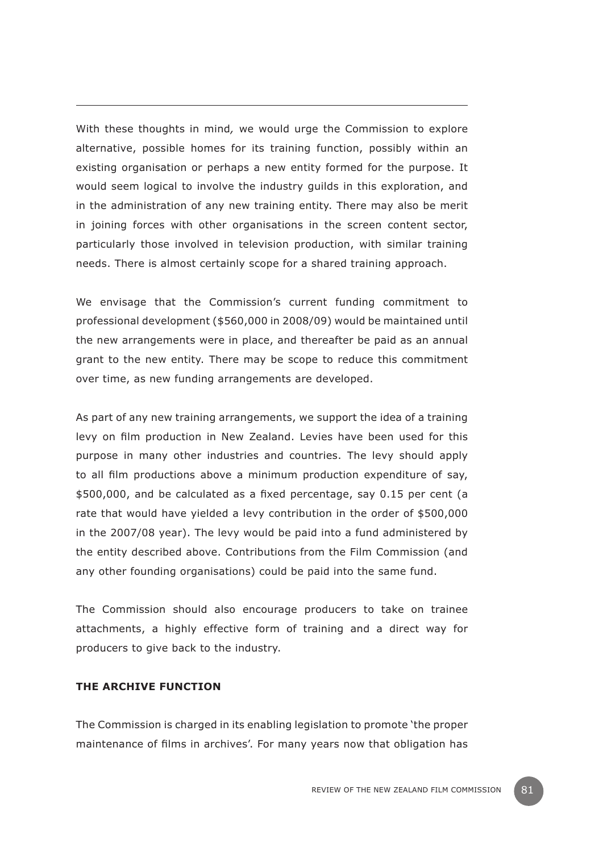With these thoughts in mind*,* we would urge the Commission to explore alternative, possible homes for its training function, possibly within an existing organisation or perhaps a new entity formed for the purpose. It would seem logical to involve the industry guilds in this exploration, and in the administration of any new training entity. There may also be merit in joining forces with other organisations in the screen content sector, particularly those involved in television production, with similar training needs. There is almost certainly scope for a shared training approach.

We envisage that the Commission's current funding commitment to professional development (\$560,000 in 2008/09) would be maintained until the new arrangements were in place, and thereafter be paid as an annual grant to the new entity. There may be scope to reduce this commitment over time, as new funding arrangements are developed.

As part of any new training arrangements, we support the idea of a training levy on film production in New Zealand. Levies have been used for this purpose in many other industries and countries. The levy should apply to all film productions above a minimum production expenditure of say, \$500,000, and be calculated as a fixed percentage, say 0.15 per cent (a rate that would have yielded a levy contribution in the order of \$500,000 in the 2007/08 year). The levy would be paid into a fund administered by the entity described above. Contributions from the Film Commission (and any other founding organisations) could be paid into the same fund.

The Commission should also encourage producers to take on trainee attachments, a highly effective form of training and a direct way for producers to give back to the industry.

#### **The archive function**

The Commission is charged in its enabling legislation to promote 'the proper maintenance of films in archives'. For many years now that obligation has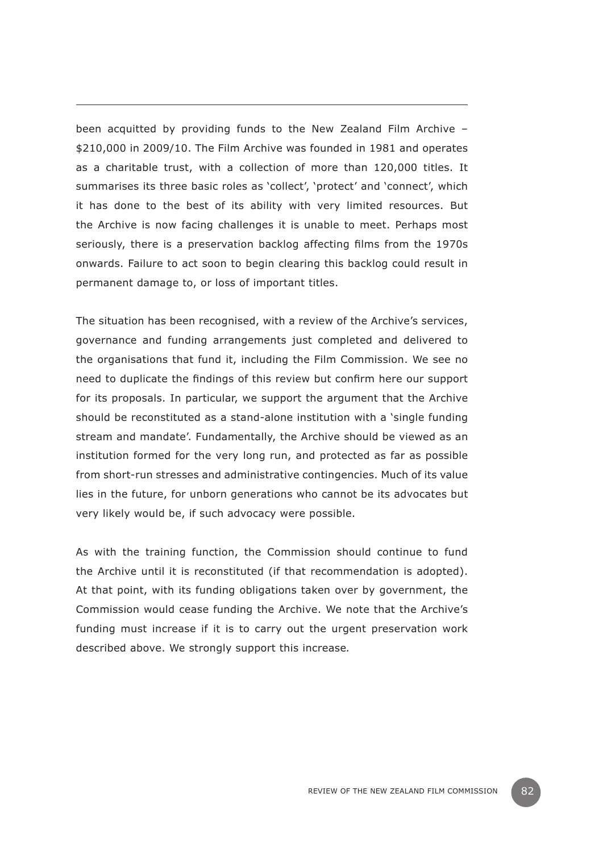been acquitted by providing funds to the New Zealand Film Archive – \$210,000 in 2009/10. The Film Archive was founded in 1981 and operates as a charitable trust, with a collection of more than 120,000 titles. It summarises its three basic roles as 'collect', 'protect' and 'connect', which it has done to the best of its ability with very limited resources. But the Archive is now facing challenges it is unable to meet. Perhaps most seriously, there is a preservation backlog affecting films from the 1970s onwards. Failure to act soon to begin clearing this backlog could result in permanent damage to, or loss of important titles.

The situation has been recognised, with a review of the Archive's services, governance and funding arrangements just completed and delivered to the organisations that fund it, including the Film Commission. We see no need to duplicate the findings of this review but confirm here our support for its proposals. In particular, we support the argument that the Archive should be reconstituted as a stand-alone institution with a 'single funding stream and mandate'. Fundamentally, the Archive should be viewed as an institution formed for the very long run, and protected as far as possible from short-run stresses and administrative contingencies. Much of its value lies in the future, for unborn generations who cannot be its advocates but very likely would be, if such advocacy were possible.

As with the training function, the Commission should continue to fund the Archive until it is reconstituted (if that recommendation is adopted). At that point, with its funding obligations taken over by government, the Commission would cease funding the Archive. We note that the Archive's funding must increase if it is to carry out the urgent preservation work described above. We strongly support this increase*.*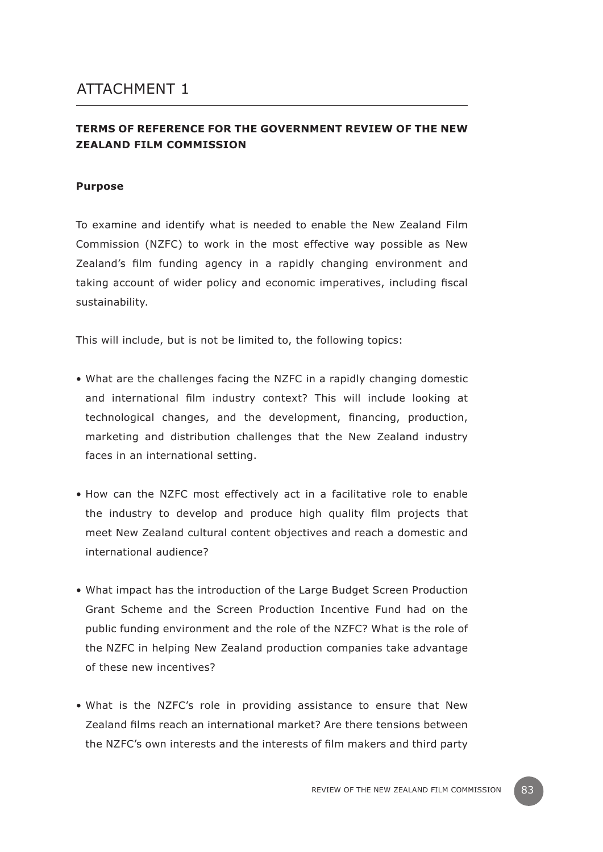### **TERMS OF REFERENCE FOR THE GOVERNMENT REVIEW OF THE NEW ZEALAND FILM COMMISSION**

#### **Purpose**

To examine and identify what is needed to enable the New Zealand Film Commission (NZFC) to work in the most effective way possible as New Zealand's film funding agency in a rapidly changing environment and taking account of wider policy and economic imperatives, including fiscal sustainability.

This will include, but is not be limited to, the following topics:

- What are the challenges facing the NZFC in a rapidly changing domestic and international film industry context? This will include looking at technological changes, and the development, financing, production, marketing and distribution challenges that the New Zealand industry faces in an international setting.
- How can the NZFC most effectively act in a facilitative role to enable the industry to develop and produce high quality film projects that meet New Zealand cultural content objectives and reach a domestic and international audience?
- What impact has the introduction of the Large Budget Screen Production Grant Scheme and the Screen Production Incentive Fund had on the public funding environment and the role of the NZFC? What is the role of the NZFC in helping New Zealand production companies take advantage of these new incentives?
- What is the NZFC's role in providing assistance to ensure that New Zealand films reach an international market? Are there tensions between the NZFC's own interests and the interests of film makers and third party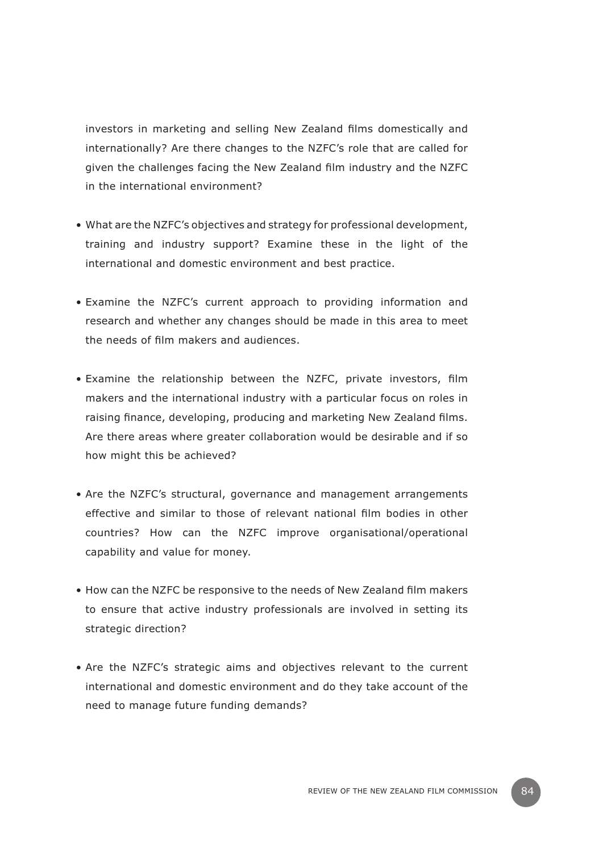investors in marketing and selling New Zealand films domestically and internationally? Are there changes to the NZFC's role that are called for given the challenges facing the New Zealand film industry and the NZFC in the international environment?

- What are the NZFC's objectives and strategy for professional development, training and industry support? Examine these in the light of the international and domestic environment and best practice.
- Examine the NZFC's current approach to providing information and research and whether any changes should be made in this area to meet the needs of film makers and audiences.
- Examine the relationship between the NZFC, private investors, film makers and the international industry with a particular focus on roles in raising finance, developing, producing and marketing New Zealand films. Are there areas where greater collaboration would be desirable and if so how might this be achieved?
- Are the NZFC's structural, governance and management arrangements effective and similar to those of relevant national film bodies in other countries? How can the NZFC improve organisational/operational capability and value for money.
- How can the NZFC be responsive to the needs of New Zealand film makers to ensure that active industry professionals are involved in setting its strategic direction?
- Are the NZFC's strategic aims and objectives relevant to the current international and domestic environment and do they take account of the need to manage future funding demands?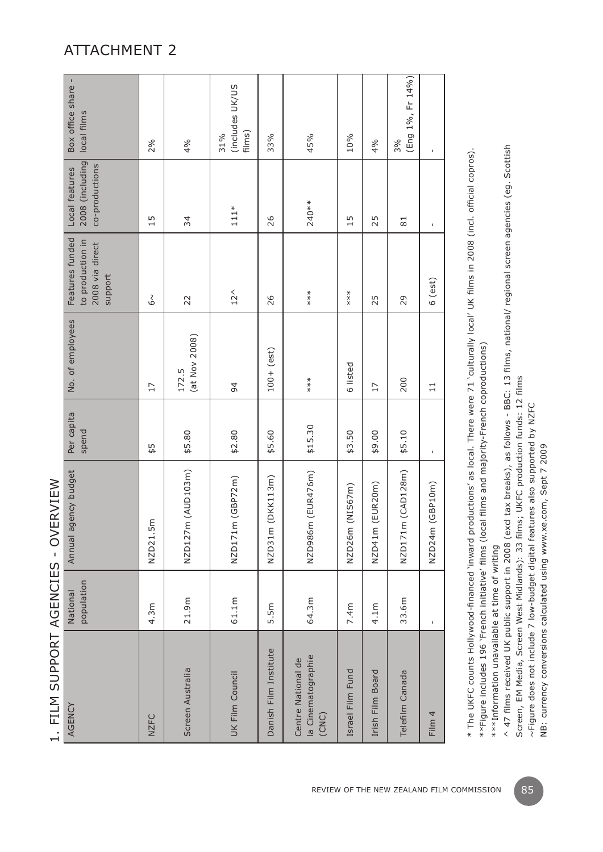| AGENCY                                            | population<br>National | Annual agency budget           | Per capita<br>spend | No. of employees       | Features funded<br>to production in<br>2008 via direct<br>support | 2008 (including<br>co-productions<br>Local features | Box office share -<br>local films |
|---------------------------------------------------|------------------------|--------------------------------|---------------------|------------------------|-------------------------------------------------------------------|-----------------------------------------------------|-----------------------------------|
| <b>NZFC</b>                                       | 4.3m                   | NZD21.5m                       | 45                  | 17                     | م<br>6                                                            | 15                                                  | 2%                                |
| Screen Australia                                  | 21.9m                  | NZD127m (AUD103m)              | \$5.80              | (at Nov 2008)<br>172.5 | 22                                                                | 34                                                  | 4%                                |
| UK Film Council                                   | 61.1m                  | (GBPZm)<br>NZD171m             | \$2.80              | 94                     | $12^{\circ}$                                                      | $111*$                                              | (includes UK/US<br>films)<br>31%  |
| Danish Film Institute                             | 5.5m                   | DKK113m)<br>NZD31m             | \$5.60              | $100 + (est)$          | 26                                                                | 26                                                  | 33%                               |
| la Cinematographie<br>Centre National de<br>(CNC) | 64.3m                  | NZD986m (EUR476m)              | \$15.30             | $**\atop**$            | $***$                                                             | $240**$                                             | 45%                               |
| Israel Film Fund                                  | 7.4 <sub>m</sub>       | NIS67m)<br>NZD26m              | \$3.50              | 6 listed               | $***$                                                             | 15                                                  | 10%                               |
| Irish Film Board                                  | 4.1 <sub>m</sub>       | EUR <sub>20m</sub> )<br>NZD41m | \$9.00              | 17                     | 25                                                                | 25                                                  | 4%                                |
| Telefilm Canada                                   | 33.6m                  | (CAD128m)<br>NZD171m           | \$5.10              | 200                    | 29                                                                | $\overline{81}$                                     | (Eng 1%, Fr 14%)<br>3%            |
| Film 4                                            | Ţ                      | (BPI0m)<br>NZD24m (            | Ţ                   | $\Xi$                  | $6$ (est)                                                         | Ţ                                                   | Ţ                                 |

1. FILM SUPPORT AGENCIES - OVERVIEW 1. FILM SUPPORT AGENCIES - OVERVIEW

\* The UKFC counts Hollywood-financed 'inward productions' as local. There were 71 'culturally local' UK films in 2008 (incl. official copros). \* The UKFC counts Hollywood-financed `inward productions' as local. There were 71 'culturally local' UK films in 2008 (incl. official copros). \*\*Figure includes 196 'French initiative' films (local films and majority-French coproductions) \*\*Figure includes 196 'French initiative' films (local films and majority-French coproductions)

\*\*\*Information unavailable at time of writing \*\*\*Information unavailable at time of writing

 $\land$  47 films received UK public support in 2008 (excl tax breaks), as follows - BBC: 13 films, national/ regional screen agencies (eg. Scottish ^ 47 films received UK public support in 2008 (excl tax breaks), as follows - BBC: 13 films, national/ regional screen agencies (eg. Scottish Screen, EM Media, Screen West Midlands): 33 films; UKFC production funds: 12 films Screen, EM Media, Screen West Midlands): 33 films; UKFC production funds: 12 films

~Figure does not include 7 low-budget digital features also supported by NZFC ~Figure does not include 7 low-budget digital features also supported by NZFC

NB: currency conversions calculated using www.xe.com, Sept 7 2009 NB: currency conversions calculated using www.xe.com, Sept 7 2009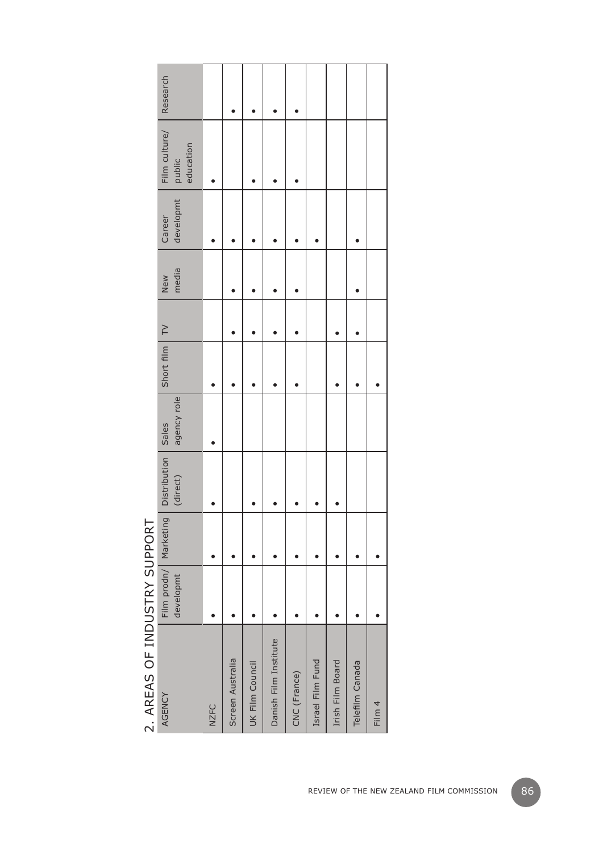# DEAC OF INDUCTDV CUDDODT 2. AREAS OF INDUSTRY SUPPORT k